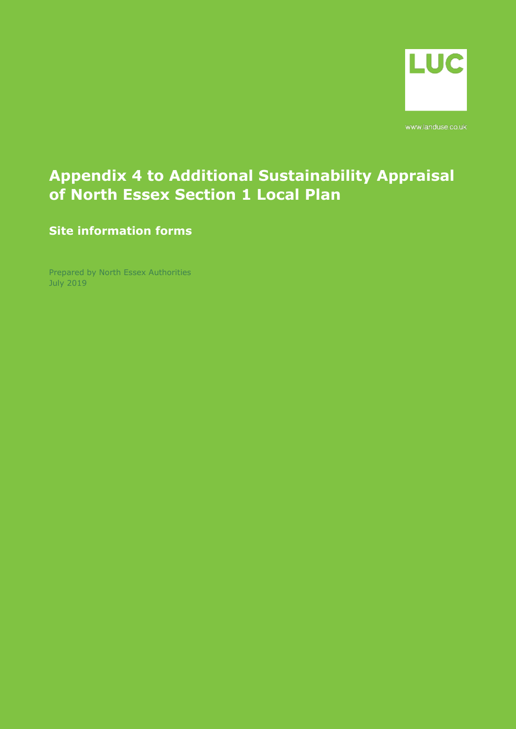

www.landuse.co.uk

## **Appendix 4 to Additional Sustainability Appraisal of North Essex Section 1 Local Plan**

**Site information forms**

Prepared by North Essex Authorities July 2019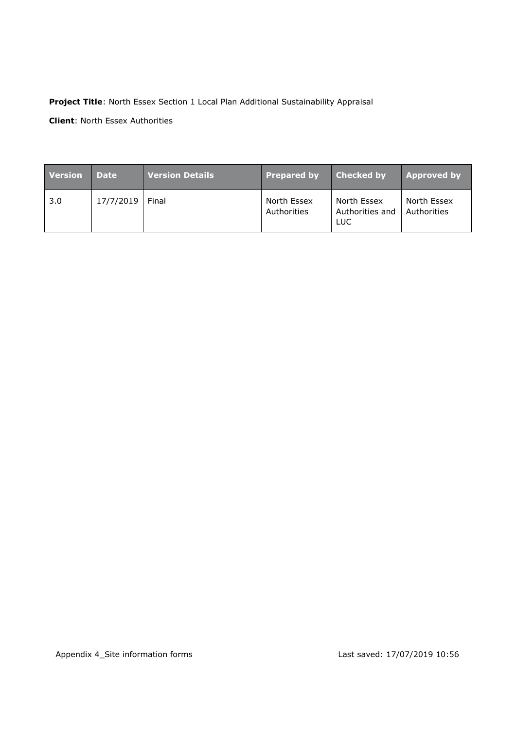#### **Project Title**: North Essex Section 1 Local Plan Additional Sustainability Appraisal

**Client**: North Essex Authorities

| <b>Version</b> | <b>Date</b> | <b>Version Details</b> | <b>Prepared by</b>         | Checked by                            | <b>Approved by</b>         |
|----------------|-------------|------------------------|----------------------------|---------------------------------------|----------------------------|
| 3.0            | 17/7/2019   | Final                  | North Essex<br>Authorities | North Essex<br>Authorities and<br>LUC | North Essex<br>Authorities |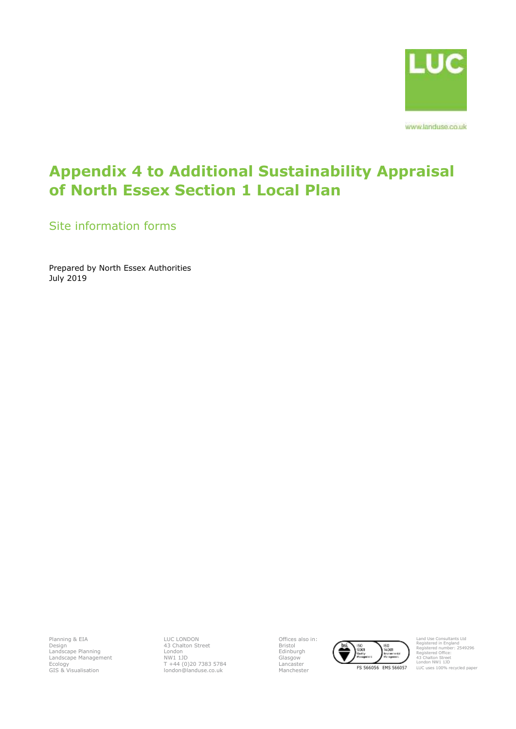

www.landuse.co.uk

## **Appendix 4 to Additional Sustainability Appraisal of North Essex Section 1 Local Plan**

Site information forms

Prepared by North Essex Authorities July 2019

Planning & EIA Design Landscape Planning Landscape Management Ecology GIS & Visualisation LUC LONDON 43 Chalton Street London NW1 1JD T +44 (0)20 7383 5784 london@landuse.co.uk Offices also in: Bristol Edinburgh Glasgow Lancaster



Land Use Consultants Ltd Registered in England Registered number: 2549296 Registered Office: 43 Chalton Street London NW1 1JD LUC uses 100% recycled paper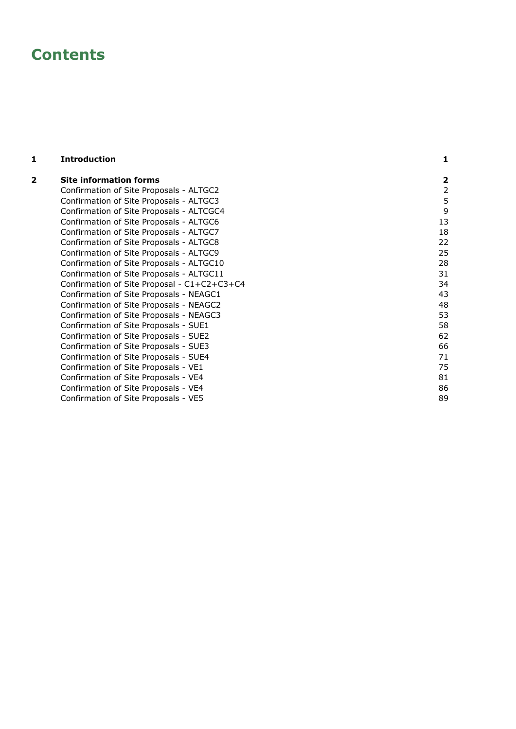## **Contents**

**1 [Introduction](#page-4-0)**

#### **2 [Site information forms](#page-5-0) 2** [Confirmation of Site Proposals](#page-5-1)  - ALTGC2 2 [Confirmation of Site Proposals](#page-8-0)  - ALTGC3 5 [Confirmation of Site Proposals](#page-12-0)  - ALTCGC4 9 [Confirmation of Site Proposals](#page-16-0) - ALTGC6 13 and 2008 and 2008 and 2011 13 [Confirmation of Site Proposals](#page-21-0)  - ALTGC7 18 [Confirmation of Site Proposals](#page-25-0)  - ALTGC8 22 [Confirmation of Site Proposals](#page-28-0) - ALTGC9 25 [Confirmation of Site Proposals](#page-31-0)  - ALTGC10 28 [Confirmation of Site Proposals](#page-34-0)  - ALTGC11 31 [Confirmation of Site Proposal](#page-37-0)  - C1+C2+C3+C4 34 [Confirmation of Site Proposals](#page-46-0) - NEAGC1 43 [Confirmation of Site Proposals](#page-51-0)  - NEAGC2 48 [Confirmation of Site Proposals](#page-56-0)  - NEAGC3 53 [Confirmation of Site Proposals](#page-61-0)  - SUE1 58 [Confirmation of Site Proposals](#page-65-0)  - SUE2 62 [Confirmation of Site Proposals](#page-69-0) - SUE3 66 [Confirmation of Site Proposals](#page-74-0)  - SUE4 71 [Confirmation of Site Proposals](#page-78-0)  - VE1 75 [Confirmation of Site Proposals](#page-84-0)   $-$  VE4 81 [Confirmation of Site Proposals](#page-89-0)   $-$  VE4 86 [Confirmation of Site Proposals](#page-92-0)  - VE5 89

**1**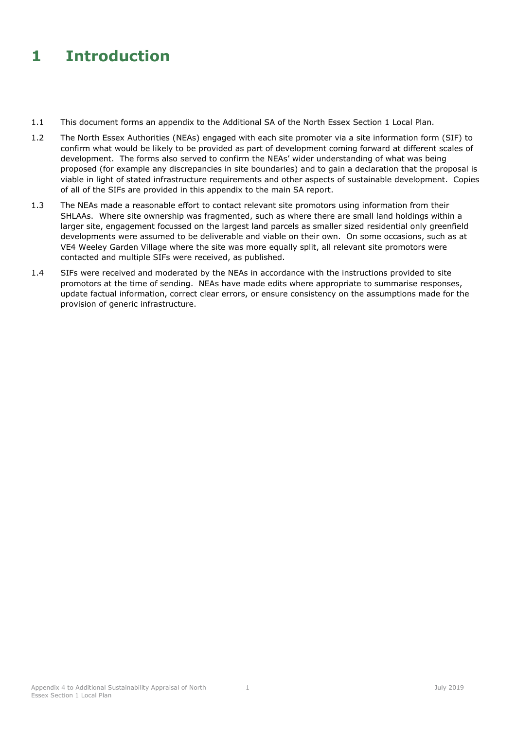## <span id="page-4-0"></span>**1 Introduction**

- 1.1 This document forms an appendix to the Additional SA of the North Essex Section 1 Local Plan.
- 1.2 The North Essex Authorities (NEAs) engaged with each site promoter via a site information form (SIF) to confirm what would be likely to be provided as part of development coming forward at different scales of development. The forms also served to confirm the NEAs' wider understanding of what was being proposed (for example any discrepancies in site boundaries) and to gain a declaration that the proposal is viable in light of stated infrastructure requirements and other aspects of sustainable development. Copies of all of the SIFs are provided in this appendix to the main SA report.
- 1.3 The NEAs made a reasonable effort to contact relevant site promotors using information from their SHLAAs. Where site ownership was fragmented, such as where there are small land holdings within a larger site, engagement focussed on the largest land parcels as smaller sized residential only greenfield developments were assumed to be deliverable and viable on their own. On some occasions, such as at VE4 Weeley Garden Village where the site was more equally split, all relevant site promotors were contacted and multiple SIFs were received, as published.
- 1.4 SIFs were received and moderated by the NEAs in accordance with the instructions provided to site promotors at the time of sending. NEAs have made edits where appropriate to summarise responses, update factual information, correct clear errors, or ensure consistency on the assumptions made for the provision of generic infrastructure.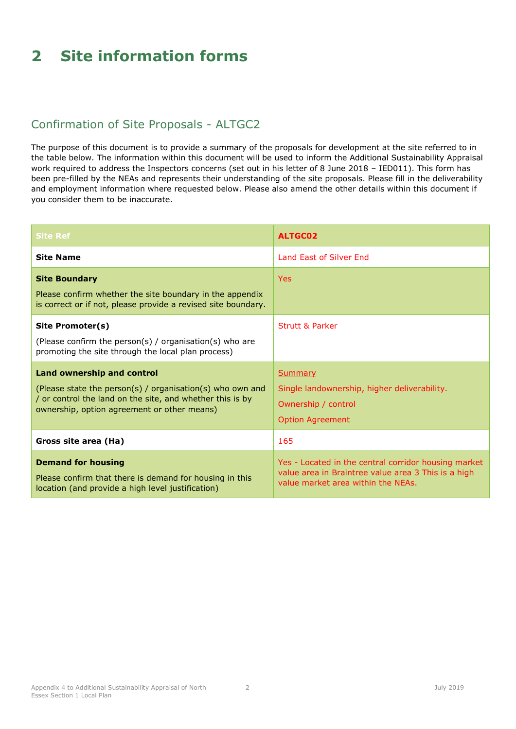# <span id="page-5-0"></span>**2 Site information forms**

### <span id="page-5-1"></span>Confirmation of Site Proposals - ALTGC2

| <b>Site Ref</b>                                                                                                                                                                                            | <b>ALTGC02</b>                                                                                                                                    |
|------------------------------------------------------------------------------------------------------------------------------------------------------------------------------------------------------------|---------------------------------------------------------------------------------------------------------------------------------------------------|
| <b>Site Name</b>                                                                                                                                                                                           | Land Fast of Silver End                                                                                                                           |
| <b>Site Boundary</b><br>Please confirm whether the site boundary in the appendix<br>is correct or if not, please provide a revised site boundary.                                                          | <b>Yes</b>                                                                                                                                        |
| Site Promoter(s)<br>(Please confirm the person(s) / organisation(s) who are<br>promoting the site through the local plan process)                                                                          | <b>Strutt &amp; Parker</b>                                                                                                                        |
| <b>Land ownership and control</b><br>(Please state the person(s) / organisation(s) who own and<br>/ or control the land on the site, and whether this is by<br>ownership, option agreement or other means) | Summary<br>Single landownership, higher deliverability.<br>Ownership / control<br><b>Option Agreement</b>                                         |
| Gross site area (Ha)                                                                                                                                                                                       | 165                                                                                                                                               |
| <b>Demand for housing</b><br>Please confirm that there is demand for housing in this<br>location (and provide a high level justification)                                                                  | Yes - Located in the central corridor housing market<br>value area in Braintree value area 3 This is a high<br>value market area within the NEAs. |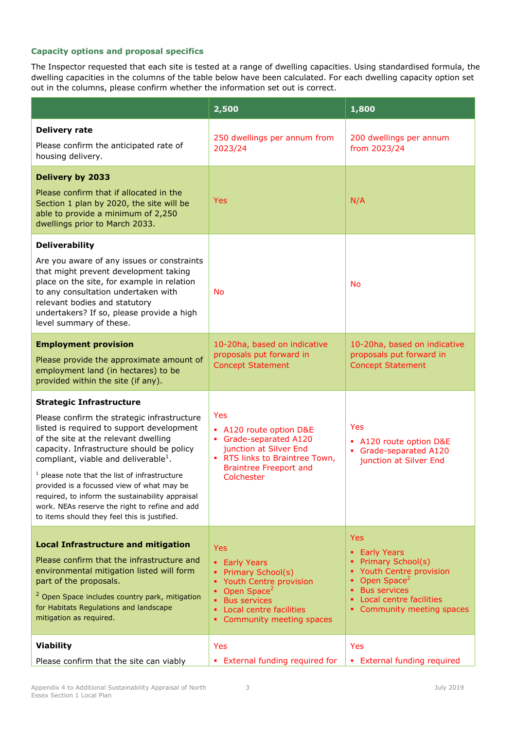|                                                                                                                                                                                                                                                                                                                                                                                                                                                                                                                             | 2,500                                                                                                                                                                                      | 1,800                                                                                                                                                                                                        |
|-----------------------------------------------------------------------------------------------------------------------------------------------------------------------------------------------------------------------------------------------------------------------------------------------------------------------------------------------------------------------------------------------------------------------------------------------------------------------------------------------------------------------------|--------------------------------------------------------------------------------------------------------------------------------------------------------------------------------------------|--------------------------------------------------------------------------------------------------------------------------------------------------------------------------------------------------------------|
| <b>Delivery rate</b><br>Please confirm the anticipated rate of<br>housing delivery.                                                                                                                                                                                                                                                                                                                                                                                                                                         | 250 dwellings per annum from<br>2023/24                                                                                                                                                    | 200 dwellings per annum<br>from 2023/24                                                                                                                                                                      |
| <b>Delivery by 2033</b><br>Please confirm that if allocated in the<br>Section 1 plan by 2020, the site will be<br>able to provide a minimum of 2,250<br>dwellings prior to March 2033.                                                                                                                                                                                                                                                                                                                                      | <b>Yes</b>                                                                                                                                                                                 | N/A                                                                                                                                                                                                          |
| <b>Deliverability</b><br>Are you aware of any issues or constraints<br>that might prevent development taking<br>place on the site, for example in relation<br>to any consultation undertaken with<br>relevant bodies and statutory<br>undertakers? If so, please provide a high<br>level summary of these.                                                                                                                                                                                                                  | <b>No</b>                                                                                                                                                                                  | <b>No</b>                                                                                                                                                                                                    |
| <b>Employment provision</b><br>Please provide the approximate amount of<br>employment land (in hectares) to be<br>provided within the site (if any).                                                                                                                                                                                                                                                                                                                                                                        | 10-20ha, based on indicative<br>proposals put forward in<br><b>Concept Statement</b>                                                                                                       | 10-20ha, based on indicative<br>proposals put forward in<br><b>Concept Statement</b>                                                                                                                         |
| <b>Strategic Infrastructure</b><br>Please confirm the strategic infrastructure<br>listed is required to support development<br>of the site at the relevant dwelling<br>capacity. Infrastructure should be policy<br>compliant, viable and deliverable <sup>1</sup> .<br>$1$ please note that the list of infrastructure<br>provided is a focussed view of what may be<br>required, to inform the sustainability appraisal<br>work. NEAs reserve the right to refine and add<br>to items should they feel this is justified. | Yes<br>• A120 route option D&E<br>Grade-separated A120<br>junction at Silver End<br>. RTS links to Braintree Town,<br><b>Braintree Freeport and</b><br>Colchester                          | <b>Yes</b><br>• A120 route option D&E<br>Grade-separated A120<br>٠.<br>junction at Silver End                                                                                                                |
| <b>Local Infrastructure and mitigation</b><br>Please confirm that the infrastructure and<br>environmental mitigation listed will form<br>part of the proposals.<br><sup>2</sup> Open Space includes country park, mitigation<br>for Habitats Regulations and landscape<br>mitigation as required.                                                                                                                                                                                                                           | <b>Yes</b><br>• Early Years<br>• Primary School(s)<br>Youth Centre provision<br>Open Space <sup>2</sup><br>٠<br><b>Bus services</b><br>Local centre facilities<br>Community meeting spaces | <b>Yes</b><br><b>Early Years</b><br>۰.<br><b>Primary School(s)</b><br>• Youth Centre provision<br>Open Space <sup>2</sup><br><b>Bus services</b><br>٠<br>Local centre facilities<br>Community meeting spaces |
| <b>Viability</b><br>Please confirm that the site can viably                                                                                                                                                                                                                                                                                                                                                                                                                                                                 | Yes<br>• External funding required for                                                                                                                                                     | Yes<br>• External funding required                                                                                                                                                                           |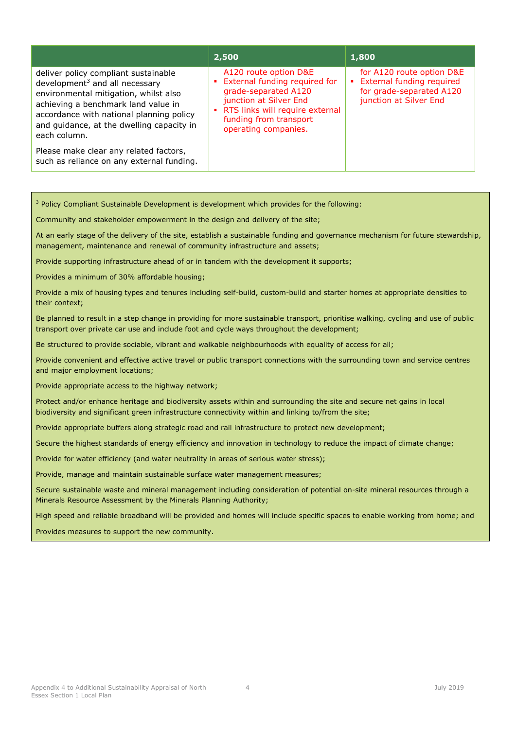|                                                                                                                                                                                                                                                                    | 2,500                                                                                                                                                                                             | 1,800                                                                                                          |
|--------------------------------------------------------------------------------------------------------------------------------------------------------------------------------------------------------------------------------------------------------------------|---------------------------------------------------------------------------------------------------------------------------------------------------------------------------------------------------|----------------------------------------------------------------------------------------------------------------|
| deliver policy compliant sustainable<br>development $3$ and all necessary<br>environmental mitigation, whilst also<br>achieving a benchmark land value in<br>accordance with national planning policy<br>and guidance, at the dwelling capacity in<br>each column. | A120 route option D&E<br>• External funding required for<br>grade-separated A120<br>junction at Silver End<br>• RTS links will require external<br>funding from transport<br>operating companies. | for A120 route option D&E<br>• External funding required<br>for grade-separated A120<br>junction at Silver End |
| Please make clear any related factors,<br>such as reliance on any external funding.                                                                                                                                                                                |                                                                                                                                                                                                   |                                                                                                                |

<sup>3</sup> Policy Compliant Sustainable Development is development which provides for the following:

Community and stakeholder empowerment in the design and delivery of the site;

At an early stage of the delivery of the site, establish a sustainable funding and governance mechanism for future stewardship, management, maintenance and renewal of community infrastructure and assets;

Provide supporting infrastructure ahead of or in tandem with the development it supports;

Provides a minimum of 30% affordable housing;

Provide a mix of housing types and tenures including self-build, custom-build and starter homes at appropriate densities to their context;

Be planned to result in a step change in providing for more sustainable transport, prioritise walking, cycling and use of public transport over private car use and include foot and cycle ways throughout the development;

Be structured to provide sociable, vibrant and walkable neighbourhoods with equality of access for all;

Provide convenient and effective active travel or public transport connections with the surrounding town and service centres and major employment locations;

Provide appropriate access to the highway network;

Protect and/or enhance heritage and biodiversity assets within and surrounding the site and secure net gains in local biodiversity and significant green infrastructure connectivity within and linking to/from the site;

Provide appropriate buffers along strategic road and rail infrastructure to protect new development;

Secure the highest standards of energy efficiency and innovation in technology to reduce the impact of climate change;

Provide for water efficiency (and water neutrality in areas of serious water stress);

Provide, manage and maintain sustainable surface water management measures;

Secure sustainable waste and mineral management including consideration of potential on-site mineral resources through a Minerals Resource Assessment by the Minerals Planning Authority;

High speed and reliable broadband will be provided and homes will include specific spaces to enable working from home; and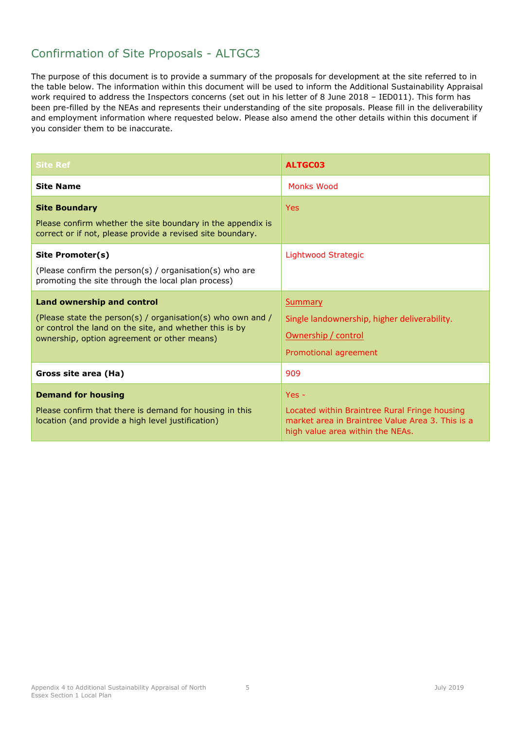<span id="page-8-0"></span>

| <b>Site Ref</b>                                                                                                                                                                                     | ALTGC03                                                                                                                                          |
|-----------------------------------------------------------------------------------------------------------------------------------------------------------------------------------------------------|--------------------------------------------------------------------------------------------------------------------------------------------------|
| <b>Site Name</b>                                                                                                                                                                                    | Monks Wood                                                                                                                                       |
| <b>Site Boundary</b><br>Please confirm whether the site boundary in the appendix is<br>correct or if not, please provide a revised site boundary.                                                   | <b>Yes</b>                                                                                                                                       |
| Site Promoter(s)<br>(Please confirm the person(s) / organisation(s) who are<br>promoting the site through the local plan process)                                                                   | Lightwood Strategic                                                                                                                              |
| Land ownership and control<br>(Please state the person(s) / organisation(s) who own and /<br>or control the land on the site, and whether this is by<br>ownership, option agreement or other means) | Summary<br>Single landownership, higher deliverability.<br>Ownership / control<br>Promotional agreement                                          |
| Gross site area (Ha)                                                                                                                                                                                | 909                                                                                                                                              |
| <b>Demand for housing</b><br>Please confirm that there is demand for housing in this<br>location (and provide a high level justification)                                                           | $Yes -$<br>Located within Braintree Rural Fringe housing<br>market area in Braintree Value Area 3. This is a<br>high value area within the NEAs. |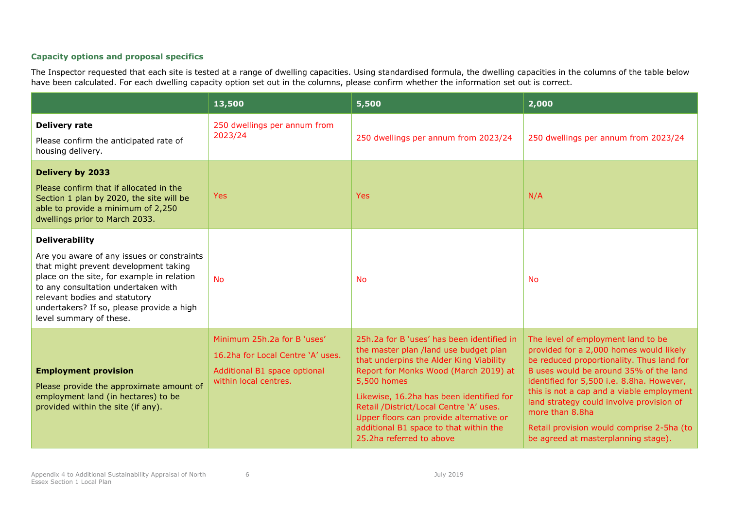|                                                                                                                                                                                                                                                                                                            | 13,500                                                                                                                    | 5,500                                                                                                                                                                                                                                                                                                                                                                                          | 2,000                                                                                                                                                                                                                                                                                                                                                                                                             |
|------------------------------------------------------------------------------------------------------------------------------------------------------------------------------------------------------------------------------------------------------------------------------------------------------------|---------------------------------------------------------------------------------------------------------------------------|------------------------------------------------------------------------------------------------------------------------------------------------------------------------------------------------------------------------------------------------------------------------------------------------------------------------------------------------------------------------------------------------|-------------------------------------------------------------------------------------------------------------------------------------------------------------------------------------------------------------------------------------------------------------------------------------------------------------------------------------------------------------------------------------------------------------------|
| <b>Delivery rate</b><br>Please confirm the anticipated rate of<br>housing delivery.                                                                                                                                                                                                                        | 250 dwellings per annum from<br>2023/24                                                                                   | 250 dwellings per annum from 2023/24                                                                                                                                                                                                                                                                                                                                                           | 250 dwellings per annum from 2023/24                                                                                                                                                                                                                                                                                                                                                                              |
| Delivery by 2033<br>Please confirm that if allocated in the<br>Section 1 plan by 2020, the site will be<br>able to provide a minimum of 2,250<br>dwellings prior to March 2033.                                                                                                                            | Yes                                                                                                                       | <b>Yes</b>                                                                                                                                                                                                                                                                                                                                                                                     | N/A                                                                                                                                                                                                                                                                                                                                                                                                               |
| <b>Deliverability</b><br>Are you aware of any issues or constraints<br>that might prevent development taking<br>place on the site, for example in relation<br>to any consultation undertaken with<br>relevant bodies and statutory<br>undertakers? If so, please provide a high<br>level summary of these. | <b>No</b>                                                                                                                 | <b>No</b>                                                                                                                                                                                                                                                                                                                                                                                      | <b>No</b>                                                                                                                                                                                                                                                                                                                                                                                                         |
| <b>Employment provision</b><br>Please provide the approximate amount of<br>employment land (in hectares) to be<br>provided within the site (if any).                                                                                                                                                       | Minimum 25h.2a for B 'uses'<br>16.2ha for Local Centre 'A' uses.<br>Additional B1 space optional<br>within local centres. | 25h.2a for B 'uses' has been identified in<br>the master plan /land use budget plan<br>that underpins the Alder King Viability<br>Report for Monks Wood (March 2019) at<br>5,500 homes<br>Likewise, 16.2ha has been identified for<br>Retail /District/Local Centre 'A' uses.<br>Upper floors can provide alternative or<br>additional B1 space to that within the<br>25.2ha referred to above | The level of employment land to be<br>provided for a 2,000 homes would likely<br>be reduced proportionality. Thus land for<br>B uses would be around 35% of the land<br>identified for 5,500 i.e. 8.8ha. However,<br>this is not a cap and a viable employment<br>land strategy could involve provision of<br>more than 8.8ha<br>Retail provision would comprise 2-5ha (to<br>be agreed at masterplanning stage). |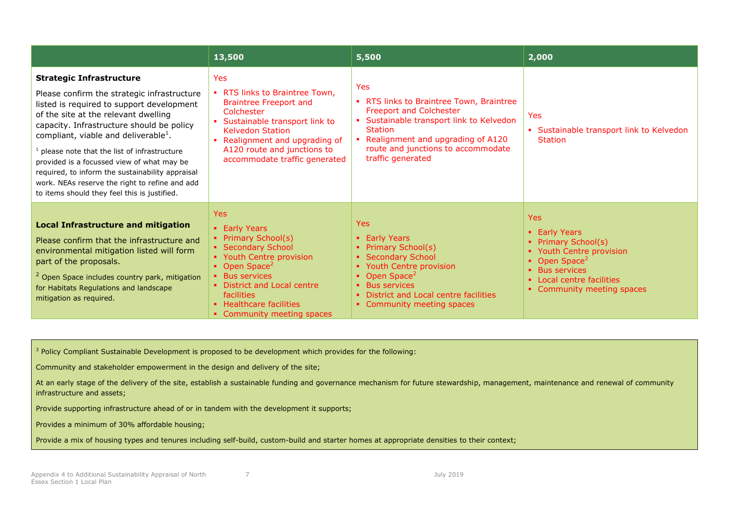|                                                                                                                                                                                                                                                                                                                                                                                                                                                                                                                         | 13,500                                                                                                                                                                                                                                                        | 5,500                                                                                                                                                                                                                                                    | 2,000                                                                                                                                                                                         |
|-------------------------------------------------------------------------------------------------------------------------------------------------------------------------------------------------------------------------------------------------------------------------------------------------------------------------------------------------------------------------------------------------------------------------------------------------------------------------------------------------------------------------|---------------------------------------------------------------------------------------------------------------------------------------------------------------------------------------------------------------------------------------------------------------|----------------------------------------------------------------------------------------------------------------------------------------------------------------------------------------------------------------------------------------------------------|-----------------------------------------------------------------------------------------------------------------------------------------------------------------------------------------------|
| <b>Strategic Infrastructure</b><br>Please confirm the strategic infrastructure<br>listed is required to support development<br>of the site at the relevant dwelling<br>capacity. Infrastructure should be policy<br>compliant, viable and deliverable <sup>1</sup> .<br>please note that the list of infrastructure<br>provided is a focussed view of what may be<br>required, to inform the sustainability appraisal<br>work. NEAs reserve the right to refine and add<br>to items should they feel this is justified. | <b>Yes</b><br>• RTS links to Braintree Town,<br><b>Braintree Freeport and</b><br>Colchester<br>Sustainable transport link to<br>×.<br><b>Kelvedon Station</b><br>Realignment and upgrading of<br>A120 route and junctions to<br>accommodate traffic generated | <b>Yes</b><br>• RTS links to Braintree Town, Braintree<br><b>Freeport and Colchester</b><br>• Sustainable transport link to Kelvedon<br><b>Station</b><br>• Realignment and upgrading of A120<br>route and junctions to accommodate<br>traffic generated | <b>Yes</b><br>• Sustainable transport link to Kelvedon<br><b>Station</b>                                                                                                                      |
| <b>Local Infrastructure and mitigation</b><br>Please confirm that the infrastructure and<br>environmental mitigation listed will form<br>part of the proposals.<br><sup>2</sup> Open Space includes country park, mitigation<br>for Habitats Regulations and landscape<br>mitigation as required.                                                                                                                                                                                                                       | Yes:<br>• Early Years<br>• Primary School(s)<br>• Secondary School<br>• Youth Centre provision<br>• Open Space <sup>2</sup><br>• Bus services<br>• District and Local centre<br><b>facilities</b><br>• Healthcare facilities<br>• Community meeting spaces    | Yes<br>• Early Years<br>• Primary School(s)<br>• Secondary School<br>• Youth Centre provision<br>• Open Space <sup>2</sup><br>• Bus services<br>District and Local centre facilities<br>• Community meeting spaces                                       | <b>Yes</b><br>• Early Years<br>• Primary School(s)<br>• Youth Centre provision<br>• Open Space <sup>2</sup><br><b>Bus services</b><br>• Local centre facilities<br>• Community meeting spaces |

<sup>3</sup> Policy Compliant Sustainable Development is proposed to be development which provides for the following:

Community and stakeholder empowerment in the design and delivery of the site;

At an early stage of the delivery of the site, establish a sustainable funding and governance mechanism for future stewardship, management, maintenance and renewal of community infrastructure and assets;

Provide supporting infrastructure ahead of or in tandem with the development it supports;

Provides a minimum of 30% affordable housing;

Provide a mix of housing types and tenures including self-build, custom-build and starter homes at appropriate densities to their context;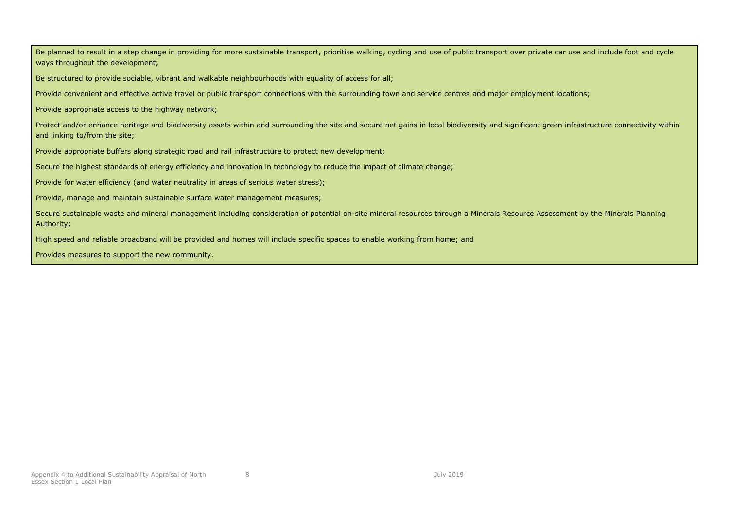Be planned to result in a step change in providing for more sustainable transport, prioritise walking, cycling and use of public transport over private car use and include foot and cycle ways throughout the development;

Be structured to provide sociable, vibrant and walkable neighbourhoods with equality of access for all;

Provide convenient and effective active travel or public transport connections with the surrounding town and service centres and major employment locations;

Provide appropriate access to the highway network;

Protect and/or enhance heritage and biodiversity assets within and surrounding the site and secure net gains in local biodiversity and significant green infrastructure connectivity within and linking to/from the site;

Provide appropriate buffers along strategic road and rail infrastructure to protect new development;

Secure the highest standards of energy efficiency and innovation in technology to reduce the impact of climate change;

Provide for water efficiency (and water neutrality in areas of serious water stress);

Provide, manage and maintain sustainable surface water management measures;

Secure sustainable waste and mineral management including consideration of potential on-site mineral resources through a Minerals Resource Assessment by the Minerals Planning Authority;

High speed and reliable broadband will be provided and homes will include specific spaces to enable working from home; and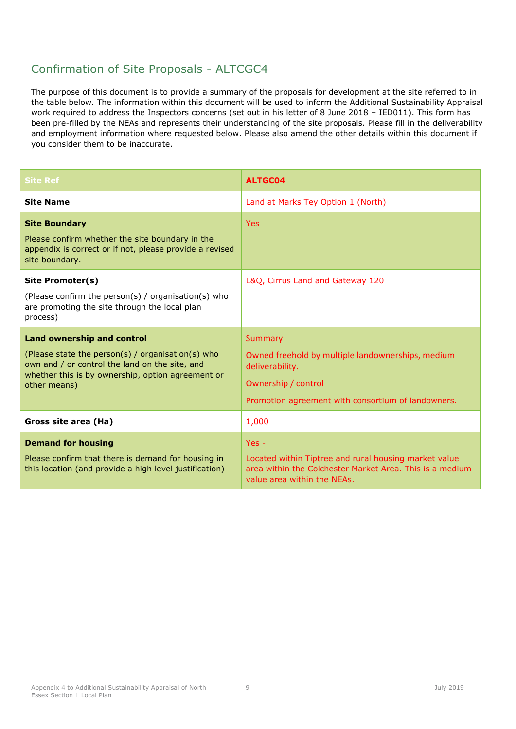<span id="page-12-0"></span>

| <b>Site Ref</b>                                                                                                                                                                                               | <b>ALTGC04</b>                                                                                                                                                      |
|---------------------------------------------------------------------------------------------------------------------------------------------------------------------------------------------------------------|---------------------------------------------------------------------------------------------------------------------------------------------------------------------|
| <b>Site Name</b>                                                                                                                                                                                              | Land at Marks Tey Option 1 (North)                                                                                                                                  |
| <b>Site Boundary</b><br>Please confirm whether the site boundary in the<br>appendix is correct or if not, please provide a revised<br>site boundary.                                                          | <b>Yes</b>                                                                                                                                                          |
| Site Promoter(s)<br>(Please confirm the person(s) / organisation(s) who<br>are promoting the site through the local plan<br>process)                                                                          | L&Q, Cirrus Land and Gateway 120                                                                                                                                    |
| <b>Land ownership and control</b><br>(Please state the person(s) / organisation(s) who<br>own and / or control the land on the site, and<br>whether this is by ownership, option agreement or<br>other means) | <b>Summary</b><br>Owned freehold by multiple landownerships, medium<br>deliverability.<br>Ownership / control<br>Promotion agreement with consortium of landowners. |
| Gross site area (Ha)                                                                                                                                                                                          | 1,000                                                                                                                                                               |
| <b>Demand for housing</b><br>Please confirm that there is demand for housing in<br>this location (and provide a high level justification)                                                                     | $Yes -$<br>Located within Tiptree and rural housing market value<br>area within the Colchester Market Area. This is a medium                                        |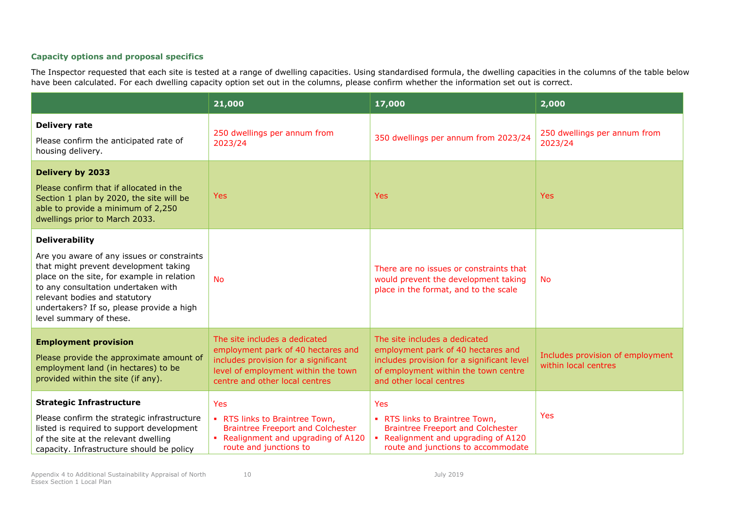|                                                                                                                                                                                                                                                                                                            | 21,000                                                                                                                                                                               | 17,000                                                                                                                                                                               | 2,000                                                    |
|------------------------------------------------------------------------------------------------------------------------------------------------------------------------------------------------------------------------------------------------------------------------------------------------------------|--------------------------------------------------------------------------------------------------------------------------------------------------------------------------------------|--------------------------------------------------------------------------------------------------------------------------------------------------------------------------------------|----------------------------------------------------------|
| <b>Delivery rate</b><br>Please confirm the anticipated rate of<br>housing delivery.                                                                                                                                                                                                                        | 250 dwellings per annum from<br>2023/24                                                                                                                                              | 350 dwellings per annum from 2023/24                                                                                                                                                 | 250 dwellings per annum from<br>2023/24                  |
| <b>Delivery by 2033</b><br>Please confirm that if allocated in the<br>Section 1 plan by 2020, the site will be<br>able to provide a minimum of 2,250<br>dwellings prior to March 2033.                                                                                                                     | Yes                                                                                                                                                                                  | <b>Yes</b>                                                                                                                                                                           | <b>Yes</b>                                               |
| <b>Deliverability</b><br>Are you aware of any issues or constraints<br>that might prevent development taking<br>place on the site, for example in relation<br>to any consultation undertaken with<br>relevant bodies and statutory<br>undertakers? If so, please provide a high<br>level summary of these. | <b>No</b>                                                                                                                                                                            | There are no issues or constraints that<br>would prevent the development taking<br>place in the format, and to the scale                                                             | <b>No</b>                                                |
| <b>Employment provision</b><br>Please provide the approximate amount of<br>employment land (in hectares) to be<br>provided within the site (if any).                                                                                                                                                       | The site includes a dedicated<br>employment park of 40 hectares and<br>includes provision for a significant<br>level of employment within the town<br>centre and other local centres | The site includes a dedicated<br>employment park of 40 hectares and<br>includes provision for a significant level<br>of employment within the town centre<br>and other local centres | Includes provision of employment<br>within local centres |
| <b>Strategic Infrastructure</b><br>Please confirm the strategic infrastructure<br>listed is required to support development<br>of the site at the relevant dwelling<br>capacity. Infrastructure should be policy                                                                                           | <b>Yes</b><br>. RTS links to Braintree Town,<br><b>Braintree Freeport and Colchester</b><br>• Realignment and upgrading of A120<br>route and junctions to                            | Yes<br>RTS links to Braintree Town,<br>$\mathbf{r}$<br><b>Braintree Freeport and Colchester</b><br>Realignment and upgrading of A120<br>route and junctions to accommodate           | Yes                                                      |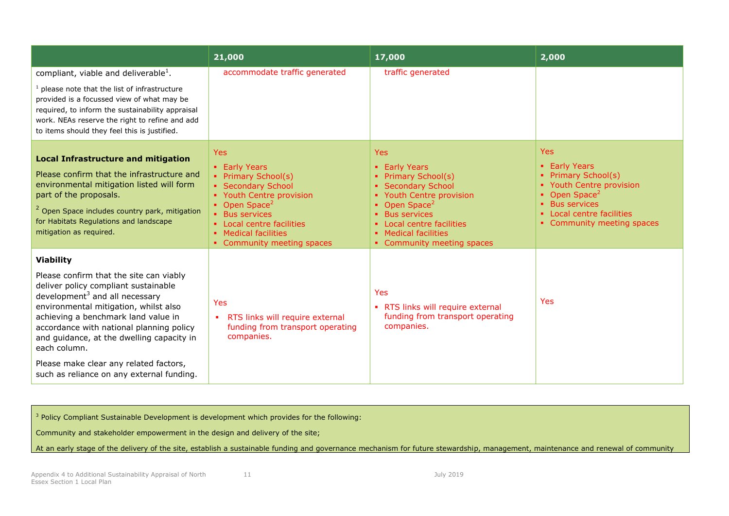|                                                                                                                                                                                                                                                                                                                                                                                                                          | 21,000                                                                                                                                                                                                                                 | 17,000                                                                                                                                                                                                                      | 2,000                                                                                                                                                                                        |
|--------------------------------------------------------------------------------------------------------------------------------------------------------------------------------------------------------------------------------------------------------------------------------------------------------------------------------------------------------------------------------------------------------------------------|----------------------------------------------------------------------------------------------------------------------------------------------------------------------------------------------------------------------------------------|-----------------------------------------------------------------------------------------------------------------------------------------------------------------------------------------------------------------------------|----------------------------------------------------------------------------------------------------------------------------------------------------------------------------------------------|
| compliant, viable and deliverable <sup>1</sup> .                                                                                                                                                                                                                                                                                                                                                                         | accommodate traffic generated                                                                                                                                                                                                          | traffic generated                                                                                                                                                                                                           |                                                                                                                                                                                              |
| $1$ please note that the list of infrastructure<br>provided is a focussed view of what may be<br>required, to inform the sustainability appraisal<br>work. NEAs reserve the right to refine and add<br>to items should they feel this is justified.                                                                                                                                                                      |                                                                                                                                                                                                                                        |                                                                                                                                                                                                                             |                                                                                                                                                                                              |
| <b>Local Infrastructure and mitigation</b><br>Please confirm that the infrastructure and<br>environmental mitigation listed will form<br>part of the proposals.<br><sup>2</sup> Open Space includes country park, mitigation<br>for Habitats Regulations and landscape<br>mitigation as required.                                                                                                                        | <b>Yes</b><br>• Early Years<br>• Primary School(s)<br>• Secondary School<br>• Youth Centre provision<br>• Open Space <sup>2</sup><br>• Bus services<br>• Local centre facilities<br>• Medical facilities<br>• Community meeting spaces | Yes<br>• Early Years<br>• Primary School(s)<br>• Secondary School<br>• Youth Centre provision<br>Open Space <sup>2</sup><br>• Bus services<br>Local centre facilities<br>• Medical facilities<br>• Community meeting spaces | <b>Yes</b><br><b>Early Years</b><br>Primary School(s)<br>• Youth Centre provision<br>Open Space <sup>2</sup><br><b>Bus services</b><br>Local centre facilities<br>• Community meeting spaces |
| <b>Viability</b><br>Please confirm that the site can viably<br>deliver policy compliant sustainable<br>development $3$ and all necessary<br>environmental mitigation, whilst also<br>achieving a benchmark land value in<br>accordance with national planning policy<br>and guidance, at the dwelling capacity in<br>each column.<br>Please make clear any related factors,<br>such as reliance on any external funding. | Yes<br>RTS links will require external<br>٠<br>funding from transport operating<br>companies.                                                                                                                                          | <b>Yes</b><br>• RTS links will require external<br>funding from transport operating<br>companies.                                                                                                                           | Yes                                                                                                                                                                                          |

<sup>3</sup> Policy Compliant Sustainable Development is development which provides for the following:

Community and stakeholder empowerment in the design and delivery of the site;

At an early stage of the delivery of the site, establish a sustainable funding and governance mechanism for future stewardship, management, maintenance and renewal of community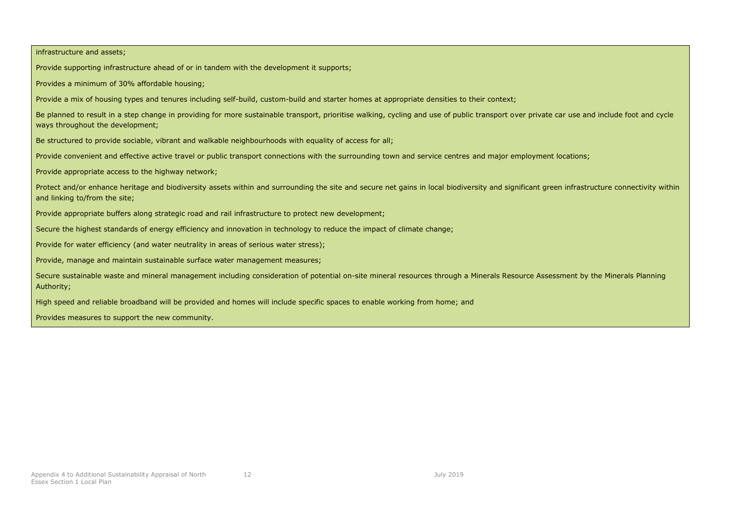infrastructure and assets; Provide supporting infrastructure ahead of or in tandem with the development it supports; Provides a minimum of 30% affordable housing; Provide a mix of housing types and tenures including self-build, custom-build and starter homes at appropriate densities to their context; Be planned to result in a step change in providing for more sustainable transport, prioritise walking, cycling and use of public transport over private car use and include foot and cycle ways throughout the development; Be structured to provide sociable, vibrant and walkable neighbourhoods with equality of access for all; Provide convenient and effective active travel or public transport connections with the surrounding town and service centres and major employment locations; Provide appropriate access to the highway network; Protect and/or enhance heritage and biodiversity assets within and surrounding the site and secure net gains in local biodiversity and significant green infrastructure connectivity within and linking to/from the site; Provide appropriate buffers along strategic road and rail infrastructure to protect new development; Secure the highest standards of energy efficiency and innovation in technology to reduce the impact of climate change; Provide for water efficiency (and water neutrality in areas of serious water stress); Provide, manage and maintain sustainable surface water management measures; Secure sustainable waste and mineral management including consideration of potential on-site mineral resources through a Minerals Resource Assessment by the Minerals Planning Authority; High speed and reliable broadband will be provided and homes will include specific spaces to enable working from home; and Provides measures to support the new community.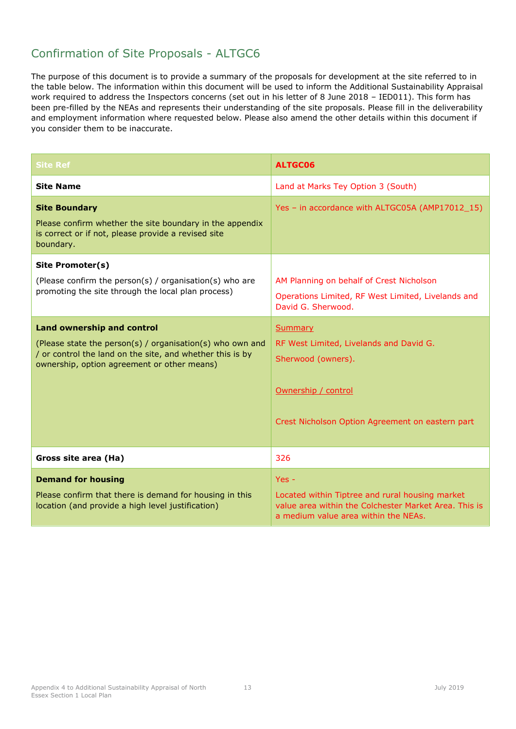<span id="page-16-0"></span>

| <b>Site Ref</b>                                                                                                                                                                                            | <b>ALTGC06</b>                                                                                                                                              |  |
|------------------------------------------------------------------------------------------------------------------------------------------------------------------------------------------------------------|-------------------------------------------------------------------------------------------------------------------------------------------------------------|--|
| <b>Site Name</b>                                                                                                                                                                                           | Land at Marks Tey Option 3 (South)                                                                                                                          |  |
| <b>Site Boundary</b><br>Please confirm whether the site boundary in the appendix<br>is correct or if not, please provide a revised site<br>boundary.                                                       | Yes - in accordance with ALTGC05A (AMP17012_15)                                                                                                             |  |
| Site Promoter(s)<br>(Please confirm the person(s) / organisation(s) who are<br>promoting the site through the local plan process)                                                                          | AM Planning on behalf of Crest Nicholson<br>Operations Limited, RF West Limited, Livelands and<br>David G. Sherwood.                                        |  |
| <b>Land ownership and control</b><br>(Please state the person(s) / organisation(s) who own and<br>/ or control the land on the site, and whether this is by<br>ownership, option agreement or other means) | <b>Summary</b><br>RF West Limited, Livelands and David G.<br>Sherwood (owners).<br>Ownership / control<br>Crest Nicholson Option Agreement on eastern part  |  |
| Gross site area (Ha)                                                                                                                                                                                       | 326                                                                                                                                                         |  |
| <b>Demand for housing</b><br>Please confirm that there is demand for housing in this<br>location (and provide a high level justification)                                                                  | $Yes -$<br>Located within Tiptree and rural housing market<br>value area within the Colchester Market Area. This is<br>a medium value area within the NEAs. |  |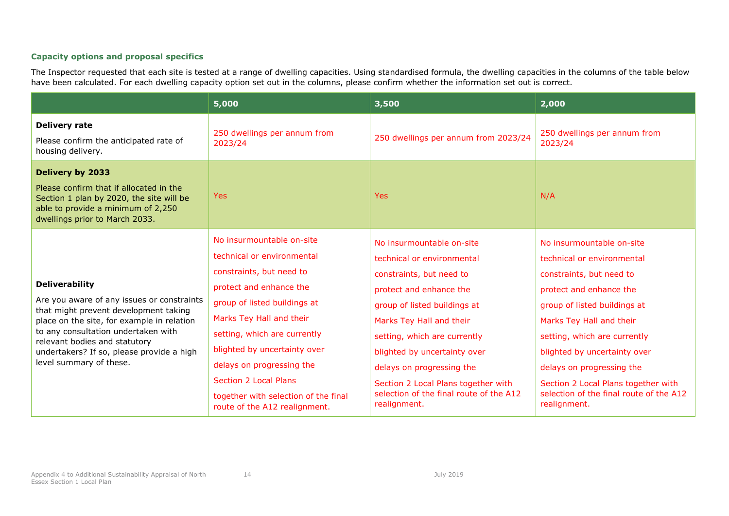|                                                                                                                                                                                                                                                                                                            | 5,000                                                                                                                                                                                                                                                                                                                                                                            | 3,500                                                                                                                                                                                                                                                                                                                                                                     | 2,000                                                                                                                                                                                                                                                                                                                                                                     |
|------------------------------------------------------------------------------------------------------------------------------------------------------------------------------------------------------------------------------------------------------------------------------------------------------------|----------------------------------------------------------------------------------------------------------------------------------------------------------------------------------------------------------------------------------------------------------------------------------------------------------------------------------------------------------------------------------|---------------------------------------------------------------------------------------------------------------------------------------------------------------------------------------------------------------------------------------------------------------------------------------------------------------------------------------------------------------------------|---------------------------------------------------------------------------------------------------------------------------------------------------------------------------------------------------------------------------------------------------------------------------------------------------------------------------------------------------------------------------|
| <b>Delivery rate</b><br>Please confirm the anticipated rate of<br>housing delivery.                                                                                                                                                                                                                        | 250 dwellings per annum from<br>2023/24                                                                                                                                                                                                                                                                                                                                          | 250 dwellings per annum from 2023/24                                                                                                                                                                                                                                                                                                                                      | 250 dwellings per annum from<br>2023/24                                                                                                                                                                                                                                                                                                                                   |
| <b>Delivery by 2033</b><br>Please confirm that if allocated in the<br>Section 1 plan by 2020, the site will be<br>able to provide a minimum of 2,250<br>dwellings prior to March 2033.                                                                                                                     | Yes                                                                                                                                                                                                                                                                                                                                                                              | <b>Yes</b>                                                                                                                                                                                                                                                                                                                                                                | N/A                                                                                                                                                                                                                                                                                                                                                                       |
| <b>Deliverability</b><br>Are you aware of any issues or constraints<br>that might prevent development taking<br>place on the site, for example in relation<br>to any consultation undertaken with<br>relevant bodies and statutory<br>undertakers? If so, please provide a high<br>level summary of these. | No insurmountable on-site<br>technical or environmental<br>constraints, but need to<br>protect and enhance the<br>group of listed buildings at<br>Marks Tey Hall and their<br>setting, which are currently<br>blighted by uncertainty over<br>delays on progressing the<br><b>Section 2 Local Plans</b><br>together with selection of the final<br>route of the A12 realignment. | No insurmountable on-site<br>technical or environmental<br>constraints, but need to<br>protect and enhance the<br>group of listed buildings at<br>Marks Tey Hall and their<br>setting, which are currently<br>blighted by uncertainty over<br>delays on progressing the<br>Section 2 Local Plans together with<br>selection of the final route of the A12<br>realignment. | No insurmountable on-site<br>technical or environmental<br>constraints, but need to<br>protect and enhance the<br>group of listed buildings at<br>Marks Tey Hall and their<br>setting, which are currently<br>blighted by uncertainty over<br>delays on progressing the<br>Section 2 Local Plans together with<br>selection of the final route of the A12<br>realignment. |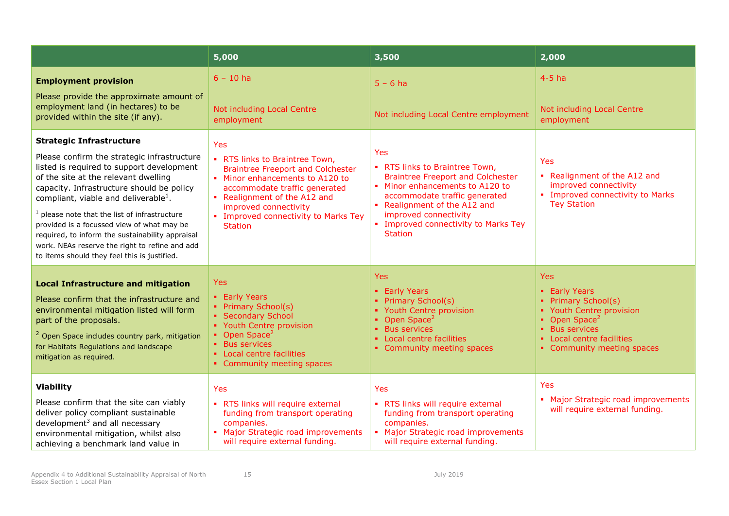|                                                                                                                                                                                                                                                                                                                                                                                                                                                                                                                             | 5,000                                                                                                                                                                                                                                                                           | 3,500                                                                                                                                                                                                                                                                           | 2,000                                                                                                                                                                                    |
|-----------------------------------------------------------------------------------------------------------------------------------------------------------------------------------------------------------------------------------------------------------------------------------------------------------------------------------------------------------------------------------------------------------------------------------------------------------------------------------------------------------------------------|---------------------------------------------------------------------------------------------------------------------------------------------------------------------------------------------------------------------------------------------------------------------------------|---------------------------------------------------------------------------------------------------------------------------------------------------------------------------------------------------------------------------------------------------------------------------------|------------------------------------------------------------------------------------------------------------------------------------------------------------------------------------------|
| <b>Employment provision</b><br>Please provide the approximate amount of<br>employment land (in hectares) to be<br>provided within the site (if any).                                                                                                                                                                                                                                                                                                                                                                        | $6 - 10$ ha<br>Not including Local Centre<br>employment                                                                                                                                                                                                                         | $5 - 6$ ha<br>Not including Local Centre employment                                                                                                                                                                                                                             | $4-5$ ha<br>Not including Local Centre<br>employment                                                                                                                                     |
| <b>Strategic Infrastructure</b><br>Please confirm the strategic infrastructure<br>listed is required to support development<br>of the site at the relevant dwelling<br>capacity. Infrastructure should be policy<br>compliant, viable and deliverable <sup>1</sup> .<br>$1$ please note that the list of infrastructure<br>provided is a focussed view of what may be<br>required, to inform the sustainability appraisal<br>work. NEAs reserve the right to refine and add<br>to items should they feel this is justified. | <b>Yes</b><br>• RTS links to Braintree Town,<br><b>Braintree Freeport and Colchester</b><br>• Minor enhancements to A120 to<br>accommodate traffic generated<br>• Realignment of the A12 and<br>improved connectivity<br>• Improved connectivity to Marks Tey<br><b>Station</b> | <b>Yes</b><br>• RTS links to Braintree Town,<br><b>Braintree Freeport and Colchester</b><br>• Minor enhancements to A120 to<br>accommodate traffic generated<br>• Realignment of the A12 and<br>improved connectivity<br>• Improved connectivity to Marks Tey<br><b>Station</b> | Yes<br>Realignment of the A12 and<br>improved connectivity<br>• Improved connectivity to Marks<br><b>Tey Station</b>                                                                     |
| Yes:<br><b>Local Infrastructure and mitigation</b><br>• Early Years<br>Please confirm that the infrastructure and<br>• Primary School(s)<br>environmental mitigation listed will form<br>• Secondary School<br>part of the proposals.<br>• Youth Centre provision<br>• Open Space <sup>2</sup><br><sup>2</sup> Open Space includes country park, mitigation<br>• Bus services<br>for Habitats Regulations and landscape<br>• Local centre facilities<br>mitigation as required.<br>• Community meeting spaces               |                                                                                                                                                                                                                                                                                 | <b>Yes</b><br>• Early Years<br>• Primary School(s)<br>• Youth Centre provision<br>• Open Space <sup>2</sup><br><b>Bus services</b><br>• Local centre facilities<br>• Community meeting spaces                                                                                   | <b>Yes</b><br>• Early Years<br>• Primary School(s)<br>• Youth Centre provision<br>• Open Space <sup>2</sup><br>• Bus services<br>• Local centre facilities<br>• Community meeting spaces |
| <b>Viability</b><br>Please confirm that the site can viably<br>deliver policy compliant sustainable<br>development $3$ and all necessary<br>environmental mitigation, whilst also<br>achieving a benchmark land value in                                                                                                                                                                                                                                                                                                    | Yes<br>• RTS links will require external<br>funding from transport operating<br>companies.<br>• Major Strategic road improvements<br>will require external funding.                                                                                                             | <b>Yes</b><br>• RTS links will require external<br>funding from transport operating<br>companies.<br>• Major Strategic road improvements<br>will require external funding.                                                                                                      | Yes<br>Major Strategic road improvements<br>will require external funding.                                                                                                               |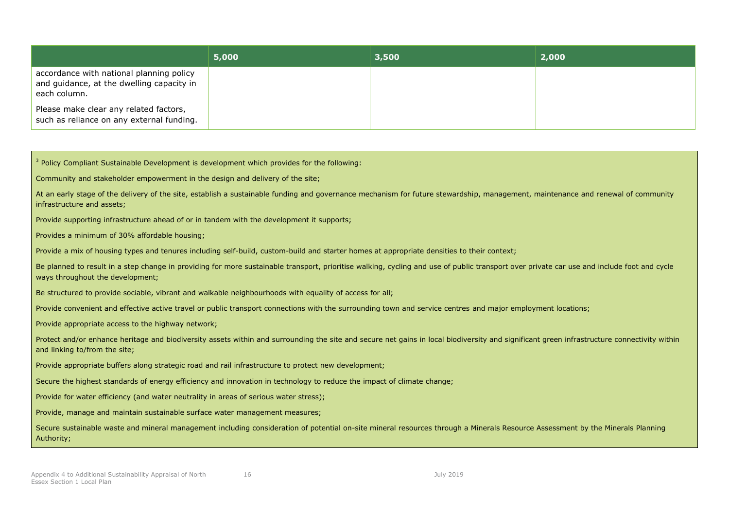|                                                                                                       | 5,000 | 3,500 | 2,000 |
|-------------------------------------------------------------------------------------------------------|-------|-------|-------|
| accordance with national planning policy<br>and guidance, at the dwelling capacity in<br>each column. |       |       |       |
| Please make clear any related factors,<br>such as reliance on any external funding.                   |       |       |       |

<sup>3</sup> Policy Compliant Sustainable Development is development which provides for the following: Community and stakeholder empowerment in the design and delivery of the site; At an early stage of the delivery of the site, establish a sustainable funding and governance mechanism for future stewardship, management, maintenance and renewal of community infrastructure and assets; Provide supporting infrastructure ahead of or in tandem with the development it supports; Provides a minimum of 30% affordable housing; Provide a mix of housing types and tenures including self-build, custom-build and starter homes at appropriate densities to their context; Be planned to result in a step change in providing for more sustainable transport, prioritise walking, cycling and use of public transport over private car use and include foot and cycle ways throughout the development; Be structured to provide sociable, vibrant and walkable neighbourhoods with equality of access for all; Provide convenient and effective active travel or public transport connections with the surrounding town and service centres and major employment locations; Provide appropriate access to the highway network; Protect and/or enhance heritage and biodiversity assets within and surrounding the site and secure net gains in local biodiversity and significant green infrastructure connectivity within and linking to/from the site; Provide appropriate buffers along strategic road and rail infrastructure to protect new development; Secure the highest standards of energy efficiency and innovation in technology to reduce the impact of climate change; Provide for water efficiency (and water neutrality in areas of serious water stress); Provide, manage and maintain sustainable surface water management measures; Secure sustainable waste and mineral management including consideration of potential on-site mineral resources through a Minerals Resource Assessment by the Minerals Planning Authority;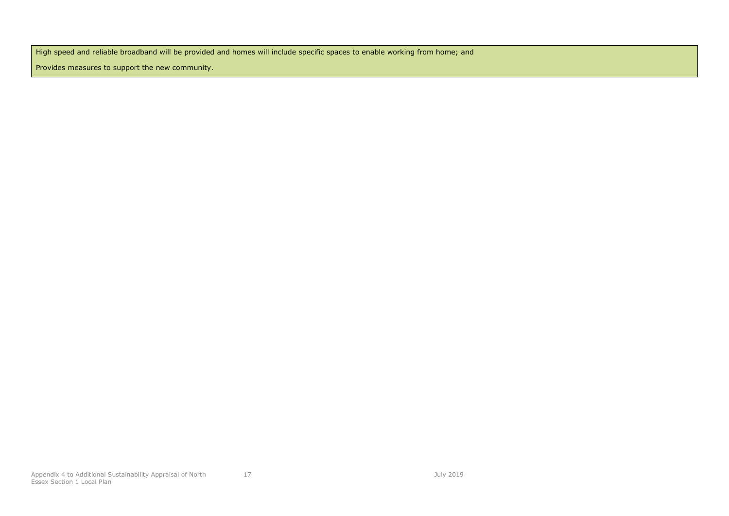High speed and reliable broadband will be provided and homes will include specific spaces to enable working from home; and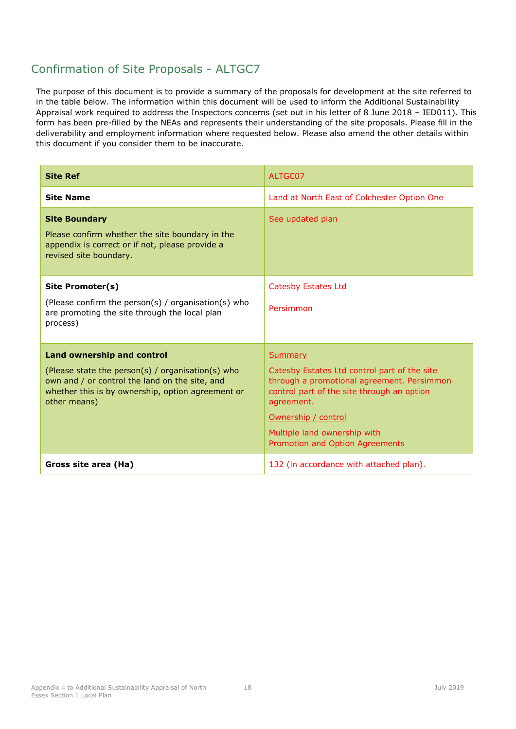<span id="page-21-0"></span>

| <b>Site Ref</b>                                                                                                                                                                                               | ALTGC07                                                                                                                                                                                                                                                            |
|---------------------------------------------------------------------------------------------------------------------------------------------------------------------------------------------------------------|--------------------------------------------------------------------------------------------------------------------------------------------------------------------------------------------------------------------------------------------------------------------|
| <b>Site Name</b>                                                                                                                                                                                              | Land at North East of Colchester Option One                                                                                                                                                                                                                        |
| <b>Site Boundary</b><br>Please confirm whether the site boundary in the<br>appendix is correct or if not, please provide a<br>revised site boundary.                                                          | See updated plan                                                                                                                                                                                                                                                   |
| Site Promoter(s)<br>(Please confirm the person(s) / organisation(s) who<br>are promoting the site through the local plan<br>process)                                                                          | <b>Catesby Estates Ltd</b><br>Persimmon                                                                                                                                                                                                                            |
| <b>Land ownership and control</b><br>(Please state the person(s) / organisation(s) who<br>own and / or control the land on the site, and<br>whether this is by ownership, option agreement or<br>other means) | <b>Summary</b><br>Catesby Estates Ltd control part of the site<br>through a promotional agreement. Persimmon<br>control part of the site through an option<br>agreement.<br>Ownership / control<br>Multiple land ownership with<br>Promotion and Option Agreements |
| Gross site area (Ha)                                                                                                                                                                                          | 132 (in accordance with attached plan).                                                                                                                                                                                                                            |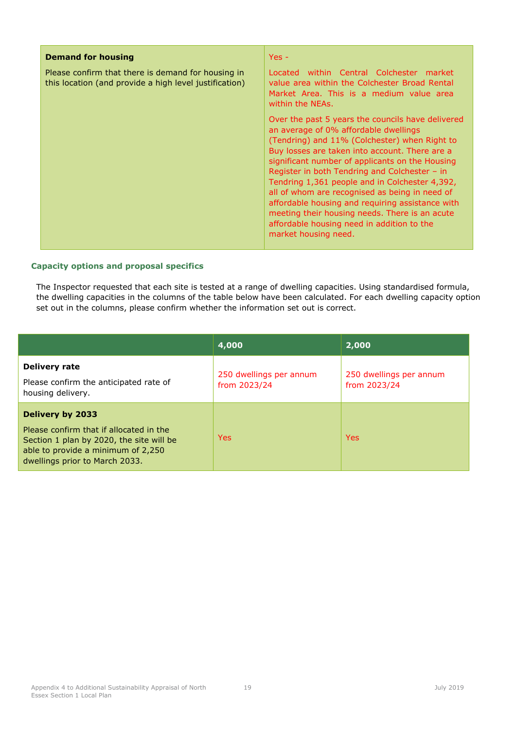| <b>Demand for housing</b>                                                                                    | $Yes -$                                                                                                                                                                                                                                                                                                                                                                                                                                                                                                                                                                           |
|--------------------------------------------------------------------------------------------------------------|-----------------------------------------------------------------------------------------------------------------------------------------------------------------------------------------------------------------------------------------------------------------------------------------------------------------------------------------------------------------------------------------------------------------------------------------------------------------------------------------------------------------------------------------------------------------------------------|
| Please confirm that there is demand for housing in<br>this location (and provide a high level justification) | Located within Central Colchester market<br>value area within the Colchester Broad Rental<br>Market Area. This is a medium value area<br>within the NEAs.                                                                                                                                                                                                                                                                                                                                                                                                                         |
|                                                                                                              | Over the past 5 years the councils have delivered<br>an average of 0% affordable dwellings<br>(Tendring) and 11% (Colchester) when Right to<br>Buy losses are taken into account. There are a<br>significant number of applicants on the Housing<br>Register in both Tendring and Colchester - in<br>Tendring 1,361 people and in Colchester 4,392,<br>all of whom are recognised as being in need of<br>affordable housing and requiring assistance with<br>meeting their housing needs. There is an acute<br>affordable housing need in addition to the<br>market housing need. |

|                                                                                                                                                                                 | 4,000                                   | 2,000                                   |
|---------------------------------------------------------------------------------------------------------------------------------------------------------------------------------|-----------------------------------------|-----------------------------------------|
| Delivery rate<br>Please confirm the anticipated rate of<br>housing delivery.                                                                                                    | 250 dwellings per annum<br>from 2023/24 | 250 dwellings per annum<br>from 2023/24 |
| Delivery by 2033<br>Please confirm that if allocated in the<br>Section 1 plan by 2020, the site will be<br>able to provide a minimum of 2,250<br>dwellings prior to March 2033. | <b>Yes</b>                              | <b>Yes</b>                              |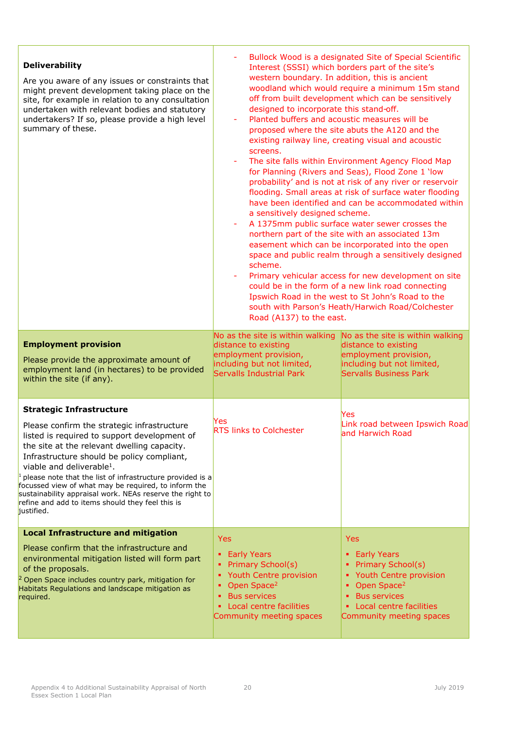| <b>Deliverability</b><br>Are you aware of any issues or constraints that<br>might prevent development taking place on the<br>site, for example in relation to any consultation<br>undertaken with relevant bodies and statutory<br>undertakers? If so, please provide a high level<br>summary of these.                                                                                                                                                                                                                              | western boundary. In addition, this is ancient<br>designed to incorporate this stand-off.<br>Planted buffers and acoustic measures will be<br>screens.<br>a sensitively designed scheme.<br>scheme.<br>Road (A137) to the east. | Bullock Wood is a designated Site of Special Scientific<br>Interest (SSSI) which borders part of the site's<br>woodland which would require a minimum 15m stand<br>off from built development which can be sensitively<br>proposed where the site abuts the A120 and the<br>existing railway line, creating visual and acoustic<br>The site falls within Environment Agency Flood Map<br>for Planning (Rivers and Seas), Flood Zone 1 'low<br>probability' and is not at risk of any river or reservoir<br>flooding. Small areas at risk of surface water flooding<br>have been identified and can be accommodated within<br>A 1375mm public surface water sewer crosses the<br>northern part of the site with an associated 13m<br>easement which can be incorporated into the open<br>space and public realm through a sensitively designed<br>Primary vehicular access for new development on site<br>could be in the form of a new link road connecting<br>Ipswich Road in the west to St John's Road to the<br>south with Parson's Heath/Harwich Road/Colchester |
|--------------------------------------------------------------------------------------------------------------------------------------------------------------------------------------------------------------------------------------------------------------------------------------------------------------------------------------------------------------------------------------------------------------------------------------------------------------------------------------------------------------------------------------|---------------------------------------------------------------------------------------------------------------------------------------------------------------------------------------------------------------------------------|-----------------------------------------------------------------------------------------------------------------------------------------------------------------------------------------------------------------------------------------------------------------------------------------------------------------------------------------------------------------------------------------------------------------------------------------------------------------------------------------------------------------------------------------------------------------------------------------------------------------------------------------------------------------------------------------------------------------------------------------------------------------------------------------------------------------------------------------------------------------------------------------------------------------------------------------------------------------------------------------------------------------------------------------------------------------------|
| <b>Employment provision</b><br>Please provide the approximate amount of<br>employment land (in hectares) to be provided<br>within the site (if any).                                                                                                                                                                                                                                                                                                                                                                                 | No as the site is within walking<br>distance to existing<br>employment provision,<br>including but not limited,<br>Servalls Industrial Park                                                                                     | No as the site is within walking<br>distance to existing<br>employment provision,<br>including but not limited,<br>Servalls Business Park                                                                                                                                                                                                                                                                                                                                                                                                                                                                                                                                                                                                                                                                                                                                                                                                                                                                                                                             |
| <b>Strategic Infrastructure</b><br>Please confirm the strategic infrastructure<br>listed is required to support development of<br>the site at the relevant dwelling capacity.<br>Infrastructure should be policy compliant,<br>viable and deliverable <sup>1</sup> .<br><sup>1</sup> please note that the list of infrastructure provided is a<br>focussed view of what may be required, to inform the<br>sustainability appraisal work. NEAs reserve the right to<br>refine and add to items should they feel this is<br>justified. | Yes<br><b>RTS links to Colchester</b>                                                                                                                                                                                           | Yes<br>Link road between Ipswich Road<br>and Harwich Road                                                                                                                                                                                                                                                                                                                                                                                                                                                                                                                                                                                                                                                                                                                                                                                                                                                                                                                                                                                                             |
| <b>Local Infrastructure and mitigation</b><br>Please confirm that the infrastructure and<br>environmental mitigation listed will form part<br>of the proposals.<br><sup>2</sup> Open Space includes country park, mitigation for<br>Habitats Regulations and landscape mitigation as<br>required.                                                                                                                                                                                                                                    | Yes<br>• Early Years<br><b>Primary School(s)</b><br>٠<br>Youth Centre provision<br>٠<br>Open Space <sup>2</sup><br>٠<br><b>Bus services</b><br>Local centre facilities<br>٠<br>Community meeting spaces                         | <b>Yes</b><br><b>Early Years</b><br>٠<br><b>Primary School(s)</b><br>٠<br>• Youth Centre provision<br>Open Space <sup>2</sup><br>٠<br><b>Bus services</b><br>٠<br>Local centre facilities<br>Community meeting spaces                                                                                                                                                                                                                                                                                                                                                                                                                                                                                                                                                                                                                                                                                                                                                                                                                                                 |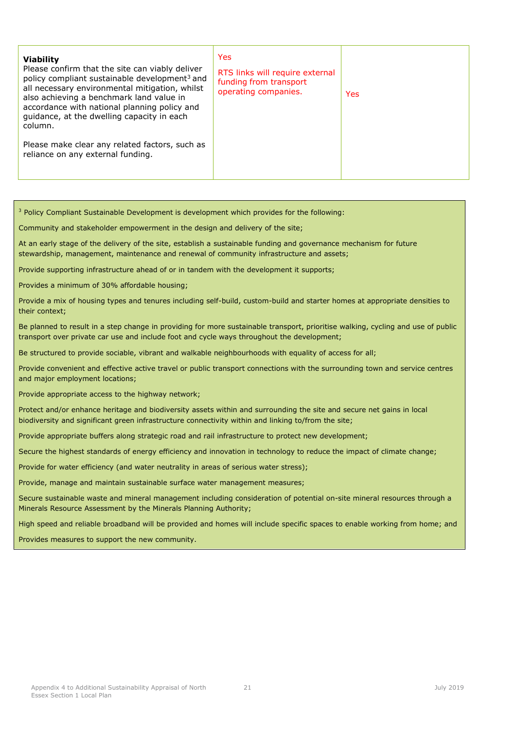| <b>Viability</b><br>Please confirm that the site can viably deliver<br>policy compliant sustainable development <sup>3</sup> and<br>all necessary environmental mitigation, whilst<br>also achieving a benchmark land value in<br>accordance with national planning policy and<br>quidance, at the dwelling capacity in each<br>column. | Yes<br>RTS links will require external<br>funding from transport<br>operating companies. | <b>Yes</b> |
|-----------------------------------------------------------------------------------------------------------------------------------------------------------------------------------------------------------------------------------------------------------------------------------------------------------------------------------------|------------------------------------------------------------------------------------------|------------|
| Please make clear any related factors, such as<br>reliance on any external funding.                                                                                                                                                                                                                                                     |                                                                                          |            |

<sup>3</sup> Policy Compliant Sustainable Development is development which provides for the following: Community and stakeholder empowerment in the design and delivery of the site; At an early stage of the delivery of the site, establish a sustainable funding and governance mechanism for future stewardship, management, maintenance and renewal of community infrastructure and assets; Provide supporting infrastructure ahead of or in tandem with the development it supports; Provides a minimum of 30% affordable housing; Provide a mix of housing types and tenures including self-build, custom-build and starter homes at appropriate densities to their context; Be planned to result in a step change in providing for more sustainable transport, prioritise walking, cycling and use of public transport over private car use and include foot and cycle ways throughout the development; Be structured to provide sociable, vibrant and walkable neighbourhoods with equality of access for all; Provide convenient and effective active travel or public transport connections with the surrounding town and service centres and major employment locations; Provide appropriate access to the highway network; Protect and/or enhance heritage and biodiversity assets within and surrounding the site and secure net gains in local biodiversity and significant green infrastructure connectivity within and linking to/from the site; Provide appropriate buffers along strategic road and rail infrastructure to protect new development; Secure the highest standards of energy efficiency and innovation in technology to reduce the impact of climate change; Provide for water efficiency (and water neutrality in areas of serious water stress); Provide, manage and maintain sustainable surface water management measures; Secure sustainable waste and mineral management including consideration of potential on-site mineral resources through a Minerals Resource Assessment by the Minerals Planning Authority; High speed and reliable broadband will be provided and homes will include specific spaces to enable working from home; and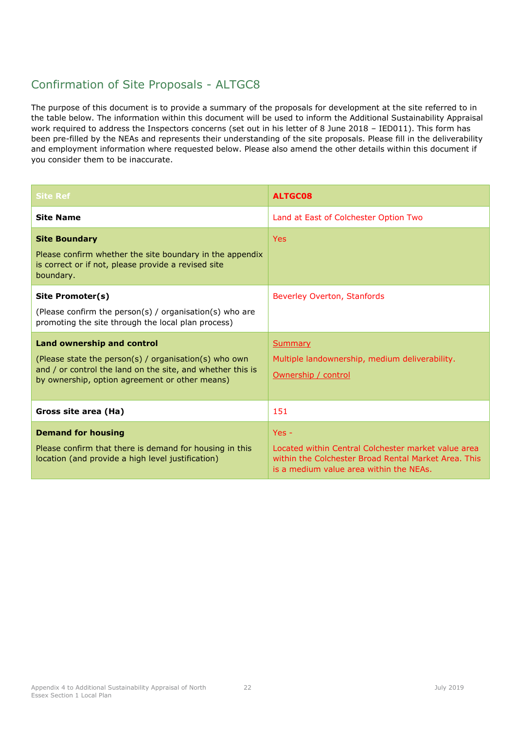<span id="page-25-0"></span>

| <b>Site Ref</b>                                                                                                                                                                                            | <b>ALTGC08</b>                                                                                                                                                    |
|------------------------------------------------------------------------------------------------------------------------------------------------------------------------------------------------------------|-------------------------------------------------------------------------------------------------------------------------------------------------------------------|
| <b>Site Name</b>                                                                                                                                                                                           | Land at East of Colchester Option Two                                                                                                                             |
| <b>Site Boundary</b><br>Please confirm whether the site boundary in the appendix<br>is correct or if not, please provide a revised site<br>boundary.                                                       | <b>Yes</b>                                                                                                                                                        |
| Site Promoter(s)<br>(Please confirm the person(s) / organisation(s) who are<br>promoting the site through the local plan process)                                                                          | Beverley Overton, Stanfords                                                                                                                                       |
| <b>Land ownership and control</b><br>(Please state the person(s) / organisation(s) who own<br>and / or control the land on the site, and whether this is<br>by ownership, option agreement or other means) | <b>Summary</b><br>Multiple landownership, medium deliverability.<br>Ownership / control                                                                           |
| Gross site area (Ha)                                                                                                                                                                                       | 151                                                                                                                                                               |
| <b>Demand for housing</b><br>Please confirm that there is demand for housing in this<br>location (and provide a high level justification)                                                                  | $Yes -$<br>Located within Central Colchester market value area<br>within the Colchester Broad Rental Market Area. This<br>is a medium value area within the NEAs. |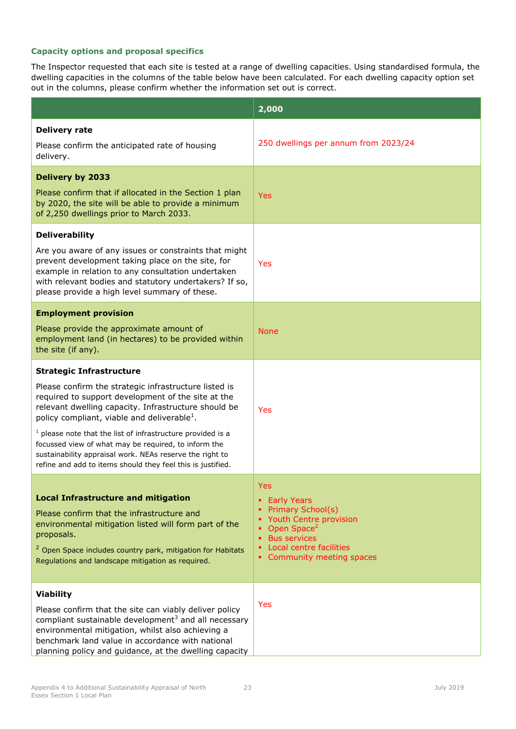|                                                                                                                                                                                                                                                                                               | 2,000                                                                                             |  |
|-----------------------------------------------------------------------------------------------------------------------------------------------------------------------------------------------------------------------------------------------------------------------------------------------|---------------------------------------------------------------------------------------------------|--|
| <b>Delivery rate</b>                                                                                                                                                                                                                                                                          |                                                                                                   |  |
| Please confirm the anticipated rate of housing<br>delivery.                                                                                                                                                                                                                                   | 250 dwellings per annum from 2023/24                                                              |  |
| <b>Delivery by 2033</b>                                                                                                                                                                                                                                                                       |                                                                                                   |  |
| Please confirm that if allocated in the Section 1 plan<br>by 2020, the site will be able to provide a minimum<br>of 2,250 dwellings prior to March 2033.                                                                                                                                      | Yes                                                                                               |  |
| <b>Deliverability</b>                                                                                                                                                                                                                                                                         |                                                                                                   |  |
| Are you aware of any issues or constraints that might<br>prevent development taking place on the site, for<br>example in relation to any consultation undertaken<br>with relevant bodies and statutory undertakers? If so,<br>please provide a high level summary of these.                   | Yes                                                                                               |  |
| <b>Employment provision</b>                                                                                                                                                                                                                                                                   |                                                                                                   |  |
| Please provide the approximate amount of<br>employment land (in hectares) to be provided within<br>the site (if any).                                                                                                                                                                         | <b>None</b>                                                                                       |  |
| <b>Strategic Infrastructure</b>                                                                                                                                                                                                                                                               |                                                                                                   |  |
| Please confirm the strategic infrastructure listed is<br>required to support development of the site at the<br>relevant dwelling capacity. Infrastructure should be<br>policy compliant, viable and deliverable <sup>1</sup> .                                                                | Yes                                                                                               |  |
| $1$ please note that the list of infrastructure provided is a<br>focussed view of what may be required, to inform the<br>sustainability appraisal work. NEAs reserve the right to<br>refine and add to items should they feel this is justified.                                              |                                                                                                   |  |
|                                                                                                                                                                                                                                                                                               | Yes                                                                                               |  |
| <b>Local Infrastructure and mitigation</b>                                                                                                                                                                                                                                                    | • Early Years                                                                                     |  |
| Please confirm that the infrastructure and<br>environmental mitigation listed will form part of the<br>proposals.                                                                                                                                                                             | • Primary School(s)<br>• Youth Centre provision<br>Open Space <sup>2</sup><br><b>Bus services</b> |  |
| <sup>2</sup> Open Space includes country park, mitigation for Habitats<br>Regulations and landscape mitigation as required.                                                                                                                                                                   | Local centre facilities<br>• Community meeting spaces                                             |  |
| <b>Viability</b>                                                                                                                                                                                                                                                                              |                                                                                                   |  |
| Please confirm that the site can viably deliver policy<br>compliant sustainable development <sup>3</sup> and all necessary<br>environmental mitigation, whilst also achieving a<br>benchmark land value in accordance with national<br>planning policy and guidance, at the dwelling capacity | Yes                                                                                               |  |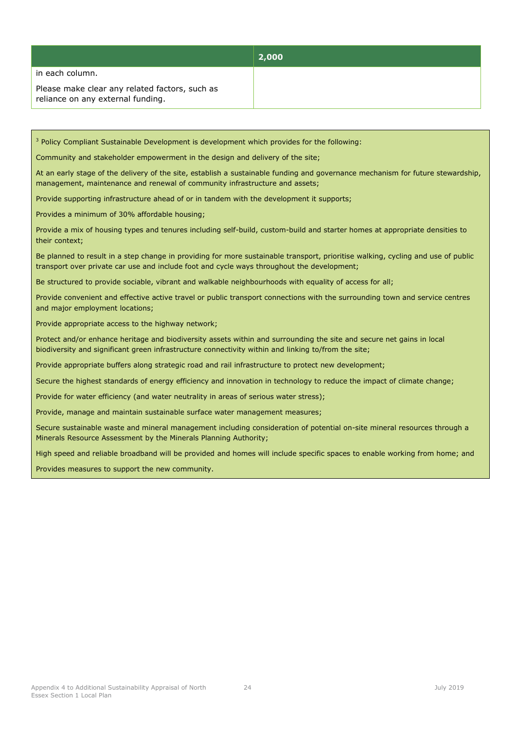|                                                                                     | 2,000 |
|-------------------------------------------------------------------------------------|-------|
| in each column.                                                                     |       |
| Please make clear any related factors, such as<br>reliance on any external funding. |       |

<sup>3</sup> Policy Compliant Sustainable Development is development which provides for the following:

Community and stakeholder empowerment in the design and delivery of the site;

At an early stage of the delivery of the site, establish a sustainable funding and governance mechanism for future stewardship, management, maintenance and renewal of community infrastructure and assets;

Provide supporting infrastructure ahead of or in tandem with the development it supports;

Provides a minimum of 30% affordable housing;

Provide a mix of housing types and tenures including self-build, custom-build and starter homes at appropriate densities to their context;

Be planned to result in a step change in providing for more sustainable transport, prioritise walking, cycling and use of public transport over private car use and include foot and cycle ways throughout the development;

Be structured to provide sociable, vibrant and walkable neighbourhoods with equality of access for all;

Provide convenient and effective active travel or public transport connections with the surrounding town and service centres and major employment locations;

Provide appropriate access to the highway network;

Protect and/or enhance heritage and biodiversity assets within and surrounding the site and secure net gains in local biodiversity and significant green infrastructure connectivity within and linking to/from the site;

Provide appropriate buffers along strategic road and rail infrastructure to protect new development;

Secure the highest standards of energy efficiency and innovation in technology to reduce the impact of climate change;

Provide for water efficiency (and water neutrality in areas of serious water stress);

Provide, manage and maintain sustainable surface water management measures;

Secure sustainable waste and mineral management including consideration of potential on-site mineral resources through a Minerals Resource Assessment by the Minerals Planning Authority;

High speed and reliable broadband will be provided and homes will include specific spaces to enable working from home; and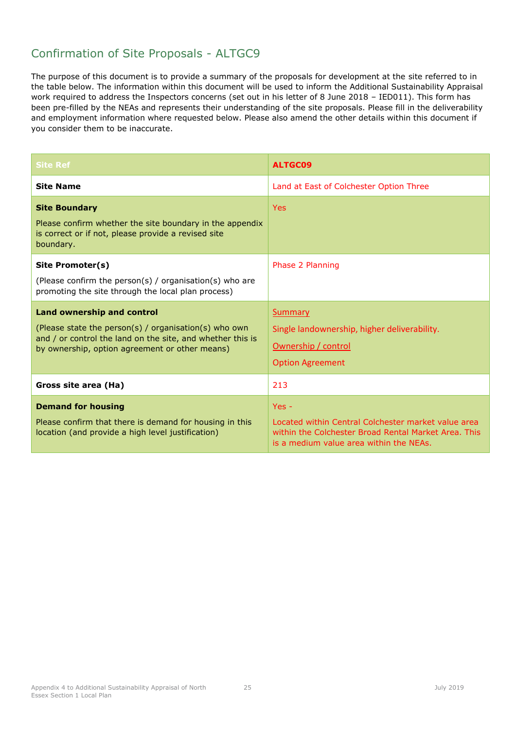<span id="page-28-0"></span>

| <b>Site Ref</b>                                                                                                                                                                                            | <b>ALTGC09</b>                                                                                                                                                    |
|------------------------------------------------------------------------------------------------------------------------------------------------------------------------------------------------------------|-------------------------------------------------------------------------------------------------------------------------------------------------------------------|
| <b>Site Name</b>                                                                                                                                                                                           | Land at East of Colchester Option Three                                                                                                                           |
| <b>Site Boundary</b><br>Please confirm whether the site boundary in the appendix<br>is correct or if not, please provide a revised site<br>boundary.                                                       | <b>Yes</b>                                                                                                                                                        |
| Site Promoter(s)<br>(Please confirm the person(s) / organisation(s) who are<br>promoting the site through the local plan process)                                                                          | Phase 2 Planning                                                                                                                                                  |
| <b>Land ownership and control</b><br>(Please state the person(s) / organisation(s) who own<br>and / or control the land on the site, and whether this is<br>by ownership, option agreement or other means) | Summary<br>Single landownership, higher deliverability.<br>Ownership / control<br><b>Option Agreement</b>                                                         |
| Gross site area (Ha)                                                                                                                                                                                       | 213                                                                                                                                                               |
| <b>Demand for housing</b><br>Please confirm that there is demand for housing in this<br>location (and provide a high level justification)                                                                  | $Yes -$<br>Located within Central Colchester market value area<br>within the Colchester Broad Rental Market Area. This<br>is a medium value area within the NEAs. |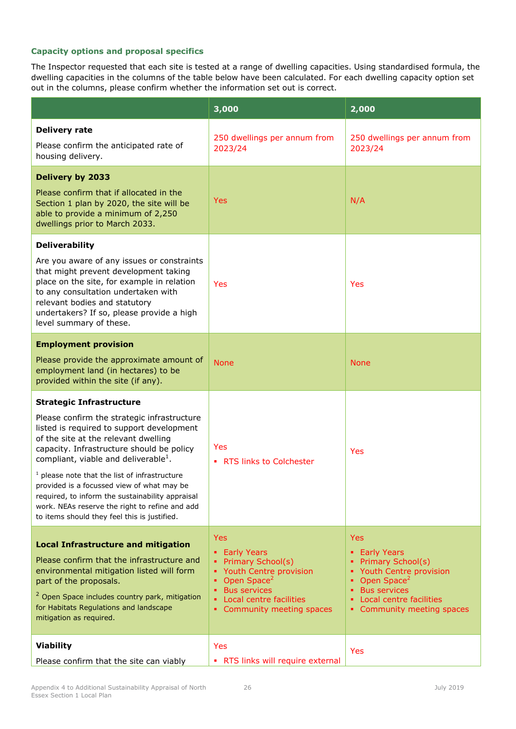|                                                                                                                                                                                                                                                                                                                                                                                                                                                                                                                             | 3,000                                                                                                                                                                                                                    | 2,000                                                                                                                                                                                             |
|-----------------------------------------------------------------------------------------------------------------------------------------------------------------------------------------------------------------------------------------------------------------------------------------------------------------------------------------------------------------------------------------------------------------------------------------------------------------------------------------------------------------------------|--------------------------------------------------------------------------------------------------------------------------------------------------------------------------------------------------------------------------|---------------------------------------------------------------------------------------------------------------------------------------------------------------------------------------------------|
| <b>Delivery rate</b><br>Please confirm the anticipated rate of<br>housing delivery.                                                                                                                                                                                                                                                                                                                                                                                                                                         | 250 dwellings per annum from<br>2023/24                                                                                                                                                                                  | 250 dwellings per annum from<br>2023/24                                                                                                                                                           |
| <b>Delivery by 2033</b><br>Please confirm that if allocated in the<br>Section 1 plan by 2020, the site will be<br>able to provide a minimum of 2,250<br>dwellings prior to March 2033.                                                                                                                                                                                                                                                                                                                                      | <b>Yes</b>                                                                                                                                                                                                               | N/A                                                                                                                                                                                               |
| <b>Deliverability</b><br>Are you aware of any issues or constraints<br>that might prevent development taking<br>place on the site, for example in relation<br>to any consultation undertaken with<br>relevant bodies and statutory<br>undertakers? If so, please provide a high<br>level summary of these.                                                                                                                                                                                                                  | Yes                                                                                                                                                                                                                      | Yes                                                                                                                                                                                               |
| <b>Employment provision</b><br>Please provide the approximate amount of<br>employment land (in hectares) to be<br>provided within the site (if any).                                                                                                                                                                                                                                                                                                                                                                        | <b>None</b>                                                                                                                                                                                                              | <b>None</b>                                                                                                                                                                                       |
| <b>Strategic Infrastructure</b><br>Please confirm the strategic infrastructure<br>listed is required to support development<br>of the site at the relevant dwelling<br>capacity. Infrastructure should be policy<br>compliant, viable and deliverable <sup>1</sup> .<br>$1$ please note that the list of infrastructure<br>provided is a focussed view of what may be<br>required, to inform the sustainability appraisal<br>work. NEAs reserve the right to refine and add<br>to items should they feel this is justified. | Yes<br>• RTS links to Colchester                                                                                                                                                                                         | Yes                                                                                                                                                                                               |
| <b>Local Infrastructure and mitigation</b><br>Please confirm that the infrastructure and<br>environmental mitigation listed will form<br>part of the proposals.<br><sup>2</sup> Open Space includes country park, mitigation<br>for Habitats Regulations and landscape<br>mitigation as required.                                                                                                                                                                                                                           | <b>Yes</b><br>• Early Years<br><b>Primary School(s)</b><br>٠<br>Youth Centre provision<br>٠<br>Open Space <sup>2</sup><br>٠<br><b>Bus services</b><br>٠<br>Local centre facilities<br>٠<br>Community meeting spaces<br>٠ | <b>Yes</b><br>• Early Years<br><b>Primary School(s)</b><br><b>Youth Centre provision</b><br>Open Space <sup>2</sup><br><b>Bus services</b><br>Local centre facilities<br>Community meeting spaces |
| <b>Viability</b><br>Please confirm that the site can viably                                                                                                                                                                                                                                                                                                                                                                                                                                                                 | Yes<br>• RTS links will require external                                                                                                                                                                                 | Yes                                                                                                                                                                                               |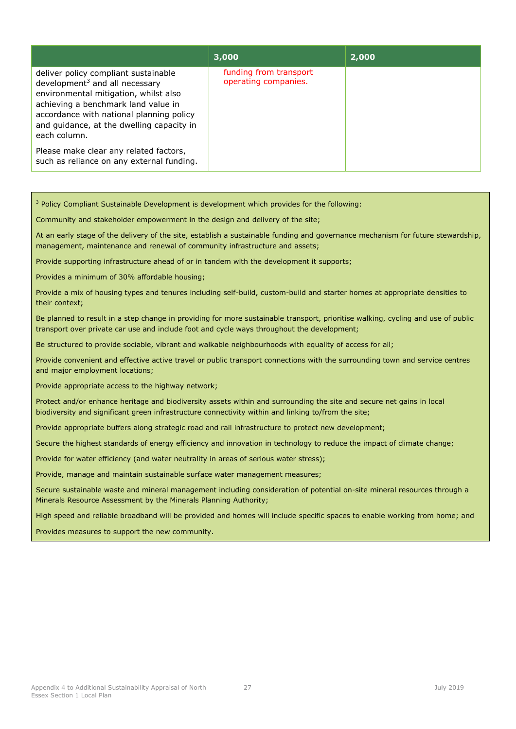|                                                                                                                                                                                                                                                                             | 3,000                                          | 2,000 |
|-----------------------------------------------------------------------------------------------------------------------------------------------------------------------------------------------------------------------------------------------------------------------------|------------------------------------------------|-------|
| deliver policy compliant sustainable<br>development <sup>3</sup> and all necessary<br>environmental mitigation, whilst also<br>achieving a benchmark land value in<br>accordance with national planning policy<br>and guidance, at the dwelling capacity in<br>each column. | funding from transport<br>operating companies. |       |
| Please make clear any related factors,<br>such as reliance on any external funding.                                                                                                                                                                                         |                                                |       |

<sup>3</sup> Policy Compliant Sustainable Development is development which provides for the following:

Community and stakeholder empowerment in the design and delivery of the site;

At an early stage of the delivery of the site, establish a sustainable funding and governance mechanism for future stewardship, management, maintenance and renewal of community infrastructure and assets;

Provide supporting infrastructure ahead of or in tandem with the development it supports;

Provides a minimum of 30% affordable housing;

Provide a mix of housing types and tenures including self-build, custom-build and starter homes at appropriate densities to their context;

Be planned to result in a step change in providing for more sustainable transport, prioritise walking, cycling and use of public transport over private car use and include foot and cycle ways throughout the development;

Be structured to provide sociable, vibrant and walkable neighbourhoods with equality of access for all;

Provide convenient and effective active travel or public transport connections with the surrounding town and service centres and major employment locations;

Provide appropriate access to the highway network;

Protect and/or enhance heritage and biodiversity assets within and surrounding the site and secure net gains in local biodiversity and significant green infrastructure connectivity within and linking to/from the site;

Provide appropriate buffers along strategic road and rail infrastructure to protect new development;

Secure the highest standards of energy efficiency and innovation in technology to reduce the impact of climate change;

Provide for water efficiency (and water neutrality in areas of serious water stress);

Provide, manage and maintain sustainable surface water management measures;

Secure sustainable waste and mineral management including consideration of potential on-site mineral resources through a Minerals Resource Assessment by the Minerals Planning Authority;

High speed and reliable broadband will be provided and homes will include specific spaces to enable working from home; and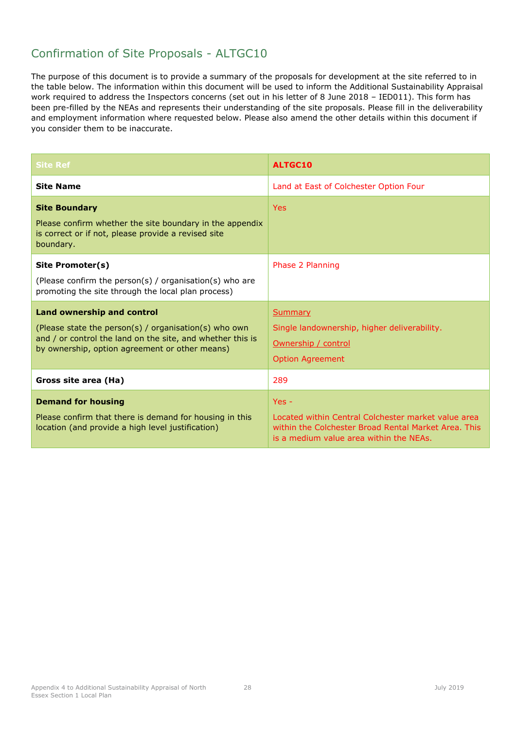<span id="page-31-0"></span>

| <b>Site Ref</b>                                                                                                                                                                                     | ALTGC10                                                                                                                                                           |
|-----------------------------------------------------------------------------------------------------------------------------------------------------------------------------------------------------|-------------------------------------------------------------------------------------------------------------------------------------------------------------------|
| <b>Site Name</b>                                                                                                                                                                                    | Land at East of Colchester Option Four                                                                                                                            |
| <b>Site Boundary</b><br>Please confirm whether the site boundary in the appendix<br>is correct or if not, please provide a revised site<br>boundary.                                                | <b>Yes</b>                                                                                                                                                        |
| Site Promoter(s)<br>(Please confirm the person(s) / organisation(s) who are<br>promoting the site through the local plan process)                                                                   | Phase 2 Planning                                                                                                                                                  |
| Land ownership and control<br>(Please state the person(s) / organisation(s) who own<br>and / or control the land on the site, and whether this is<br>by ownership, option agreement or other means) | Summary<br>Single landownership, higher deliverability.<br>Ownership / control<br><b>Option Agreement</b>                                                         |
| Gross site area (Ha)                                                                                                                                                                                | 289                                                                                                                                                               |
| <b>Demand for housing</b><br>Please confirm that there is demand for housing in this<br>location (and provide a high level justification)                                                           | $Yes -$<br>Located within Central Colchester market value area<br>within the Colchester Broad Rental Market Area. This<br>is a medium value area within the NEAs. |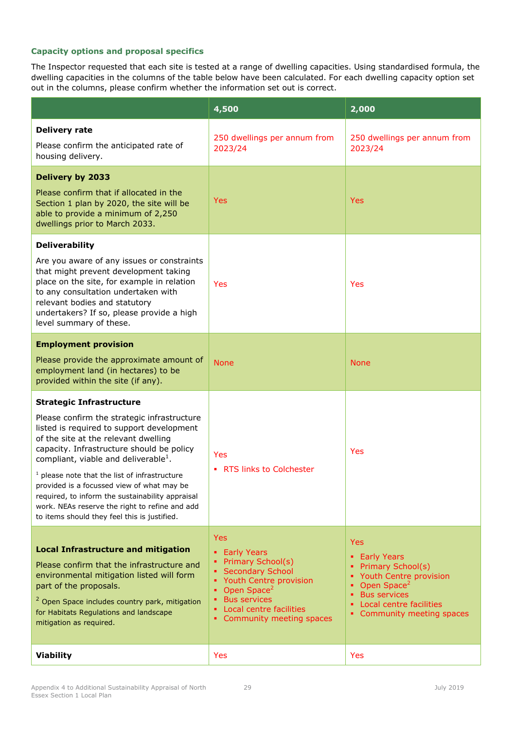|                                                                                                                                                                                                                                                                                                                                                                                                                                                                                                                             | 4,500                                                                                                                                                                                                                                          | 2,000                                                                                                                                                                                  |
|-----------------------------------------------------------------------------------------------------------------------------------------------------------------------------------------------------------------------------------------------------------------------------------------------------------------------------------------------------------------------------------------------------------------------------------------------------------------------------------------------------------------------------|------------------------------------------------------------------------------------------------------------------------------------------------------------------------------------------------------------------------------------------------|----------------------------------------------------------------------------------------------------------------------------------------------------------------------------------------|
| <b>Delivery rate</b><br>Please confirm the anticipated rate of<br>housing delivery.                                                                                                                                                                                                                                                                                                                                                                                                                                         | 250 dwellings per annum from<br>2023/24                                                                                                                                                                                                        | 250 dwellings per annum from<br>2023/24                                                                                                                                                |
| <b>Delivery by 2033</b><br>Please confirm that if allocated in the<br>Section 1 plan by 2020, the site will be<br>able to provide a minimum of 2,250<br>dwellings prior to March 2033.                                                                                                                                                                                                                                                                                                                                      | <b>Yes</b>                                                                                                                                                                                                                                     | <b>Yes</b>                                                                                                                                                                             |
| <b>Deliverability</b><br>Are you aware of any issues or constraints<br>that might prevent development taking<br>place on the site, for example in relation<br>to any consultation undertaken with<br>relevant bodies and statutory<br>undertakers? If so, please provide a high<br>level summary of these.                                                                                                                                                                                                                  | <b>Yes</b>                                                                                                                                                                                                                                     | Yes                                                                                                                                                                                    |
| <b>Employment provision</b><br>Please provide the approximate amount of<br>employment land (in hectares) to be<br>provided within the site (if any).                                                                                                                                                                                                                                                                                                                                                                        | <b>None</b>                                                                                                                                                                                                                                    | <b>None</b>                                                                                                                                                                            |
| <b>Strategic Infrastructure</b><br>Please confirm the strategic infrastructure<br>listed is required to support development<br>of the site at the relevant dwelling<br>capacity. Infrastructure should be policy<br>compliant, viable and deliverable <sup>1</sup> .<br>$1$ please note that the list of infrastructure<br>provided is a focussed view of what may be<br>required, to inform the sustainability appraisal<br>work. NEAs reserve the right to refine and add<br>to items should they feel this is justified. | Yes<br>• RTS links to Colchester                                                                                                                                                                                                               | Yes                                                                                                                                                                                    |
| <b>Local Infrastructure and mitigation</b><br>Please confirm that the infrastructure and<br>environmental mitigation listed will form<br>part of the proposals.<br><sup>2</sup> Open Space includes country park, mitigation<br>for Habitats Regulations and landscape<br>mitigation as required.                                                                                                                                                                                                                           | <b>Yes</b><br>• Early Years<br><b>Primary School(s)</b><br><b>Secondary School</b><br>٠<br>Youth Centre provision<br>٠<br>Open Space <sup>2</sup><br>٠<br><b>Bus services</b><br>٠<br>Local centre facilities<br>٠<br>Community meeting spaces | Yes<br><b>Early Years</b><br>Primary School(s)<br>Youth Centre provision<br>Open Space <sup>2</sup><br>٠<br><b>Bus services</b><br>Local centre facilities<br>Community meeting spaces |
| <b>Viability</b>                                                                                                                                                                                                                                                                                                                                                                                                                                                                                                            | <b>Yes</b>                                                                                                                                                                                                                                     | Yes                                                                                                                                                                                    |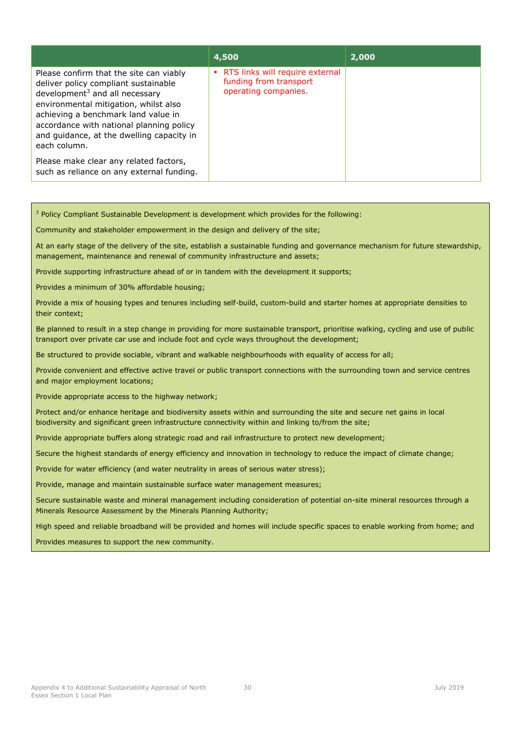|                                                                                                                                                                                                                                                                                                               | 4,500                                                                               | 2,000 |
|---------------------------------------------------------------------------------------------------------------------------------------------------------------------------------------------------------------------------------------------------------------------------------------------------------------|-------------------------------------------------------------------------------------|-------|
| Please confirm that the site can viably<br>deliver policy compliant sustainable<br>development $3$ and all necessary<br>environmental mitigation, whilst also<br>achieving a benchmark land value in<br>accordance with national planning policy<br>and guidance, at the dwelling capacity in<br>each column. | • RTS links will require external<br>funding from transport<br>operating companies. |       |
| Please make clear any related factors,<br>such as reliance on any external funding.                                                                                                                                                                                                                           |                                                                                     |       |

<sup>3</sup> Policy Compliant Sustainable Development is development which provides for the following:

Community and stakeholder empowerment in the design and delivery of the site;

At an early stage of the delivery of the site, establish a sustainable funding and governance mechanism for future stewardship, management, maintenance and renewal of community infrastructure and assets;

Provide supporting infrastructure ahead of or in tandem with the development it supports;

Provides a minimum of 30% affordable housing;

Provide a mix of housing types and tenures including self-build, custom-build and starter homes at appropriate densities to their context;

Be planned to result in a step change in providing for more sustainable transport, prioritise walking, cycling and use of public transport over private car use and include foot and cycle ways throughout the development;

Be structured to provide sociable, vibrant and walkable neighbourhoods with equality of access for all;

Provide convenient and effective active travel or public transport connections with the surrounding town and service centres and major employment locations;

Provide appropriate access to the highway network;

Protect and/or enhance heritage and biodiversity assets within and surrounding the site and secure net gains in local biodiversity and significant green infrastructure connectivity within and linking to/from the site;

Provide appropriate buffers along strategic road and rail infrastructure to protect new development;

Secure the highest standards of energy efficiency and innovation in technology to reduce the impact of climate change;

Provide for water efficiency (and water neutrality in areas of serious water stress);

Provide, manage and maintain sustainable surface water management measures;

Secure sustainable waste and mineral management including consideration of potential on-site mineral resources through a Minerals Resource Assessment by the Minerals Planning Authority;

High speed and reliable broadband will be provided and homes will include specific spaces to enable working from home; and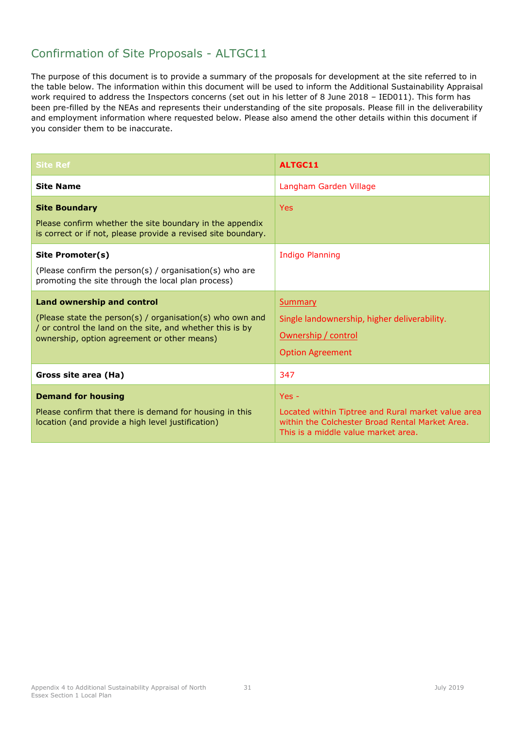<span id="page-34-0"></span>

| <b>Site Ref</b>                                                                                                                                                                                     | <b>ALTGC11</b>                                                                                                                                          |  |
|-----------------------------------------------------------------------------------------------------------------------------------------------------------------------------------------------------|---------------------------------------------------------------------------------------------------------------------------------------------------------|--|
| <b>Site Name</b>                                                                                                                                                                                    | Langham Garden Village                                                                                                                                  |  |
| <b>Site Boundary</b><br>Please confirm whether the site boundary in the appendix<br>is correct or if not, please provide a revised site boundary.                                                   | <b>Yes</b>                                                                                                                                              |  |
| Site Promoter(s)<br>(Please confirm the person(s) / organisation(s) who are<br>promoting the site through the local plan process)                                                                   | <b>Indigo Planning</b>                                                                                                                                  |  |
| Land ownership and control<br>(Please state the person(s) / organisation(s) who own and<br>/ or control the land on the site, and whether this is by<br>ownership, option agreement or other means) | Summary<br>Single landownership, higher deliverability.<br>Ownership / control<br><b>Option Agreement</b>                                               |  |
| Gross site area (Ha)                                                                                                                                                                                | 347                                                                                                                                                     |  |
| <b>Demand for housing</b><br>Please confirm that there is demand for housing in this<br>location (and provide a high level justification)                                                           | $Yes -$<br>Located within Tiptree and Rural market value area<br>within the Colchester Broad Rental Market Area.<br>This is a middle value market area. |  |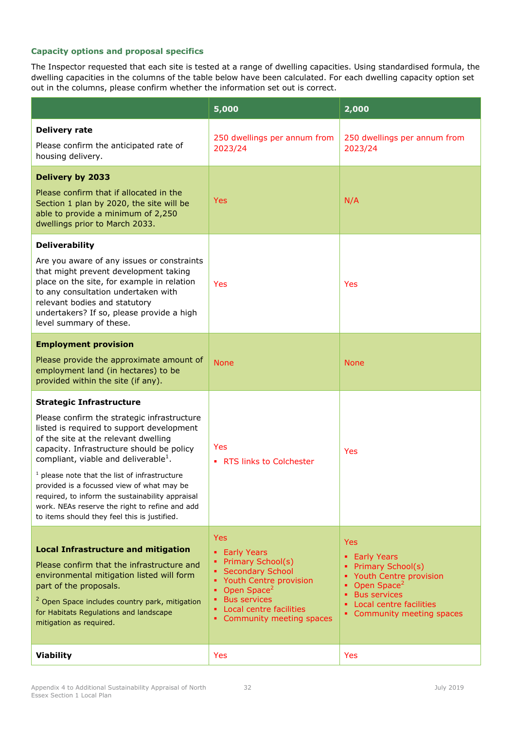|                                                                                                                                                                                                                                                                                                                                                                                                                                                                                                                             | 5,000                                                                                                                                                                                                                                        | 2,000                                                                                                                                                                                         |
|-----------------------------------------------------------------------------------------------------------------------------------------------------------------------------------------------------------------------------------------------------------------------------------------------------------------------------------------------------------------------------------------------------------------------------------------------------------------------------------------------------------------------------|----------------------------------------------------------------------------------------------------------------------------------------------------------------------------------------------------------------------------------------------|-----------------------------------------------------------------------------------------------------------------------------------------------------------------------------------------------|
| <b>Delivery rate</b><br>Please confirm the anticipated rate of<br>housing delivery.                                                                                                                                                                                                                                                                                                                                                                                                                                         | 250 dwellings per annum from<br>2023/24                                                                                                                                                                                                      | 250 dwellings per annum from<br>2023/24                                                                                                                                                       |
| <b>Delivery by 2033</b><br>Please confirm that if allocated in the<br>Section 1 plan by 2020, the site will be<br>able to provide a minimum of 2,250<br>dwellings prior to March 2033.                                                                                                                                                                                                                                                                                                                                      | <b>Yes</b>                                                                                                                                                                                                                                   | N/A                                                                                                                                                                                           |
| <b>Deliverability</b><br>Are you aware of any issues or constraints<br>that might prevent development taking<br>place on the site, for example in relation<br>to any consultation undertaken with<br>relevant bodies and statutory<br>undertakers? If so, please provide a high<br>level summary of these.                                                                                                                                                                                                                  | <b>Yes</b>                                                                                                                                                                                                                                   | Yes                                                                                                                                                                                           |
| <b>Employment provision</b><br>Please provide the approximate amount of<br>employment land (in hectares) to be<br>provided within the site (if any).                                                                                                                                                                                                                                                                                                                                                                        | <b>None</b>                                                                                                                                                                                                                                  | <b>None</b>                                                                                                                                                                                   |
| <b>Strategic Infrastructure</b><br>Please confirm the strategic infrastructure<br>listed is required to support development<br>of the site at the relevant dwelling<br>capacity. Infrastructure should be policy<br>compliant, viable and deliverable <sup>1</sup> .<br>$1$ please note that the list of infrastructure<br>provided is a focussed view of what may be<br>required, to inform the sustainability appraisal<br>work. NEAs reserve the right to refine and add<br>to items should they feel this is justified. | Yes<br>• RTS links to Colchester                                                                                                                                                                                                             | Yes                                                                                                                                                                                           |
| <b>Local Infrastructure and mitigation</b><br>Please confirm that the infrastructure and<br>environmental mitigation listed will form<br>part of the proposals.<br><sup>2</sup> Open Space includes country park, mitigation<br>for Habitats Regulations and landscape<br>mitigation as required.                                                                                                                                                                                                                           | <b>Yes</b><br><b>Early Years</b><br>٠<br>Primary School(s)<br><b>Secondary School</b><br>٠<br>Youth Centre provision<br>٠<br>Open Space <sup>2</sup><br>٠<br><b>Bus services</b><br>٠<br>Local centre facilities<br>Community meeting spaces | <b>Yes</b><br><b>Early Years</b><br>٠<br>Primary School(s)<br>Youth Centre provision<br>Open Space <sup>2</sup><br><b>Bus services</b><br>Local centre facilities<br>Community meeting spaces |
| <b>Viability</b>                                                                                                                                                                                                                                                                                                                                                                                                                                                                                                            | Yes                                                                                                                                                                                                                                          | Yes                                                                                                                                                                                           |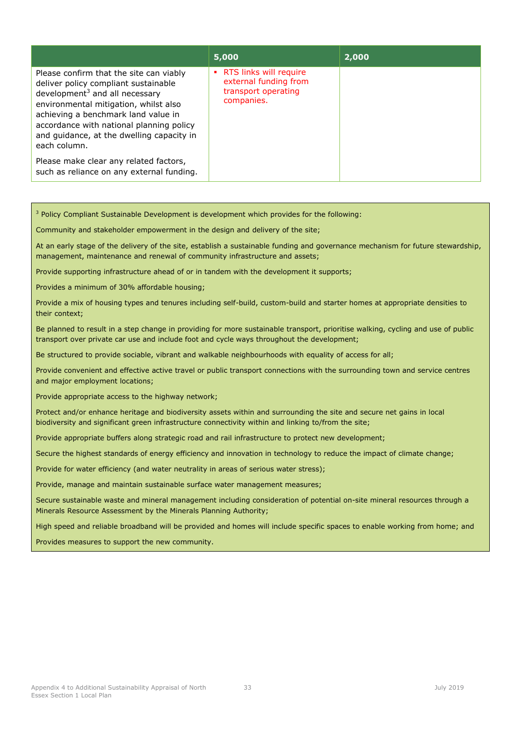|                                                                                                                                                                                                                                                                                                               | 5,000                                                                                  | 2,000 |
|---------------------------------------------------------------------------------------------------------------------------------------------------------------------------------------------------------------------------------------------------------------------------------------------------------------|----------------------------------------------------------------------------------------|-------|
| Please confirm that the site can viably<br>deliver policy compliant sustainable<br>development $3$ and all necessary<br>environmental mitigation, whilst also<br>achieving a benchmark land value in<br>accordance with national planning policy<br>and guidance, at the dwelling capacity in<br>each column. | • RTS links will require<br>external funding from<br>transport operating<br>companies. |       |
| Please make clear any related factors,<br>such as reliance on any external funding.                                                                                                                                                                                                                           |                                                                                        |       |

| <sup>3</sup> Policy Compliant Sustainable Development is development which provides for the following:                                                                                                                         |
|--------------------------------------------------------------------------------------------------------------------------------------------------------------------------------------------------------------------------------|
| Community and stakeholder empowerment in the design and delivery of the site;                                                                                                                                                  |
| At an early stage of the delivery of the site, establish a sustainable funding and governance mechanism for future stewardship,<br>management, maintenance and renewal of community infrastructure and assets;                 |
| Provide supporting infrastructure ahead of or in tandem with the development it supports;                                                                                                                                      |
| Provides a minimum of 30% affordable housing;                                                                                                                                                                                  |
| Provide a mix of housing types and tenures including self-build, custom-build and starter homes at appropriate densities to<br>their context;                                                                                  |
| Be planned to result in a step change in providing for more sustainable transport, prioritise walking, cycling and use of public<br>transport over private car use and include foot and cycle ways throughout the development; |
| Be structured to provide sociable, vibrant and walkable neighbourhoods with equality of access for all;                                                                                                                        |
| Provide convenient and effective active travel or public transport connections with the surrounding town and service centres<br>and major employment locations;                                                                |
| Provide appropriate access to the highway network;                                                                                                                                                                             |
| Protect and/or enhance heritage and biodiversity assets within and surrounding the site and secure net gains in local<br>biodiversity and significant green infrastructure connectivity within and linking to/from the site;   |
| Provide appropriate buffers along strategic road and rail infrastructure to protect new development;                                                                                                                           |
| Secure the highest standards of energy efficiency and innovation in technology to reduce the impact of climate change;                                                                                                         |
| Provide for water efficiency (and water neutrality in areas of serious water stress);                                                                                                                                          |
| Provide, manage and maintain sustainable surface water management measures;                                                                                                                                                    |
| Secure sustainable waste and mineral management including consideration of potential on-site mineral resources through a<br>Minerals Resource Assessment by the Minerals Planning Authority;                                   |
| High speed and reliable broadband will be provided and homes will include specific spaces to enable working from home; and                                                                                                     |
| Provides measures to support the new community.                                                                                                                                                                                |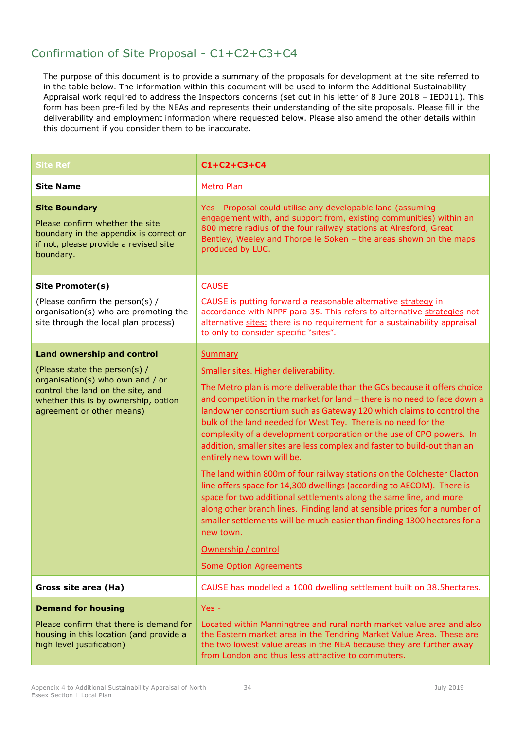# Confirmation of Site Proposal - C1+C2+C3+C4

| <b>Site Ref</b>                                                                                                                                                             | $C1 + C2 + C3 + C4$                                                                                                                                                                                                                                                                                                                                                                                                                                                                                                                                                                                                                                                                                                                                                                                                                                                                                                                                                               |
|-----------------------------------------------------------------------------------------------------------------------------------------------------------------------------|-----------------------------------------------------------------------------------------------------------------------------------------------------------------------------------------------------------------------------------------------------------------------------------------------------------------------------------------------------------------------------------------------------------------------------------------------------------------------------------------------------------------------------------------------------------------------------------------------------------------------------------------------------------------------------------------------------------------------------------------------------------------------------------------------------------------------------------------------------------------------------------------------------------------------------------------------------------------------------------|
| <b>Site Name</b>                                                                                                                                                            | <b>Metro Plan</b>                                                                                                                                                                                                                                                                                                                                                                                                                                                                                                                                                                                                                                                                                                                                                                                                                                                                                                                                                                 |
| <b>Site Boundary</b><br>Please confirm whether the site<br>boundary in the appendix is correct or<br>if not, please provide a revised site<br>boundary.                     | Yes - Proposal could utilise any developable land (assuming<br>engagement with, and support from, existing communities) within an<br>800 metre radius of the four railway stations at Alresford, Great<br>Bentley, Weeley and Thorpe le Soken - the areas shown on the maps<br>produced by LUC.                                                                                                                                                                                                                                                                                                                                                                                                                                                                                                                                                                                                                                                                                   |
| Site Promoter(s)                                                                                                                                                            | <b>CAUSE</b>                                                                                                                                                                                                                                                                                                                                                                                                                                                                                                                                                                                                                                                                                                                                                                                                                                                                                                                                                                      |
| (Please confirm the person(s) /<br>organisation(s) who are promoting the<br>site through the local plan process)                                                            | CAUSE is putting forward a reasonable alternative strategy in<br>accordance with NPPF para 35. This refers to alternative strategies not<br>alternative sites: there is no requirement for a sustainability appraisal<br>to only to consider specific "sites".                                                                                                                                                                                                                                                                                                                                                                                                                                                                                                                                                                                                                                                                                                                    |
| <b>Land ownership and control</b>                                                                                                                                           | <b>Summary</b>                                                                                                                                                                                                                                                                                                                                                                                                                                                                                                                                                                                                                                                                                                                                                                                                                                                                                                                                                                    |
| (Please state the person(s) /<br>organisation(s) who own and / or<br>control the land on the site, and<br>whether this is by ownership, option<br>agreement or other means) | Smaller sites. Higher deliverability.<br>The Metro plan is more deliverable than the GCs because it offers choice<br>and competition in the market for land - there is no need to face down a<br>landowner consortium such as Gateway 120 which claims to control the<br>bulk of the land needed for West Tey. There is no need for the<br>complexity of a development corporation or the use of CPO powers. In<br>addition, smaller sites are less complex and faster to build-out than an<br>entirely new town will be.<br>The land within 800m of four railway stations on the Colchester Clacton<br>line offers space for 14,300 dwellings (according to AECOM). There is<br>space for two additional settlements along the same line, and more<br>along other branch lines. Finding land at sensible prices for a number of<br>smaller settlements will be much easier than finding 1300 hectares for a<br>new town.<br>Ownership / control<br><b>Some Option Agreements</b> |
| Gross site area (Ha)                                                                                                                                                        | CAUSE has modelled a 1000 dwelling settlement built on 38.5hectares.                                                                                                                                                                                                                                                                                                                                                                                                                                                                                                                                                                                                                                                                                                                                                                                                                                                                                                              |
| <b>Demand for housing</b><br>Please confirm that there is demand for<br>housing in this location (and provide a<br>high level justification)                                | $Yes -$<br>Located within Manningtree and rural north market value area and also<br>the Eastern market area in the Tendring Market Value Area. These are<br>the two lowest value areas in the NEA because they are further away<br>from London and thus less attractive to commuters.                                                                                                                                                                                                                                                                                                                                                                                                                                                                                                                                                                                                                                                                                             |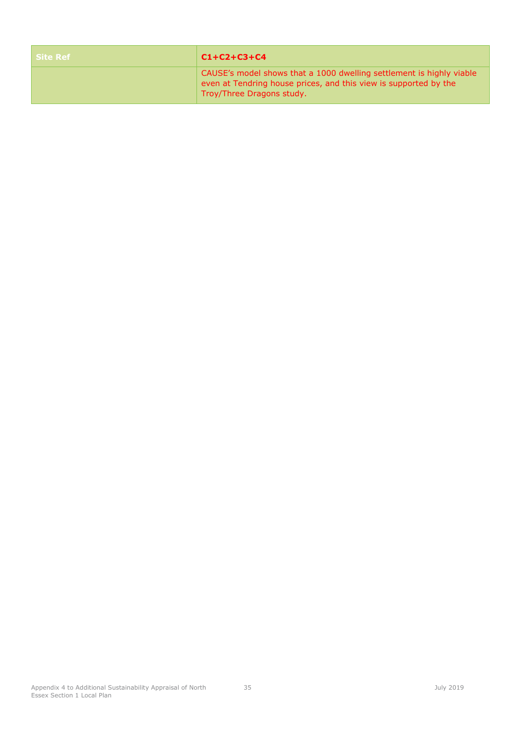| <b>Site Ref</b> | $C1 + C2 + C3 + C4$                                                                                                                                                   |
|-----------------|-----------------------------------------------------------------------------------------------------------------------------------------------------------------------|
|                 | CAUSE's model shows that a 1000 dwelling settlement is highly viable<br>even at Tendring house prices, and this view is supported by the<br>Troy/Three Dragons study. |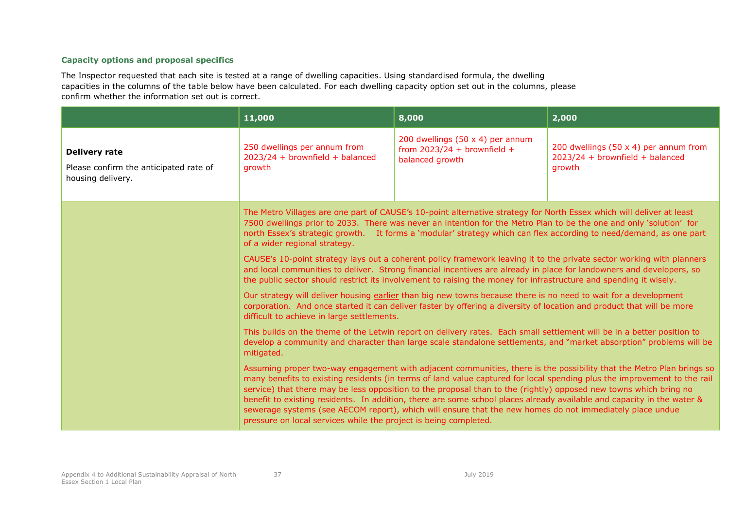|                                                                                     | 11,000                                                                                                                                                                                                                                                                                                                                                                                             | 8,000                                                                                                                                                                                                                         | 2,000                                                                                                                                                                                                                                                                                                                                                                      |
|-------------------------------------------------------------------------------------|----------------------------------------------------------------------------------------------------------------------------------------------------------------------------------------------------------------------------------------------------------------------------------------------------------------------------------------------------------------------------------------------------|-------------------------------------------------------------------------------------------------------------------------------------------------------------------------------------------------------------------------------|----------------------------------------------------------------------------------------------------------------------------------------------------------------------------------------------------------------------------------------------------------------------------------------------------------------------------------------------------------------------------|
| <b>Delivery rate</b><br>Please confirm the anticipated rate of<br>housing delivery. | 250 dwellings per annum from<br>$2023/24 + brownfield + balanceed$<br>arowth                                                                                                                                                                                                                                                                                                                       | 200 dwellings (50 x 4) per annum<br>from $2023/24 +$ brownfield +<br>balanced growth                                                                                                                                          | 200 dwellings (50 $\times$ 4) per annum from<br>$2023/24 + brownfield + balanceed$<br>arowth                                                                                                                                                                                                                                                                               |
|                                                                                     | The Metro Villages are one part of CAUSE's 10-point alternative strategy for North Essex which will deliver at least<br>7500 dwellings prior to 2033. There was never an intention for the Metro Plan to be the one and only 'solution' for<br>north Essex's strategic growth. It forms a 'modular' strategy which can flex according to need/demand, as one part<br>of a wider regional strategy. |                                                                                                                                                                                                                               |                                                                                                                                                                                                                                                                                                                                                                            |
|                                                                                     | CAUSE's 10-point strategy lays out a coherent policy framework leaving it to the private sector working with planners<br>and local communities to deliver. Strong financial incentives are already in place for landowners and developers, so<br>the public sector should restrict its involvement to raising the money for infrastructure and spending it wisely.                                 |                                                                                                                                                                                                                               |                                                                                                                                                                                                                                                                                                                                                                            |
|                                                                                     | Our strategy will deliver housing earlier than big new towns because there is no need to wait for a development<br>corporation. And once started it can deliver faster by offering a diversity of location and product that will be more<br>difficult to achieve in large settlements.                                                                                                             |                                                                                                                                                                                                                               |                                                                                                                                                                                                                                                                                                                                                                            |
|                                                                                     | This builds on the theme of the Letwin report on delivery rates. Each small settlement will be in a better position to<br>develop a community and character than large scale standalone settlements, and "market absorption" problems will be<br>mitigated.                                                                                                                                        |                                                                                                                                                                                                                               |                                                                                                                                                                                                                                                                                                                                                                            |
|                                                                                     | pressure on local services while the project is being completed.                                                                                                                                                                                                                                                                                                                                   | service) that there may be less opposition to the proposal than to the (rightly) opposed new towns which bring no<br>sewerage systems (see AECOM report), which will ensure that the new homes do not immediately place undue | Assuming proper two-way engagement with adjacent communities, there is the possibility that the Metro Plan brings so<br>many benefits to existing residents (in terms of land value captured for local spending plus the improvement to the rail<br>benefit to existing residents. In addition, there are some school places already available and capacity in the water & |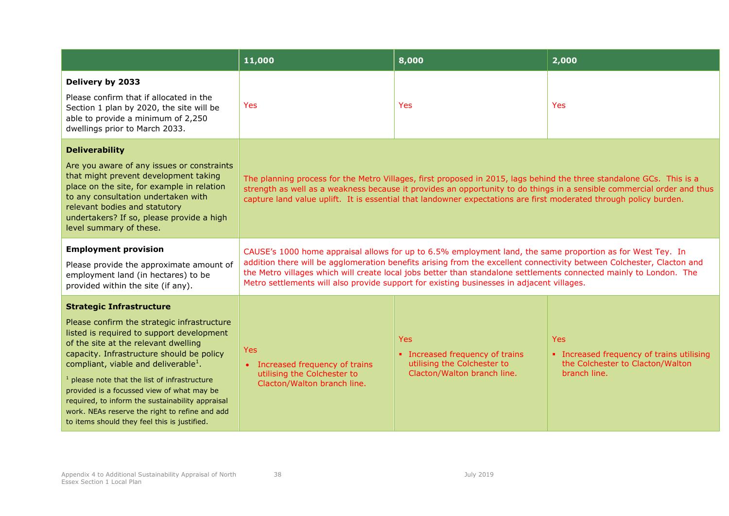|                                                                                                                                                                                                                                                                                                                                                                                                                                                                                                                             | 11,000                                                                                                                                                                                                                                                                                                                                                                                                                                                 | 8,000                                                                                                       | 2,000                                                                                                       |
|-----------------------------------------------------------------------------------------------------------------------------------------------------------------------------------------------------------------------------------------------------------------------------------------------------------------------------------------------------------------------------------------------------------------------------------------------------------------------------------------------------------------------------|--------------------------------------------------------------------------------------------------------------------------------------------------------------------------------------------------------------------------------------------------------------------------------------------------------------------------------------------------------------------------------------------------------------------------------------------------------|-------------------------------------------------------------------------------------------------------------|-------------------------------------------------------------------------------------------------------------|
| Delivery by 2033<br>Please confirm that if allocated in the<br>Section 1 plan by 2020, the site will be<br>able to provide a minimum of 2,250<br>dwellings prior to March 2033.                                                                                                                                                                                                                                                                                                                                             | <b>Yes</b>                                                                                                                                                                                                                                                                                                                                                                                                                                             | <b>Yes</b>                                                                                                  | Yes                                                                                                         |
| <b>Deliverability</b><br>Are you aware of any issues or constraints<br>that might prevent development taking<br>place on the site, for example in relation<br>to any consultation undertaken with<br>relevant bodies and statutory<br>undertakers? If so, please provide a high<br>level summary of these.                                                                                                                                                                                                                  | The planning process for the Metro Villages, first proposed in 2015, lags behind the three standalone GCs. This is a<br>strength as well as a weakness because it provides an opportunity to do things in a sensible commercial order and thus<br>capture land value uplift. It is essential that landowner expectations are first moderated through policy burden.                                                                                    |                                                                                                             |                                                                                                             |
| <b>Employment provision</b><br>Please provide the approximate amount of<br>employment land (in hectares) to be<br>provided within the site (if any).                                                                                                                                                                                                                                                                                                                                                                        | CAUSE's 1000 home appraisal allows for up to 6.5% employment land, the same proportion as for West Tey. In<br>addition there will be agglomeration benefits arising from the excellent connectivity between Colchester, Clacton and<br>the Metro villages which will create local jobs better than standalone settlements connected mainly to London. The<br>Metro settlements will also provide support for existing businesses in adjacent villages. |                                                                                                             |                                                                                                             |
| <b>Strategic Infrastructure</b><br>Please confirm the strategic infrastructure<br>listed is required to support development<br>of the site at the relevant dwelling<br>capacity. Infrastructure should be policy<br>compliant, viable and deliverable <sup>1</sup> .<br>$1$ please note that the list of infrastructure<br>provided is a focussed view of what may be<br>required, to inform the sustainability appraisal<br>work. NEAs reserve the right to refine and add<br>to items should they feel this is justified. | <b>Yes</b><br>• Increased frequency of trains<br>utilising the Colchester to<br>Clacton/Walton branch line.                                                                                                                                                                                                                                                                                                                                            | <b>Yes</b><br>• Increased frequency of trains<br>utilising the Colchester to<br>Clacton/Walton branch line. | <b>Yes</b><br>• Increased frequency of trains utilising<br>the Colchester to Clacton/Walton<br>branch line. |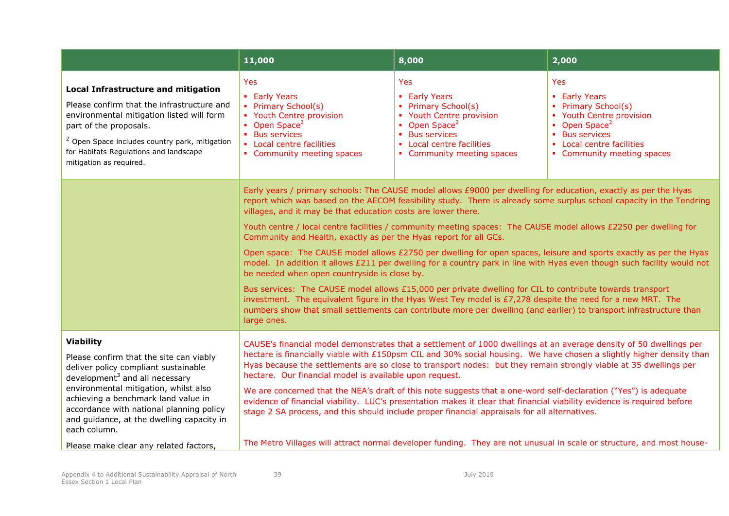|                                                                                                                                                                                                                                                                                                                                                                             | 11,000                                                                                                                                                                                                                                                                                                                                                                                                                                                                                                                                                                                                                                                                                                                                                                                                                                                                                                                                                                                                                                                                                                                                                             | 8,000                                                                                                                                                                             | 2,000                                                                                                                                                                                    |
|-----------------------------------------------------------------------------------------------------------------------------------------------------------------------------------------------------------------------------------------------------------------------------------------------------------------------------------------------------------------------------|--------------------------------------------------------------------------------------------------------------------------------------------------------------------------------------------------------------------------------------------------------------------------------------------------------------------------------------------------------------------------------------------------------------------------------------------------------------------------------------------------------------------------------------------------------------------------------------------------------------------------------------------------------------------------------------------------------------------------------------------------------------------------------------------------------------------------------------------------------------------------------------------------------------------------------------------------------------------------------------------------------------------------------------------------------------------------------------------------------------------------------------------------------------------|-----------------------------------------------------------------------------------------------------------------------------------------------------------------------------------|------------------------------------------------------------------------------------------------------------------------------------------------------------------------------------------|
| <b>Local Infrastructure and mitigation</b><br>Please confirm that the infrastructure and<br>environmental mitigation listed will form<br>part of the proposals.<br><sup>2</sup> Open Space includes country park, mitigation<br>for Habitats Regulations and landscape<br>mitigation as required.                                                                           | Yes<br>• Early Years<br>• Primary School(s)<br>• Youth Centre provision<br>• Open Space <sup>2</sup><br>• Bus services<br>• Local centre facilities<br>• Community meeting spaces                                                                                                                                                                                                                                                                                                                                                                                                                                                                                                                                                                                                                                                                                                                                                                                                                                                                                                                                                                                  | Yes<br>• Early Years<br>• Primary School(s)<br>• Youth Centre provision<br>• Open Space <sup>2</sup><br>• Bus services<br>• Local centre facilities<br>• Community meeting spaces | <b>Yes</b><br>• Early Years<br>• Primary School(s)<br>• Youth Centre provision<br>• Open Space <sup>2</sup><br>• Bus services<br>• Local centre facilities<br>• Community meeting spaces |
|                                                                                                                                                                                                                                                                                                                                                                             | Early years / primary schools: The CAUSE model allows £9000 per dwelling for education, exactly as per the Hyas<br>report which was based on the AECOM feasibility study. There is already some surplus school capacity in the Tendring<br>villages, and it may be that education costs are lower there.<br>Youth centre / local centre facilities / community meeting spaces: The CAUSE model allows £2250 per dwelling for<br>Community and Health, exactly as per the Hyas report for all GCs.<br>Open space: The CAUSE model allows £2750 per dwelling for open spaces, leisure and sports exactly as per the Hyas<br>model. In addition it allows £211 per dwelling for a country park in line with Hyas even though such facility would not<br>be needed when open countryside is close by.<br>Bus services: The CAUSE model allows £15,000 per private dwelling for CIL to contribute towards transport<br>investment. The equivalent figure in the Hyas West Tey model is £7,278 despite the need for a new MRT. The<br>numbers show that small settlements can contribute more per dwelling (and earlier) to transport infrastructure than<br>large ones. |                                                                                                                                                                                   |                                                                                                                                                                                          |
| <b>Viability</b><br>Please confirm that the site can viably<br>deliver policy compliant sustainable<br>development $3$ and all necessary<br>environmental mitigation, whilst also<br>achieving a benchmark land value in<br>accordance with national planning policy<br>and quidance, at the dwelling capacity in<br>each column.<br>Please make clear any related factors, | CAUSE's financial model demonstrates that a settlement of 1000 dwellings at an average density of 50 dwellings per<br>hectare is financially viable with £150psm CIL and 30% social housing. We have chosen a slightly higher density than<br>Hyas because the settlements are so close to transport nodes: but they remain strongly viable at 35 dwellings per<br>hectare. Our financial model is available upon request.<br>We are concerned that the NEA's draft of this note suggests that a one-word self-declaration ("Yes") is adequate<br>evidence of financial viability. LUC's presentation makes it clear that financial viability evidence is required before<br>stage 2 SA process, and this should include proper financial appraisals for all alternatives.<br>The Metro Villages will attract normal developer funding. They are not unusual in scale or structure, and most house-                                                                                                                                                                                                                                                                |                                                                                                                                                                                   |                                                                                                                                                                                          |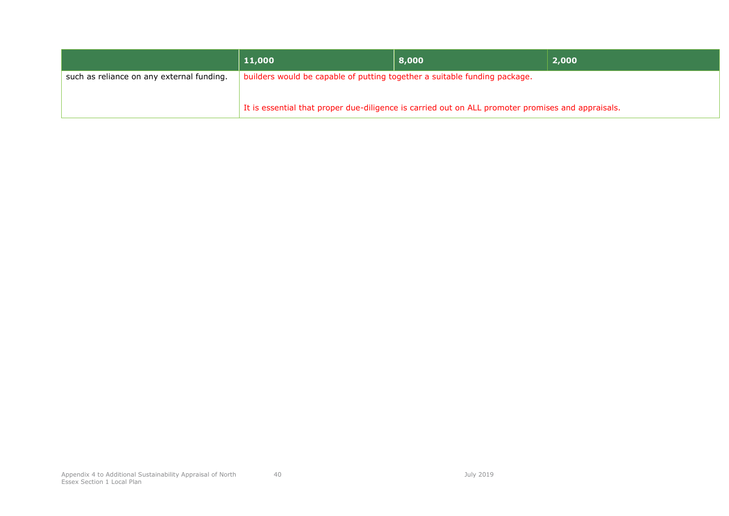|                                           | 11,000                                                                    | 8,000                                                                                             | 2,000 |
|-------------------------------------------|---------------------------------------------------------------------------|---------------------------------------------------------------------------------------------------|-------|
| such as reliance on any external funding. | builders would be capable of putting together a suitable funding package. |                                                                                                   |       |
|                                           |                                                                           | It is essential that proper due-diligence is carried out on ALL promoter promises and appraisals. |       |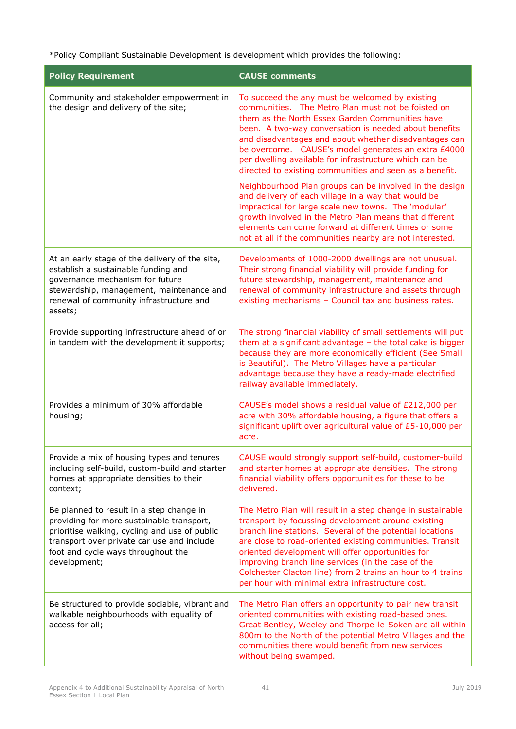\*Policy Compliant Sustainable Development is development which provides the following:

| <b>Policy Requirement</b>                                                                                                                                                                                                                  | <b>CAUSE comments</b>                                                                                                                                                                                                                                                                                                                                                                                                                                                                                                                                                                                                                                                                                                                                                                                          |
|--------------------------------------------------------------------------------------------------------------------------------------------------------------------------------------------------------------------------------------------|----------------------------------------------------------------------------------------------------------------------------------------------------------------------------------------------------------------------------------------------------------------------------------------------------------------------------------------------------------------------------------------------------------------------------------------------------------------------------------------------------------------------------------------------------------------------------------------------------------------------------------------------------------------------------------------------------------------------------------------------------------------------------------------------------------------|
| Community and stakeholder empowerment in<br>the design and delivery of the site;                                                                                                                                                           | To succeed the any must be welcomed by existing<br>communities. The Metro Plan must not be foisted on<br>them as the North Essex Garden Communities have<br>been. A two-way conversation is needed about benefits<br>and disadvantages and about whether disadvantages can<br>be overcome. CAUSE's model generates an extra £4000<br>per dwelling available for infrastructure which can be<br>directed to existing communities and seen as a benefit.<br>Neighbourhood Plan groups can be involved in the design<br>and delivery of each village in a way that would be<br>impractical for large scale new towns. The 'modular'<br>growth involved in the Metro Plan means that different<br>elements can come forward at different times or some<br>not at all if the communities nearby are not interested. |
| At an early stage of the delivery of the site,<br>establish a sustainable funding and<br>governance mechanism for future<br>stewardship, management, maintenance and<br>renewal of community infrastructure and<br>assets;                 | Developments of 1000-2000 dwellings are not unusual.<br>Their strong financial viability will provide funding for<br>future stewardship, management, maintenance and<br>renewal of community infrastructure and assets through<br>existing mechanisms - Council tax and business rates.                                                                                                                                                                                                                                                                                                                                                                                                                                                                                                                        |
| Provide supporting infrastructure ahead of or<br>in tandem with the development it supports;                                                                                                                                               | The strong financial viability of small settlements will put<br>them at a significant advantage - the total cake is bigger<br>because they are more economically efficient (See Small<br>is Beautiful). The Metro Villages have a particular<br>advantage because they have a ready-made electrified<br>railway available immediately.                                                                                                                                                                                                                                                                                                                                                                                                                                                                         |
| Provides a minimum of 30% affordable<br>housing;                                                                                                                                                                                           | CAUSE's model shows a residual value of £212,000 per<br>acre with 30% affordable housing, a figure that offers a<br>significant uplift over agricultural value of £5-10,000 per<br>acre.                                                                                                                                                                                                                                                                                                                                                                                                                                                                                                                                                                                                                       |
| Provide a mix of housing types and tenures<br>including self-build, custom-build and starter<br>homes at appropriate densities to their<br>context;                                                                                        | CAUSE would strongly support self-build, customer-build<br>and starter homes at appropriate densities. The strong<br>financial viability offers opportunities for these to be<br>delivered.                                                                                                                                                                                                                                                                                                                                                                                                                                                                                                                                                                                                                    |
| Be planned to result in a step change in<br>providing for more sustainable transport,<br>prioritise walking, cycling and use of public<br>transport over private car use and include<br>foot and cycle ways throughout the<br>development; | The Metro Plan will result in a step change in sustainable<br>transport by focussing development around existing<br>branch line stations. Several of the potential locations<br>are close to road-oriented existing communities. Transit<br>oriented development will offer opportunities for<br>improving branch line services (in the case of the<br>Colchester Clacton line) from 2 trains an hour to 4 trains<br>per hour with minimal extra infrastructure cost.                                                                                                                                                                                                                                                                                                                                          |
| Be structured to provide sociable, vibrant and<br>walkable neighbourhoods with equality of<br>access for all;                                                                                                                              | The Metro Plan offers an opportunity to pair new transit<br>oriented communities with existing road-based ones.<br>Great Bentley, Weeley and Thorpe-le-Soken are all within<br>800m to the North of the potential Metro Villages and the<br>communities there would benefit from new services<br>without being swamped.                                                                                                                                                                                                                                                                                                                                                                                                                                                                                        |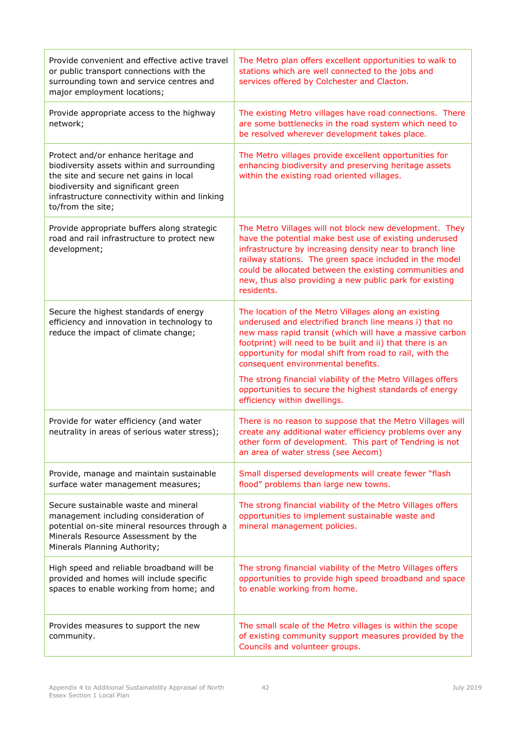| Provide convenient and effective active travel<br>or public transport connections with the<br>surrounding town and service centres and<br>major employment locations;                                                                    | The Metro plan offers excellent opportunities to walk to<br>stations which are well connected to the jobs and<br>services offered by Colchester and Clacton.                                                                                                                                                                                                                 |
|------------------------------------------------------------------------------------------------------------------------------------------------------------------------------------------------------------------------------------------|------------------------------------------------------------------------------------------------------------------------------------------------------------------------------------------------------------------------------------------------------------------------------------------------------------------------------------------------------------------------------|
| Provide appropriate access to the highway<br>network;                                                                                                                                                                                    | The existing Metro villages have road connections. There<br>are some bottlenecks in the road system which need to<br>be resolved wherever development takes place.                                                                                                                                                                                                           |
| Protect and/or enhance heritage and<br>biodiversity assets within and surrounding<br>the site and secure net gains in local<br>biodiversity and significant green<br>infrastructure connectivity within and linking<br>to/from the site; | The Metro villages provide excellent opportunities for<br>enhancing biodiversity and preserving heritage assets<br>within the existing road oriented villages.                                                                                                                                                                                                               |
| Provide appropriate buffers along strategic<br>road and rail infrastructure to protect new<br>development;                                                                                                                               | The Metro Villages will not block new development. They<br>have the potential make best use of existing underused<br>infrastructure by increasing density near to branch line<br>railway stations. The green space included in the model<br>could be allocated between the existing communities and<br>new, thus also providing a new public park for existing<br>residents. |
| Secure the highest standards of energy<br>efficiency and innovation in technology to<br>reduce the impact of climate change;                                                                                                             | The location of the Metro Villages along an existing<br>underused and electrified branch line means i) that no<br>new mass rapid transit (which will have a massive carbon<br>footprint) will need to be built and ii) that there is an<br>opportunity for modal shift from road to rail, with the<br>consequent environmental benefits.                                     |
|                                                                                                                                                                                                                                          | The strong financial viability of the Metro Villages offers<br>opportunities to secure the highest standards of energy<br>efficiency within dwellings.                                                                                                                                                                                                                       |
| Provide for water efficiency (and water<br>neutrality in areas of serious water stress);                                                                                                                                                 | There is no reason to suppose that the Metro Villages will<br>create any additional water efficiency problems over any<br>other form of development. This part of Tendring is not<br>an area of water stress (see Aecom)                                                                                                                                                     |
| Provide, manage and maintain sustainable<br>surface water management measures;                                                                                                                                                           | Small dispersed developments will create fewer "flash<br>flood" problems than large new towns.                                                                                                                                                                                                                                                                               |
| Secure sustainable waste and mineral<br>management including consideration of<br>potential on-site mineral resources through a<br>Minerals Resource Assessment by the<br>Minerals Planning Authority;                                    | The strong financial viability of the Metro Villages offers<br>opportunities to implement sustainable waste and<br>mineral management policies.                                                                                                                                                                                                                              |
| High speed and reliable broadband will be<br>provided and homes will include specific<br>spaces to enable working from home; and                                                                                                         | The strong financial viability of the Metro Villages offers<br>opportunities to provide high speed broadband and space<br>to enable working from home.                                                                                                                                                                                                                       |
| Provides measures to support the new<br>community.                                                                                                                                                                                       | The small scale of the Metro villages is within the scope<br>of existing community support measures provided by the<br>Councils and volunteer groups.                                                                                                                                                                                                                        |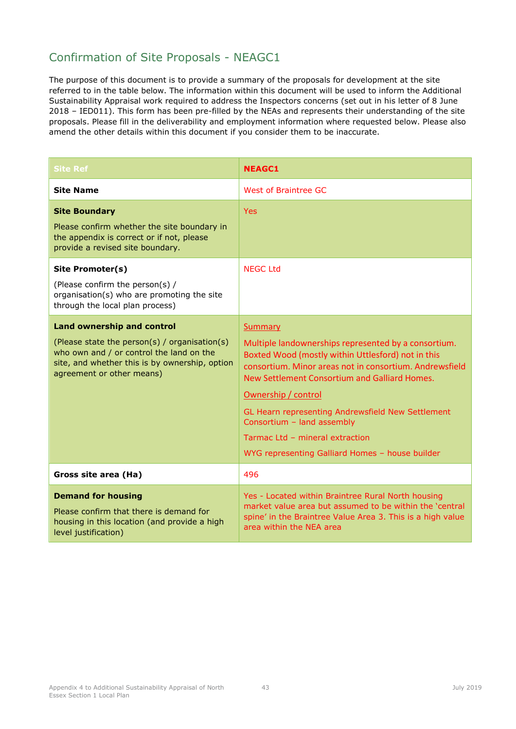### Confirmation of Site Proposals - NEAGC1

| <b>Site Ref</b>                                                                                                                                                                                               | <b>NEAGC1</b>                                                                                                                                                                                                                                                                                                                                                                                                                     |
|---------------------------------------------------------------------------------------------------------------------------------------------------------------------------------------------------------------|-----------------------------------------------------------------------------------------------------------------------------------------------------------------------------------------------------------------------------------------------------------------------------------------------------------------------------------------------------------------------------------------------------------------------------------|
| <b>Site Name</b>                                                                                                                                                                                              | West of Braintree GC                                                                                                                                                                                                                                                                                                                                                                                                              |
| <b>Site Boundary</b><br>Please confirm whether the site boundary in<br>the appendix is correct or if not, please<br>provide a revised site boundary.                                                          | <b>Yes</b>                                                                                                                                                                                                                                                                                                                                                                                                                        |
| Site Promoter(s)<br>(Please confirm the person(s) /<br>organisation(s) who are promoting the site<br>through the local plan process)                                                                          | <b>NEGC Ltd</b>                                                                                                                                                                                                                                                                                                                                                                                                                   |
| <b>Land ownership and control</b><br>(Please state the person(s) / organisation(s)<br>who own and / or control the land on the<br>site, and whether this is by ownership, option<br>agreement or other means) | Summary<br>Multiple landownerships represented by a consortium.<br>Boxted Wood (mostly within Uttlesford) not in this<br>consortium. Minor areas not in consortium. Andrewsfield<br>New Settlement Consortium and Galliard Homes.<br>Ownership / control<br>GL Hearn representing Andrewsfield New Settlement<br>Consortium - land assembly<br>Tarmac Ltd - mineral extraction<br>WYG representing Galliard Homes - house builder |
| Gross site area (Ha)                                                                                                                                                                                          | 496                                                                                                                                                                                                                                                                                                                                                                                                                               |
| <b>Demand for housing</b><br>Please confirm that there is demand for<br>housing in this location (and provide a high<br>level justification)                                                                  | Yes - Located within Braintree Rural North housing<br>market value area but assumed to be within the 'central<br>spine' in the Braintree Value Area 3. This is a high value<br>area within the NEA area                                                                                                                                                                                                                           |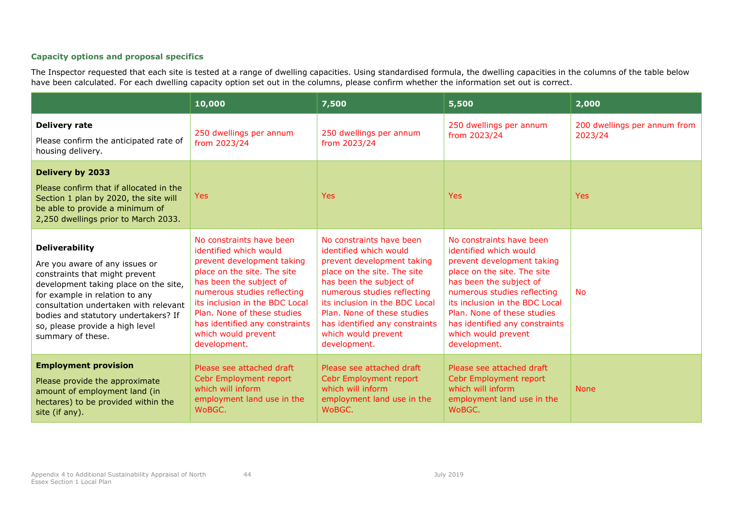|                                                                                                                                                                                                                                                                                                               | 10,000                                                                                                                                                                                                                                                                                                              | 7,500                                                                                                                                                                                                                                                                                                               | 5,500                                                                                                                                                                                                                                                                                                               | 2,000                                   |
|---------------------------------------------------------------------------------------------------------------------------------------------------------------------------------------------------------------------------------------------------------------------------------------------------------------|---------------------------------------------------------------------------------------------------------------------------------------------------------------------------------------------------------------------------------------------------------------------------------------------------------------------|---------------------------------------------------------------------------------------------------------------------------------------------------------------------------------------------------------------------------------------------------------------------------------------------------------------------|---------------------------------------------------------------------------------------------------------------------------------------------------------------------------------------------------------------------------------------------------------------------------------------------------------------------|-----------------------------------------|
| <b>Delivery rate</b><br>Please confirm the anticipated rate of<br>housing delivery.                                                                                                                                                                                                                           | 250 dwellings per annum<br>from 2023/24                                                                                                                                                                                                                                                                             | 250 dwellings per annum<br>from 2023/24                                                                                                                                                                                                                                                                             | 250 dwellings per annum<br>from 2023/24                                                                                                                                                                                                                                                                             | 200 dwellings per annum from<br>2023/24 |
| <b>Delivery by 2033</b><br>Please confirm that if allocated in the<br>Section 1 plan by 2020, the site will<br>be able to provide a minimum of<br>2,250 dwellings prior to March 2033.                                                                                                                        | <b>Yes</b>                                                                                                                                                                                                                                                                                                          | <b>Yes</b>                                                                                                                                                                                                                                                                                                          | <b>Yes</b>                                                                                                                                                                                                                                                                                                          | <b>Yes</b>                              |
| <b>Deliverability</b><br>Are you aware of any issues or<br>constraints that might prevent<br>development taking place on the site,<br>for example in relation to any<br>consultation undertaken with relevant<br>bodies and statutory undertakers? If<br>so, please provide a high level<br>summary of these. | No constraints have been<br>identified which would<br>prevent development taking<br>place on the site. The site<br>has been the subject of<br>numerous studies reflecting<br>its inclusion in the BDC Local<br>Plan. None of these studies<br>has identified any constraints<br>which would prevent<br>development. | No constraints have been<br>identified which would<br>prevent development taking<br>place on the site. The site<br>has been the subject of<br>numerous studies reflecting<br>its inclusion in the BDC Local<br>Plan. None of these studies<br>has identified any constraints<br>which would prevent<br>development. | No constraints have been<br>identified which would<br>prevent development taking<br>place on the site. The site<br>has been the subject of<br>numerous studies reflecting<br>its inclusion in the BDC Local<br>Plan. None of these studies<br>has identified any constraints<br>which would prevent<br>development. | <b>No</b>                               |
| <b>Employment provision</b><br>Please provide the approximate<br>amount of employment land (in<br>hectares) to be provided within the<br>site (if any).                                                                                                                                                       | Please see attached draft<br>Cebr Employment report<br>which will inform<br>employment land use in the<br>WoBGC.                                                                                                                                                                                                    | Please see attached draft<br>Cebr Employment report<br>which will inform<br>employment land use in the<br>WoBGC.                                                                                                                                                                                                    | Please see attached draft<br>Cebr Employment report<br>which will inform<br>employment land use in the<br>WoBGC.                                                                                                                                                                                                    | <b>None</b>                             |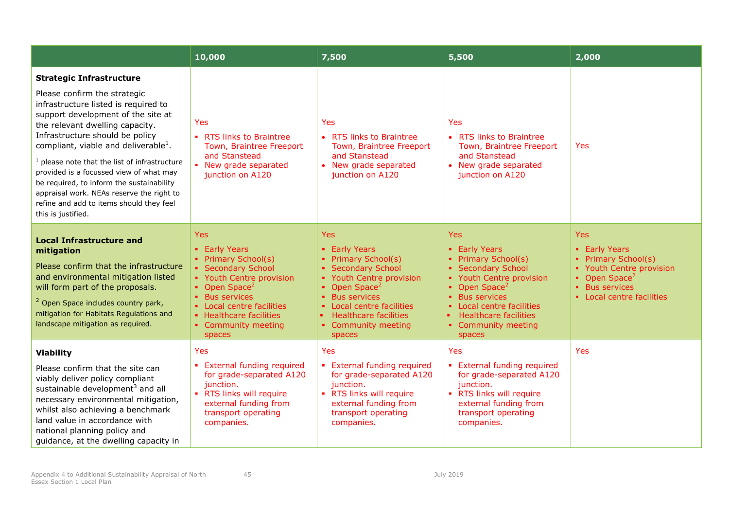|                                                                                                                                                                                                                                                                                                                                                                                                                                                                                                                                   | 10,000                                                                                                                                                                                                                                       | 7,500                                                                                                                                                                                                                                                          | 5,500                                                                                                                                                                                                                                             | 2,000                                                                                                                                                      |
|-----------------------------------------------------------------------------------------------------------------------------------------------------------------------------------------------------------------------------------------------------------------------------------------------------------------------------------------------------------------------------------------------------------------------------------------------------------------------------------------------------------------------------------|----------------------------------------------------------------------------------------------------------------------------------------------------------------------------------------------------------------------------------------------|----------------------------------------------------------------------------------------------------------------------------------------------------------------------------------------------------------------------------------------------------------------|---------------------------------------------------------------------------------------------------------------------------------------------------------------------------------------------------------------------------------------------------|------------------------------------------------------------------------------------------------------------------------------------------------------------|
| <b>Strategic Infrastructure</b><br>Please confirm the strategic<br>infrastructure listed is required to<br>support development of the site at<br>the relevant dwelling capacity.<br>Infrastructure should be policy<br>compliant, viable and deliverable <sup>1</sup> .<br>$1$ please note that the list of infrastructure<br>provided is a focussed view of what may<br>be required, to inform the sustainability<br>appraisal work. NEAs reserve the right to<br>refine and add to items should they feel<br>this is justified. | Yes<br>• RTS links to Braintree<br>Town, Braintree Freeport<br>and Stanstead<br>• New grade separated<br>junction on A120                                                                                                                    | Yes<br>• RTS links to Braintree<br>Town, Braintree Freeport<br>and Stanstead<br>• New grade separated<br>junction on A120                                                                                                                                      | Yes<br>• RTS links to Braintree<br>Town, Braintree Freeport<br>and Stanstead<br>• New grade separated<br>junction on A120                                                                                                                         | <b>Yes</b>                                                                                                                                                 |
| <b>Local Infrastructure and</b><br>mitigation<br>Please confirm that the infrastructure<br>and environmental mitigation listed<br>will form part of the proposals.<br><sup>2</sup> Open Space includes country park,<br>mitigation for Habitats Regulations and<br>landscape mitigation as required.                                                                                                                                                                                                                              | Yes<br>• Early Years<br>• Primary School(s)<br>• Secondary School<br>• Youth Centre provision<br>• Open Space <sup>2</sup><br>• Bus services<br>• Local centre facilities<br>• Healthcare facilities<br>• Community meeting<br><b>spaces</b> | <b>Yes</b><br>• Early Years<br>• Primary School(s)<br>• Secondary School<br>• Youth Centre provision<br>• Open Space <sup>2</sup><br>• Bus services<br>• Local centre facilities<br><b>Healthcare facilities</b><br>ж.<br>• Community meeting<br><b>spaces</b> | <b>Yes</b><br>• Early Years<br>• Primary School(s)<br>• Secondary School<br>• Youth Centre provision<br>• Open Space <sup>2</sup><br>• Bus services<br>• Local centre facilities<br><b>Healthcare facilities</b><br>• Community meeting<br>spaces | <b>Yes</b><br>• Early Years<br>• Primary School(s)<br>• Youth Centre provision<br>• Open Space <sup>2</sup><br>• Bus services<br>• Local centre facilities |
| <b>Viability</b><br>Please confirm that the site can<br>viably deliver policy compliant<br>sustainable development <sup>3</sup> and all<br>necessary environmental mitigation,<br>whilst also achieving a benchmark<br>land value in accordance with<br>national planning policy and<br>quidance, at the dwelling capacity in                                                                                                                                                                                                     | Yes<br>• External funding required<br>for grade-separated A120<br>junction.<br>• RTS links will require<br>external funding from<br>transport operating<br>companies.                                                                        | Yes<br>• External funding required<br>for grade-separated A120<br>junction.<br>• RTS links will require<br>external funding from<br>transport operating<br>companies.                                                                                          | Yes<br>• External funding required<br>for grade-separated A120<br>junction.<br>• RTS links will require<br>external funding from<br>transport operating<br>companies.                                                                             | <b>Yes</b>                                                                                                                                                 |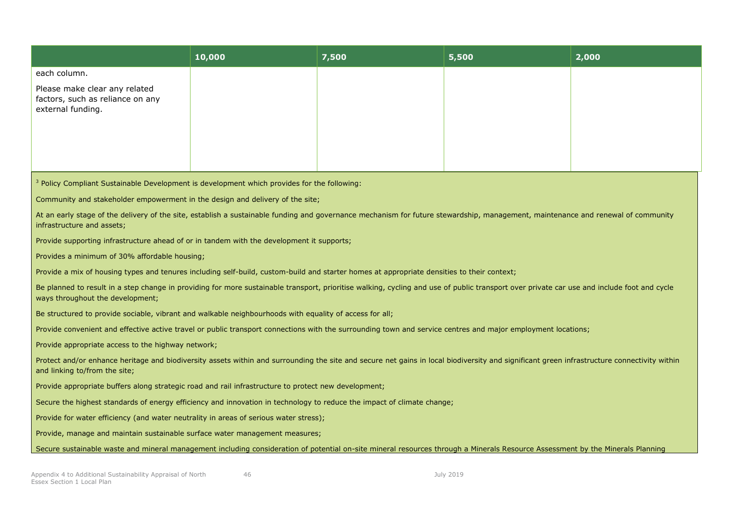|                                                                                                                                                                                                                                | 10,000 | 7,500 | 5,500 | 2,000 |
|--------------------------------------------------------------------------------------------------------------------------------------------------------------------------------------------------------------------------------|--------|-------|-------|-------|
| each column.                                                                                                                                                                                                                   |        |       |       |       |
| Please make clear any related<br>factors, such as reliance on any<br>external funding.                                                                                                                                         |        |       |       |       |
|                                                                                                                                                                                                                                |        |       |       |       |
|                                                                                                                                                                                                                                |        |       |       |       |
| <sup>3</sup> Policy Compliant Sustainable Development is development which provides for the following:                                                                                                                         |        |       |       |       |
| Community and stakeholder empowerment in the design and delivery of the site;                                                                                                                                                  |        |       |       |       |
| At an early stage of the delivery of the site, establish a sustainable funding and governance mechanism for future stewardship, management, maintenance and renewal of community<br>infrastructure and assets;                 |        |       |       |       |
| Provide supporting infrastructure ahead of or in tandem with the development it supports;                                                                                                                                      |        |       |       |       |
| Provides a minimum of 30% affordable housing;                                                                                                                                                                                  |        |       |       |       |
| Provide a mix of housing types and tenures including self-build, custom-build and starter homes at appropriate densities to their context;                                                                                     |        |       |       |       |
| Be planned to result in a step change in providing for more sustainable transport, prioritise walking, cycling and use of public transport over private car use and include foot and cycle<br>ways throughout the development; |        |       |       |       |
| Be structured to provide sociable, vibrant and walkable neighbourhoods with equality of access for all;                                                                                                                        |        |       |       |       |
| Provide convenient and effective active travel or public transport connections with the surrounding town and service centres and major employment locations;                                                                   |        |       |       |       |
| Provide appropriate access to the highway network;                                                                                                                                                                             |        |       |       |       |
| Protect and/or enhance heritage and biodiversity assets within and surrounding the site and secure net gains in local biodiversity and significant green infrastructure connectivity within<br>and linking to/from the site;   |        |       |       |       |
| Provide appropriate buffers along strategic road and rail infrastructure to protect new development;                                                                                                                           |        |       |       |       |
| Secure the highest standards of energy efficiency and innovation in technology to reduce the impact of climate change;                                                                                                         |        |       |       |       |
| Provide for water efficiency (and water neutrality in areas of serious water stress);                                                                                                                                          |        |       |       |       |
| Provide, manage and maintain sustainable surface water management measures;                                                                                                                                                    |        |       |       |       |
| Secure sustainable waste and mineral management including consideration of potential on-site mineral resources through a Minerals Resource Assessment by the Minerals Planning                                                 |        |       |       |       |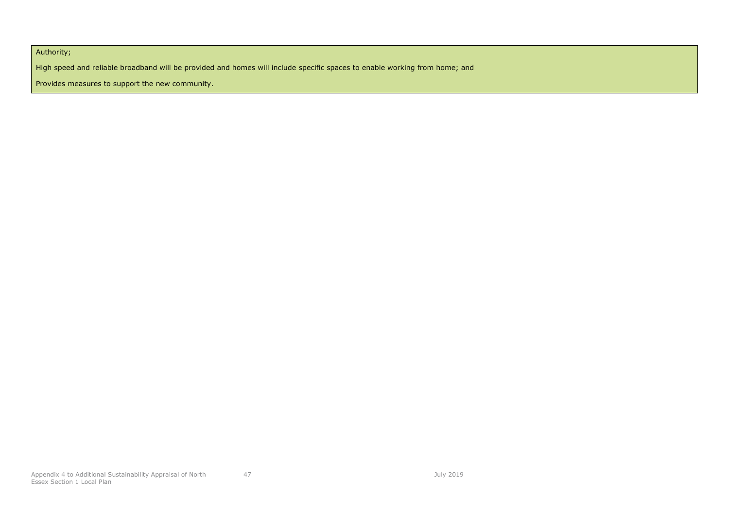Authority;

High speed and reliable broadband will be provided and homes will include specific spaces to enable working from home; and

Provides measures to support the new community.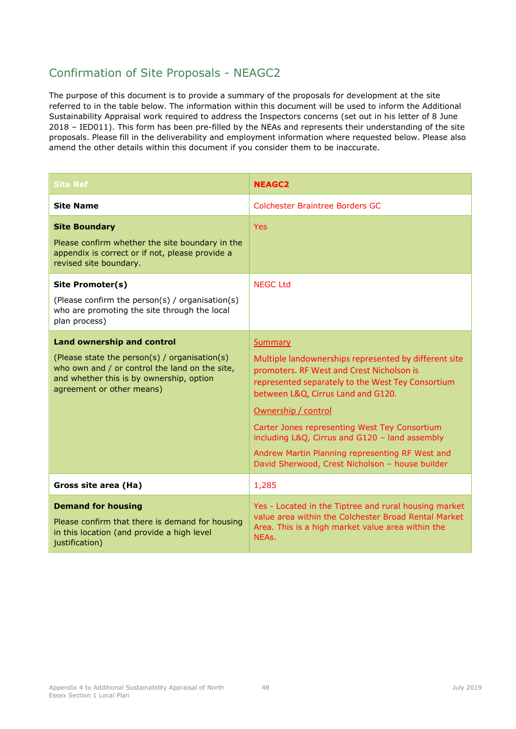### Confirmation of Site Proposals - NEAGC2

| <b>Site Ref</b>                                                                                                                                                                                               | <b>NEAGC2</b>                                                                                                                                                                                                                                                                                                                                                                                                                                   |
|---------------------------------------------------------------------------------------------------------------------------------------------------------------------------------------------------------------|-------------------------------------------------------------------------------------------------------------------------------------------------------------------------------------------------------------------------------------------------------------------------------------------------------------------------------------------------------------------------------------------------------------------------------------------------|
| <b>Site Name</b>                                                                                                                                                                                              | Colchester Braintree Borders GC                                                                                                                                                                                                                                                                                                                                                                                                                 |
| <b>Site Boundary</b><br>Please confirm whether the site boundary in the<br>appendix is correct or if not, please provide a<br>revised site boundary.                                                          | <b>Yes</b>                                                                                                                                                                                                                                                                                                                                                                                                                                      |
| <b>Site Promoter(s)</b><br>(Please confirm the person(s) / organisation(s)<br>who are promoting the site through the local<br>plan process)                                                                   | <b>NEGC Ltd</b>                                                                                                                                                                                                                                                                                                                                                                                                                                 |
| <b>Land ownership and control</b><br>(Please state the person(s) / organisation(s)<br>who own and / or control the land on the site,<br>and whether this is by ownership, option<br>agreement or other means) | <b>Summary</b><br>Multiple landownerships represented by different site<br>promoters. RF West and Crest Nicholson is<br>represented separately to the West Tey Consortium<br>between L&Q, Cirrus Land and G120.<br>Ownership / control<br>Carter Jones representing West Tey Consortium<br>including L&Q, Cirrus and G120 - land assembly<br>Andrew Martin Planning representing RF West and<br>David Sherwood, Crest Nicholson - house builder |
| Gross site area (Ha)                                                                                                                                                                                          | 1,285                                                                                                                                                                                                                                                                                                                                                                                                                                           |
| <b>Demand for housing</b><br>Please confirm that there is demand for housing<br>in this location (and provide a high level<br>justification)                                                                  | Yes - Located in the Tiptree and rural housing market<br>value area within the Colchester Broad Rental Market<br>Area. This is a high market value area within the<br>NEAs.                                                                                                                                                                                                                                                                     |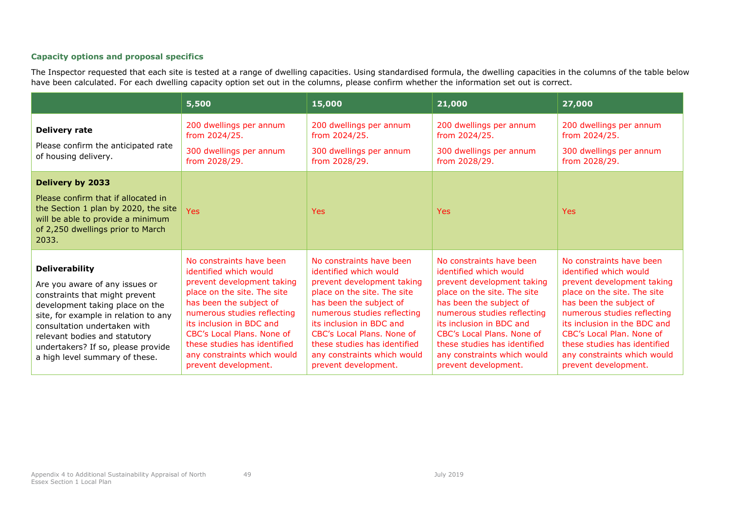|                                                                                                                                                                                                                                                                                                               | 5,500                                                                                                                                                                                                                                                                                                                      | 15,000                                                                                                                                                                                                                                                                                                                     | 21,000                                                                                                                                                                                                                                                                                                                     | 27,000                                                                                                                                                                                                                                                                                                                        |
|---------------------------------------------------------------------------------------------------------------------------------------------------------------------------------------------------------------------------------------------------------------------------------------------------------------|----------------------------------------------------------------------------------------------------------------------------------------------------------------------------------------------------------------------------------------------------------------------------------------------------------------------------|----------------------------------------------------------------------------------------------------------------------------------------------------------------------------------------------------------------------------------------------------------------------------------------------------------------------------|----------------------------------------------------------------------------------------------------------------------------------------------------------------------------------------------------------------------------------------------------------------------------------------------------------------------------|-------------------------------------------------------------------------------------------------------------------------------------------------------------------------------------------------------------------------------------------------------------------------------------------------------------------------------|
| <b>Delivery rate</b><br>Please confirm the anticipated rate<br>of housing delivery.                                                                                                                                                                                                                           | 200 dwellings per annum<br>from 2024/25.<br>300 dwellings per annum<br>from 2028/29.                                                                                                                                                                                                                                       | 200 dwellings per annum<br>from 2024/25.<br>300 dwellings per annum<br>from 2028/29.                                                                                                                                                                                                                                       | 200 dwellings per annum<br>from 2024/25.<br>300 dwellings per annum<br>from 2028/29.                                                                                                                                                                                                                                       | 200 dwellings per annum<br>from 2024/25.<br>300 dwellings per annum<br>from 2028/29.                                                                                                                                                                                                                                          |
| Delivery by 2033<br>Please confirm that if allocated in<br>the Section 1 plan by 2020, the site<br>will be able to provide a minimum<br>of 2,250 dwellings prior to March<br>2033.                                                                                                                            | Yes                                                                                                                                                                                                                                                                                                                        | <b>Yes</b>                                                                                                                                                                                                                                                                                                                 | <b>Yes</b>                                                                                                                                                                                                                                                                                                                 | <b>Yes</b>                                                                                                                                                                                                                                                                                                                    |
| <b>Deliverability</b><br>Are you aware of any issues or<br>constraints that might prevent<br>development taking place on the<br>site, for example in relation to any<br>consultation undertaken with<br>relevant bodies and statutory<br>undertakers? If so, please provide<br>a high level summary of these. | No constraints have been<br>identified which would<br>prevent development taking<br>place on the site. The site<br>has been the subject of<br>numerous studies reflecting<br>its inclusion in BDC and<br>CBC's Local Plans. None of<br>these studies has identified<br>any constraints which would<br>prevent development. | No constraints have been<br>identified which would<br>prevent development taking<br>place on the site. The site<br>has been the subject of<br>numerous studies reflecting<br>its inclusion in BDC and<br>CBC's Local Plans. None of<br>these studies has identified<br>any constraints which would<br>prevent development. | No constraints have been<br>identified which would<br>prevent development taking<br>place on the site. The site<br>has been the subject of<br>numerous studies reflecting<br>its inclusion in BDC and<br>CBC's Local Plans. None of<br>these studies has identified<br>any constraints which would<br>prevent development. | No constraints have been<br>identified which would<br>prevent development taking<br>place on the site. The site<br>has been the subject of<br>numerous studies reflecting<br>its inclusion in the BDC and<br>CBC's Local Plan. None of<br>these studies has identified<br>any constraints which would<br>prevent development. |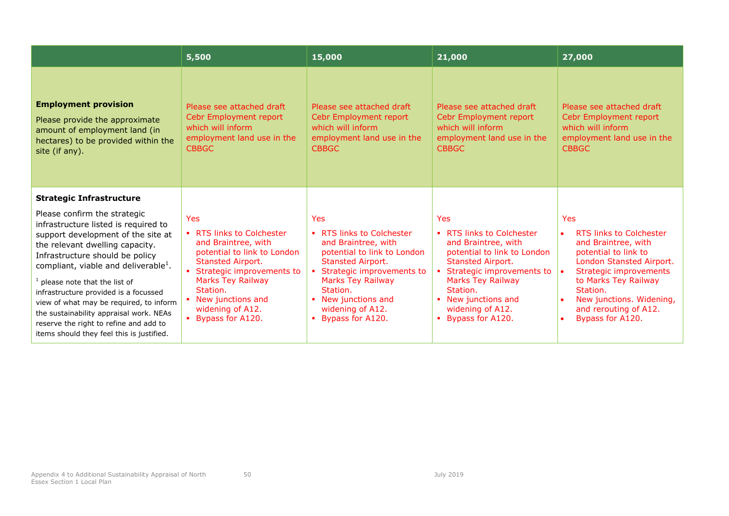|                                                                                                                                                                                                                                                                                                                                                                                                                                                                                                | 5,500                                                                                                                                                                                                                                                      | 15,000                                                                                                                                                                                                                                             | 21,000                                                                                                                                                                                                                                          | 27,000                                                                                                                                                                                                                                                  |
|------------------------------------------------------------------------------------------------------------------------------------------------------------------------------------------------------------------------------------------------------------------------------------------------------------------------------------------------------------------------------------------------------------------------------------------------------------------------------------------------|------------------------------------------------------------------------------------------------------------------------------------------------------------------------------------------------------------------------------------------------------------|----------------------------------------------------------------------------------------------------------------------------------------------------------------------------------------------------------------------------------------------------|-------------------------------------------------------------------------------------------------------------------------------------------------------------------------------------------------------------------------------------------------|---------------------------------------------------------------------------------------------------------------------------------------------------------------------------------------------------------------------------------------------------------|
| <b>Employment provision</b><br>Please provide the approximate<br>amount of employment land (in<br>hectares) to be provided within the<br>site (if any).                                                                                                                                                                                                                                                                                                                                        | Please see attached draft<br>Cebr Employment report<br>which will inform<br>employment land use in the<br><b>CBBGC</b>                                                                                                                                     | Please see attached draft<br>Cebr Employment report<br>which will inform<br>employment land use in the<br><b>CBBGC</b>                                                                                                                             | Please see attached draft<br>Cebr Employment report<br>which will inform<br>employment land use in the<br><b>CBBGC</b>                                                                                                                          | Please see attached draft<br>Cebr Employment report<br>which will inform<br>employment land use in the<br><b>CBBGC</b>                                                                                                                                  |
| <b>Strategic Infrastructure</b>                                                                                                                                                                                                                                                                                                                                                                                                                                                                |                                                                                                                                                                                                                                                            |                                                                                                                                                                                                                                                    |                                                                                                                                                                                                                                                 |                                                                                                                                                                                                                                                         |
| Please confirm the strategic<br>infrastructure listed is required to<br>support development of the site at<br>the relevant dwelling capacity.<br>Infrastructure should be policy<br>compliant, viable and deliverable <sup>1</sup> .<br>$1$ please note that the list of<br>infrastructure provided is a focussed<br>view of what may be required, to inform<br>the sustainability appraisal work. NEAs<br>reserve the right to refine and add to<br>items should they feel this is justified. | Yes<br>• RTS links to Colchester<br>and Braintree, with<br>potential to link to London<br><b>Stansted Airport.</b><br>• Strategic improvements to<br><b>Marks Tey Railway</b><br>Station.<br>• New junctions and<br>widening of A12.<br>• Bypass for A120. | <b>Yes</b><br>RTS links to Colchester<br>and Braintree, with<br>potential to link to London<br>Stansted Airport.<br>Strategic improvements to<br><b>Marks Tey Railway</b><br>Station.<br>New junctions and<br>widening of A12.<br>Bypass for A120. | Yes<br>• RTS links to Colchester<br>and Braintree, with<br>potential to link to London<br>Stansted Airport.<br>Strategic improvements to<br><b>Marks Tey Railway</b><br>Station.<br>• New junctions and<br>widening of A12.<br>Bypass for A120. | <b>Yes</b><br>RTS links to Colchester<br>and Braintree, with<br>potential to link to<br>London Stansted Airport.<br>Strategic improvements<br>to Marks Tey Railway<br>Station.<br>New junctions. Widening,<br>and rerouting of A12.<br>Bypass for A120. |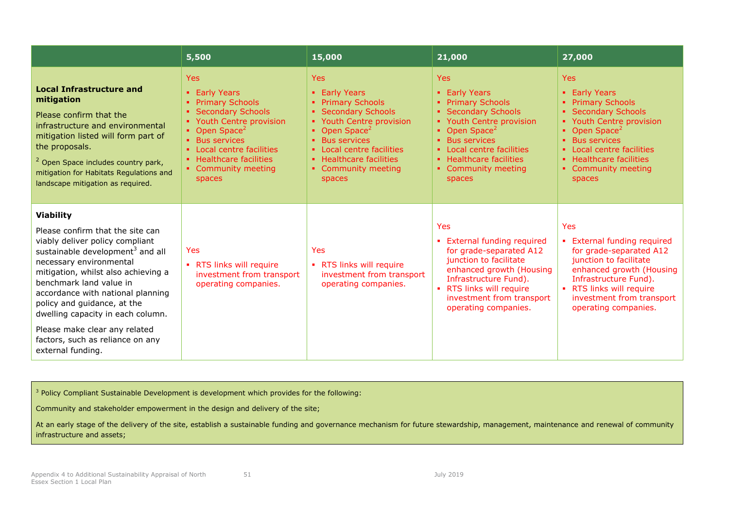|                                                                                                                                                                                                                                                                                                                                                                                                                                         | 5,500                                                                                                                                                                                                                                                   | 15,000                                                                                                                                                                                                                                                                       | 21,000                                                                                                                                                                                                                                                     | 27,000                                                                                                                                                                                                                                                         |
|-----------------------------------------------------------------------------------------------------------------------------------------------------------------------------------------------------------------------------------------------------------------------------------------------------------------------------------------------------------------------------------------------------------------------------------------|---------------------------------------------------------------------------------------------------------------------------------------------------------------------------------------------------------------------------------------------------------|------------------------------------------------------------------------------------------------------------------------------------------------------------------------------------------------------------------------------------------------------------------------------|------------------------------------------------------------------------------------------------------------------------------------------------------------------------------------------------------------------------------------------------------------|----------------------------------------------------------------------------------------------------------------------------------------------------------------------------------------------------------------------------------------------------------------|
| <b>Local Infrastructure and</b><br>mitigation<br>Please confirm that the<br>infrastructure and environmental<br>mitigation listed will form part of<br>the proposals.<br><sup>2</sup> Open Space includes country park,<br>mitigation for Habitats Regulations and<br>landscape mitigation as required.                                                                                                                                 | <b>Yes</b><br>• Early Years<br>• Primary Schools<br><b>Secondary Schools</b><br>• Youth Centre provision<br>• Open Space <sup>2</sup><br>• Bus services<br>• Local centre facilities<br>• Healthcare facilities<br>• Community meeting<br><b>spaces</b> | <b>Yes</b><br>• Early Years<br><b>Primary Schools</b><br><b>Secondary Schools</b><br>• Youth Centre provision<br>• Open Space <sup>2</sup><br><b>Bus services</b><br>$\mathbf{u}$ .<br>• Local centre facilities<br>• Healthcare facilities<br>• Community meeting<br>spaces | <b>Yes</b><br>• Early Years<br><b>Primary Schools</b><br><b>Secondary Schools</b><br>• Youth Centre provision<br>• Open Space <sup>2</sup><br><b>Bus services</b><br>• Local centre facilities<br>• Healthcare facilities<br>• Community meeting<br>spaces | <b>Yes</b><br><b>Early Years</b><br><b>Primary Schools</b><br><b>Secondary Schools</b><br>Youth Centre provision<br>Open Space <sup>2</sup><br><b>Bus services</b><br>Local centre facilities<br>• Healthcare facilities<br>Community meeting<br><b>spaces</b> |
| <b>Viability</b><br>Please confirm that the site can<br>viably deliver policy compliant<br>sustainable development <sup>3</sup> and all<br>necessary environmental<br>mitigation, whilst also achieving a<br>benchmark land value in<br>accordance with national planning<br>policy and guidance, at the<br>dwelling capacity in each column.<br>Please make clear any related<br>factors, such as reliance on any<br>external funding. | Yes<br>• RTS links will require<br>investment from transport<br>operating companies.                                                                                                                                                                    | <b>Yes</b><br>• RTS links will require<br>investment from transport<br>operating companies.                                                                                                                                                                                  | <b>Yes</b><br>• External funding required<br>for grade-separated A12<br>junction to facilitate<br>enhanced growth (Housing<br>Infrastructure Fund).<br>• RTS links will require<br>investment from transport<br>operating companies.                       | <b>Yes</b><br><b>External funding required</b><br>a.<br>for grade-separated A12<br>junction to facilitate<br>enhanced growth (Housing<br>Infrastructure Fund).<br>• RTS links will require<br>investment from transport<br>operating companies.                |

<sup>3</sup> Policy Compliant Sustainable Development is development which provides for the following:

Community and stakeholder empowerment in the design and delivery of the site;

At an early stage of the delivery of the site, establish a sustainable funding and governance mechanism for future stewardship, management, maintenance and renewal of community infrastructure and assets;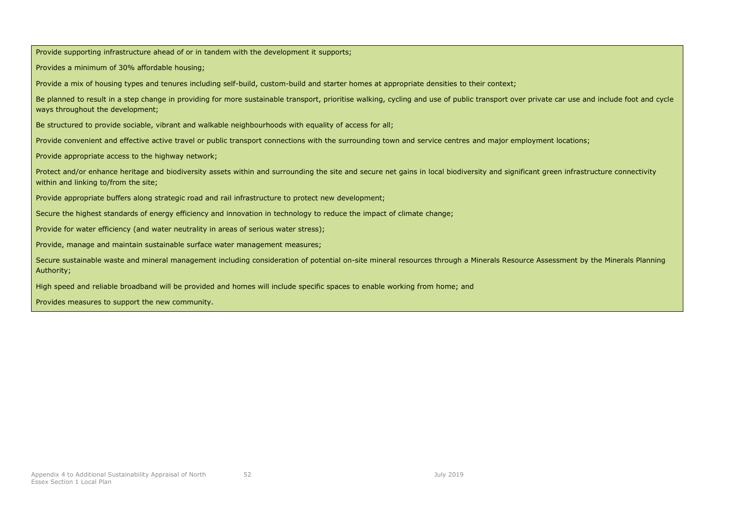Provide supporting infrastructure ahead of or in tandem with the development it supports;

Provides a minimum of 30% affordable housing;

Provide a mix of housing types and tenures including self-build, custom-build and starter homes at appropriate densities to their context;

Be planned to result in a step change in providing for more sustainable transport, prioritise walking, cycling and use of public transport over private car use and include foot and cycle ways throughout the development;

Be structured to provide sociable, vibrant and walkable neighbourhoods with equality of access for all;

Provide convenient and effective active travel or public transport connections with the surrounding town and service centres and major employment locations;

Provide appropriate access to the highway network;

Protect and/or enhance heritage and biodiversity assets within and surrounding the site and secure net gains in local biodiversity and significant green infrastructure connectivity within and linking to/from the site;

Provide appropriate buffers along strategic road and rail infrastructure to protect new development;

Secure the highest standards of energy efficiency and innovation in technology to reduce the impact of climate change;

Provide for water efficiency (and water neutrality in areas of serious water stress);

Provide, manage and maintain sustainable surface water management measures;

Secure sustainable waste and mineral management including consideration of potential on-site mineral resources through a Minerals Resource Assessment by the Minerals Planning Authority;

High speed and reliable broadband will be provided and homes will include specific spaces to enable working from home; and

Provides measures to support the new community.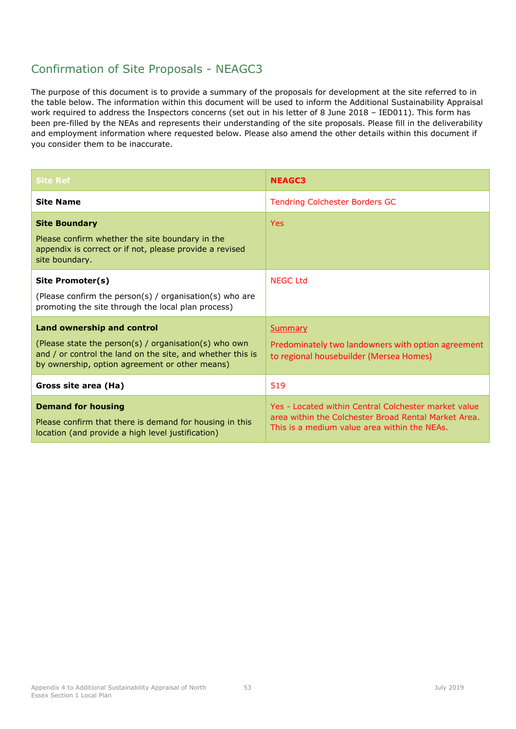# Confirmation of Site Proposals - NEAGC3

| <b>Site Ref</b>                                                                                                                                                                                     | <b>NEAGC3</b>                                                                                                                                                |
|-----------------------------------------------------------------------------------------------------------------------------------------------------------------------------------------------------|--------------------------------------------------------------------------------------------------------------------------------------------------------------|
| <b>Site Name</b>                                                                                                                                                                                    | <b>Tendring Colchester Borders GC</b>                                                                                                                        |
| <b>Site Boundary</b><br>Please confirm whether the site boundary in the<br>appendix is correct or if not, please provide a revised<br>site boundary.                                                | <b>Yes</b>                                                                                                                                                   |
| Site Promoter(s)<br>(Please confirm the person(s) / organisation(s) who are<br>promoting the site through the local plan process)                                                                   | <b>NEGC Ltd</b>                                                                                                                                              |
| Land ownership and control<br>(Please state the person(s) / organisation(s) who own<br>and / or control the land on the site, and whether this is<br>by ownership, option agreement or other means) | Summary<br>Predominately two landowners with option agreement<br>to regional housebuilder (Mersea Homes)                                                     |
| Gross site area (Ha)                                                                                                                                                                                | 519                                                                                                                                                          |
| <b>Demand for housing</b><br>Please confirm that there is demand for housing in this<br>location (and provide a high level justification)                                                           | Yes - Located within Central Colchester market value<br>area within the Colchester Broad Rental Market Area.<br>This is a medium value area within the NEAs. |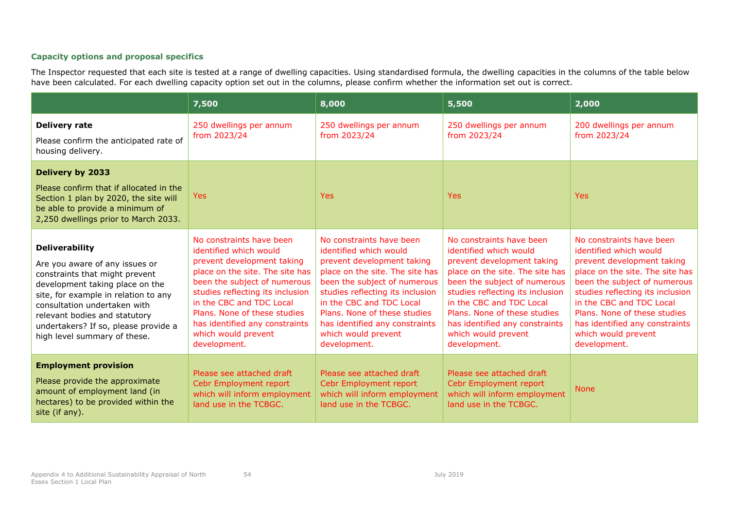|                                                                                                                                                                                                                                                                                                               | 7,500                                                                                                                                                                                                                                                                                                                        | 8,000                                                                                                                                                                                                                                                                                                                        | 5,500                                                                                                                                                                                                                                                                                                                        | 2,000                                                                                                                                                                                                                                                                                                                        |
|---------------------------------------------------------------------------------------------------------------------------------------------------------------------------------------------------------------------------------------------------------------------------------------------------------------|------------------------------------------------------------------------------------------------------------------------------------------------------------------------------------------------------------------------------------------------------------------------------------------------------------------------------|------------------------------------------------------------------------------------------------------------------------------------------------------------------------------------------------------------------------------------------------------------------------------------------------------------------------------|------------------------------------------------------------------------------------------------------------------------------------------------------------------------------------------------------------------------------------------------------------------------------------------------------------------------------|------------------------------------------------------------------------------------------------------------------------------------------------------------------------------------------------------------------------------------------------------------------------------------------------------------------------------|
| <b>Delivery rate</b><br>Please confirm the anticipated rate of<br>housing delivery.                                                                                                                                                                                                                           | 250 dwellings per annum<br>from 2023/24                                                                                                                                                                                                                                                                                      | 250 dwellings per annum<br>from 2023/24                                                                                                                                                                                                                                                                                      | 250 dwellings per annum<br>from 2023/24                                                                                                                                                                                                                                                                                      | 200 dwellings per annum<br>from 2023/24                                                                                                                                                                                                                                                                                      |
| <b>Delivery by 2033</b><br>Please confirm that if allocated in the<br>Section 1 plan by 2020, the site will<br>be able to provide a minimum of<br>2,250 dwellings prior to March 2033.                                                                                                                        | <b>Yes</b>                                                                                                                                                                                                                                                                                                                   | <b>Yes</b>                                                                                                                                                                                                                                                                                                                   | <b>Yes</b>                                                                                                                                                                                                                                                                                                                   | <b>Yes</b>                                                                                                                                                                                                                                                                                                                   |
| <b>Deliverability</b><br>Are you aware of any issues or<br>constraints that might prevent<br>development taking place on the<br>site, for example in relation to any<br>consultation undertaken with<br>relevant bodies and statutory<br>undertakers? If so, please provide a<br>high level summary of these. | No constraints have been<br>identified which would<br>prevent development taking<br>place on the site. The site has<br>been the subject of numerous<br>studies reflecting its inclusion<br>in the CBC and TDC Local<br>Plans. None of these studies<br>has identified any constraints<br>which would prevent<br>development. | No constraints have been<br>identified which would<br>prevent development taking<br>place on the site. The site has<br>been the subject of numerous<br>studies reflecting its inclusion<br>in the CBC and TDC Local<br>Plans. None of these studies<br>has identified any constraints<br>which would prevent<br>development. | No constraints have been<br>identified which would<br>prevent development taking<br>place on the site. The site has<br>been the subject of numerous<br>studies reflecting its inclusion<br>in the CBC and TDC Local<br>Plans. None of these studies<br>has identified any constraints<br>which would prevent<br>development. | No constraints have been<br>identified which would<br>prevent development taking<br>place on the site. The site has<br>been the subject of numerous<br>studies reflecting its inclusion<br>in the CBC and TDC Local<br>Plans. None of these studies<br>has identified any constraints<br>which would prevent<br>development. |
| <b>Employment provision</b><br>Please provide the approximate<br>amount of employment land (in<br>hectares) to be provided within the<br>site (if any).                                                                                                                                                       | Please see attached draft<br>Cebr Employment report<br>which will inform employment<br>land use in the TCBGC.                                                                                                                                                                                                                | Please see attached draft<br>Cebr Employment report<br>which will inform employment<br>land use in the TCBGC.                                                                                                                                                                                                                | Please see attached draft<br>Cebr Employment report<br>which will inform employment<br>land use in the TCBGC.                                                                                                                                                                                                                | <b>None</b>                                                                                                                                                                                                                                                                                                                  |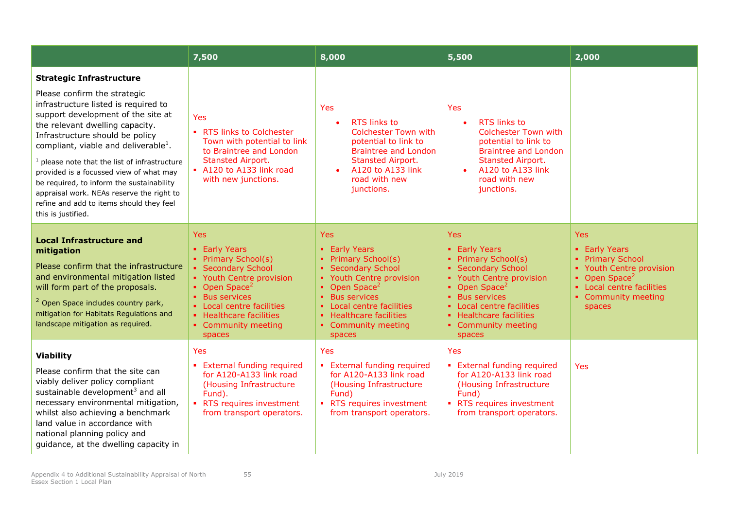|                                                                                                                                                                                                                                                                                                                                                                                                                                                                                                                                   | 7,500                                                                                                                                                                                                                                        | 8,000                                                                                                                                                                                                                                               | 5,500                                                                                                                                                                                                                                                      | 2,000                                                                                                                                                                          |
|-----------------------------------------------------------------------------------------------------------------------------------------------------------------------------------------------------------------------------------------------------------------------------------------------------------------------------------------------------------------------------------------------------------------------------------------------------------------------------------------------------------------------------------|----------------------------------------------------------------------------------------------------------------------------------------------------------------------------------------------------------------------------------------------|-----------------------------------------------------------------------------------------------------------------------------------------------------------------------------------------------------------------------------------------------------|------------------------------------------------------------------------------------------------------------------------------------------------------------------------------------------------------------------------------------------------------------|--------------------------------------------------------------------------------------------------------------------------------------------------------------------------------|
| <b>Strategic Infrastructure</b><br>Please confirm the strategic<br>infrastructure listed is required to<br>support development of the site at<br>the relevant dwelling capacity.<br>Infrastructure should be policy<br>compliant, viable and deliverable <sup>1</sup> .<br>$1$ please note that the list of infrastructure<br>provided is a focussed view of what may<br>be required, to inform the sustainability<br>appraisal work. NEAs reserve the right to<br>refine and add to items should they feel<br>this is justified. | Yes<br>• RTS links to Colchester<br>Town with potential to link<br>to Braintree and London<br><b>Stansted Airport.</b><br>A120 to A133 link road<br>with new junctions.                                                                      | Yes<br><b>RTS links to</b><br><b>Colchester Town with</b><br>potential to link to<br><b>Braintree and London</b><br>Stansted Airport.<br>A120 to A133 link<br>road with new<br>junctions.                                                           | Yes<br><b>RTS links to</b><br><b>Colchester Town with</b><br>potential to link to<br><b>Braintree and London</b><br>Stansted Airport.<br>A120 to A133 link<br>$\bullet$<br>road with new<br>junctions.                                                     |                                                                                                                                                                                |
| <b>Local Infrastructure and</b><br>mitigation<br>Please confirm that the infrastructure<br>and environmental mitigation listed<br>will form part of the proposals.<br><sup>2</sup> Open Space includes country park,<br>mitigation for Habitats Regulations and<br>landscape mitigation as required.                                                                                                                                                                                                                              | <b>Yes</b><br>• Early Years<br>• Primary School(s)<br>• Secondary School<br>• Youth Centre provision<br>• Open Space <sup>2</sup><br>• Bus services<br>• Local centre facilities<br>• Healthcare facilities<br>• Community meeting<br>spaces | <b>Yes</b><br>• Early Years<br>• Primary School(s)<br>• Secondary School<br>• Youth Centre provision<br>• Open Space <sup>2</sup><br>• Bus services<br>• Local centre facilities<br>• Healthcare facilities<br>• Community meeting<br><b>spaces</b> | Yes<br>• Early Years<br>Primary School(s)<br>• Secondary School<br>• Youth Centre provision<br>• Open Space <sup>2</sup><br><b>Bus services</b><br>$\blacksquare$<br>• Local centre facilities<br>• Healthcare facilities<br>• Community meeting<br>spaces | <b>Yes</b><br>• Early Years<br><b>Primary School</b><br>Youth Centre provision<br>• Open Space <sup>2</sup><br>• Local centre facilities<br><b>Community meeting</b><br>spaces |
| <b>Viability</b><br>Please confirm that the site can<br>viably deliver policy compliant<br>sustainable development <sup>3</sup> and all<br>necessary environmental mitigation,<br>whilst also achieving a benchmark<br>land value in accordance with<br>national planning policy and<br>guidance, at the dwelling capacity in                                                                                                                                                                                                     | Yes<br>• External funding required<br>for A120-A133 link road<br>(Housing Infrastructure<br>Fund).<br>• RTS requires investment<br>from transport operators.                                                                                 | Yes<br>• External funding required<br>for A120-A133 link road<br>(Housing Infrastructure<br>Fund)<br>• RTS requires investment<br>from transport operators.                                                                                         | Yes<br><b>External funding required</b><br>$\mathbf{u}$ .<br>for A120-A133 link road<br>(Housing Infrastructure<br>Fund)<br>RTS requires investment<br>from transport operators.                                                                           | Yes                                                                                                                                                                            |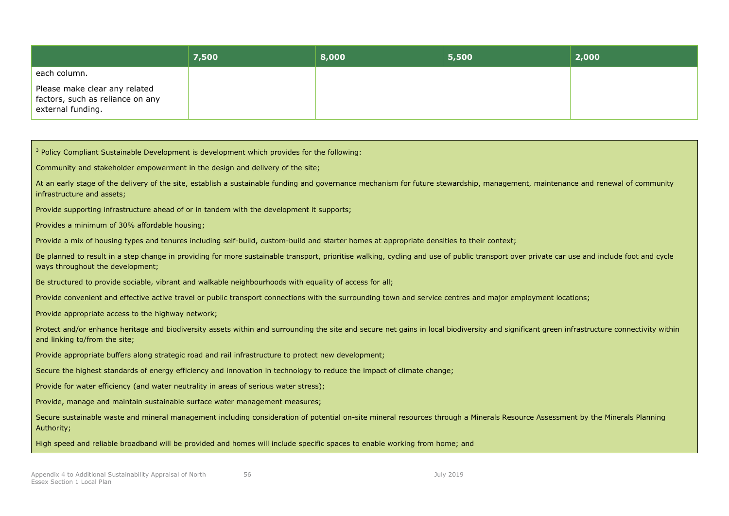|                                                                                        | 7,500 | 8,000 | 5,500 | 2,000 |
|----------------------------------------------------------------------------------------|-------|-------|-------|-------|
| each column.                                                                           |       |       |       |       |
| Please make clear any related<br>factors, such as reliance on any<br>external funding. |       |       |       |       |

| <sup>3</sup> Policy Compliant Sustainable Development is development which provides for the following:                                                                                                                         |
|--------------------------------------------------------------------------------------------------------------------------------------------------------------------------------------------------------------------------------|
| Community and stakeholder empowerment in the design and delivery of the site;                                                                                                                                                  |
| At an early stage of the delivery of the site, establish a sustainable funding and governance mechanism for future stewardship, management, maintenance and renewal of community<br>infrastructure and assets;                 |
| Provide supporting infrastructure ahead of or in tandem with the development it supports;                                                                                                                                      |
| Provides a minimum of 30% affordable housing;                                                                                                                                                                                  |
| Provide a mix of housing types and tenures including self-build, custom-build and starter homes at appropriate densities to their context;                                                                                     |
| Be planned to result in a step change in providing for more sustainable transport, prioritise walking, cycling and use of public transport over private car use and include foot and cycle<br>ways throughout the development; |
| Be structured to provide sociable, vibrant and walkable neighbourhoods with equality of access for all;                                                                                                                        |
| Provide convenient and effective active travel or public transport connections with the surrounding town and service centres and major employment locations;                                                                   |
| Provide appropriate access to the highway network;                                                                                                                                                                             |
| Protect and/or enhance heritage and biodiversity assets within and surrounding the site and secure net gains in local biodiversity and significant green infrastructure connectivity within<br>and linking to/from the site;   |
| Provide appropriate buffers along strategic road and rail infrastructure to protect new development;                                                                                                                           |
| Secure the highest standards of energy efficiency and innovation in technology to reduce the impact of climate change;                                                                                                         |
| Provide for water efficiency (and water neutrality in areas of serious water stress);                                                                                                                                          |
| Provide, manage and maintain sustainable surface water management measures;                                                                                                                                                    |
| Secure sustainable waste and mineral management including consideration of potential on-site mineral resources through a Minerals Resource Assessment by the Minerals Planning<br>Authority;                                   |
| High speed and reliable broadband will be provided and homes will include specific spaces to enable working from home; and                                                                                                     |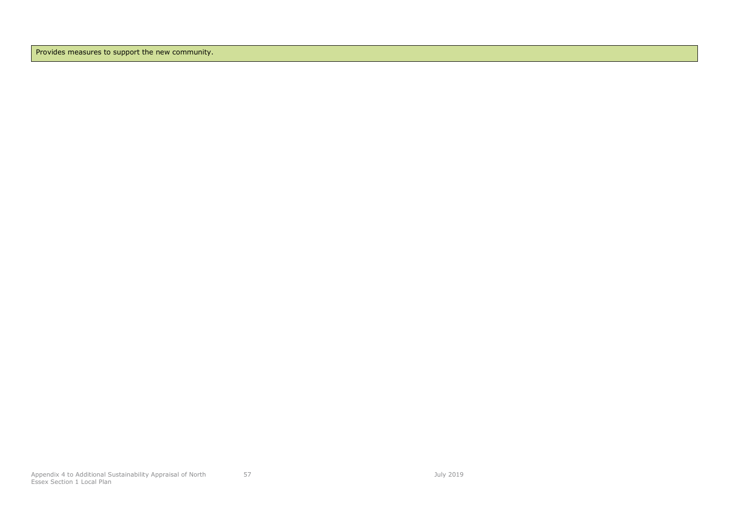Provides measures to support the new community.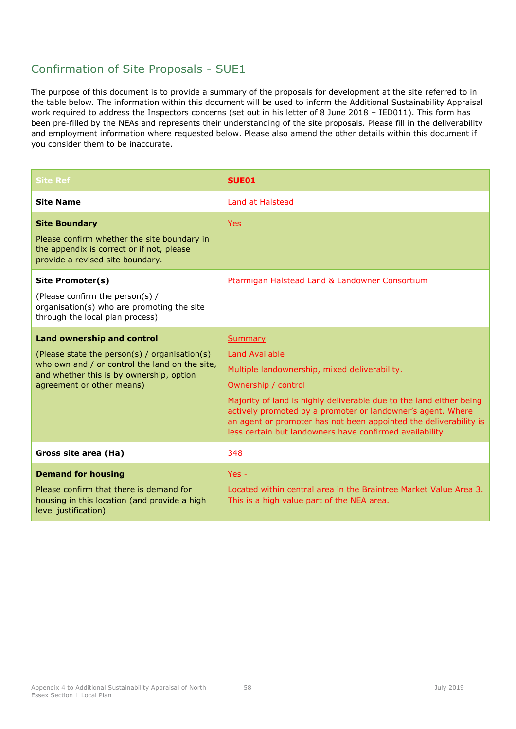## Confirmation of Site Proposals - SUE1

| <b>Site Ref</b>                                                                                                                                                                                               | SUE01                                                                                                                                                                                                                                                                                                                                                                          |
|---------------------------------------------------------------------------------------------------------------------------------------------------------------------------------------------------------------|--------------------------------------------------------------------------------------------------------------------------------------------------------------------------------------------------------------------------------------------------------------------------------------------------------------------------------------------------------------------------------|
| <b>Site Name</b>                                                                                                                                                                                              | Land at Halstead                                                                                                                                                                                                                                                                                                                                                               |
| <b>Site Boundary</b><br>Please confirm whether the site boundary in<br>the appendix is correct or if not, please<br>provide a revised site boundary.                                                          | <b>Yes</b>                                                                                                                                                                                                                                                                                                                                                                     |
| Site Promoter(s)<br>(Please confirm the person(s) /<br>organisation(s) who are promoting the site<br>through the local plan process)                                                                          | Ptarmigan Halstead Land & Landowner Consortium                                                                                                                                                                                                                                                                                                                                 |
| <b>Land ownership and control</b><br>(Please state the person(s) / organisation(s)<br>who own and / or control the land on the site,<br>and whether this is by ownership, option<br>agreement or other means) | Summary<br><b>Land Available</b><br>Multiple landownership, mixed deliverability.<br>Ownership / control<br>Majority of land is highly deliverable due to the land either being<br>actively promoted by a promoter or landowner's agent. Where<br>an agent or promoter has not been appointed the deliverability is<br>less certain but landowners have confirmed availability |
| Gross site area (Ha)                                                                                                                                                                                          | 348                                                                                                                                                                                                                                                                                                                                                                            |
| <b>Demand for housing</b><br>Please confirm that there is demand for<br>housing in this location (and provide a high<br>level justification)                                                                  | $Yes -$<br>Located within central area in the Braintree Market Value Area 3.<br>This is a high value part of the NEA area.                                                                                                                                                                                                                                                     |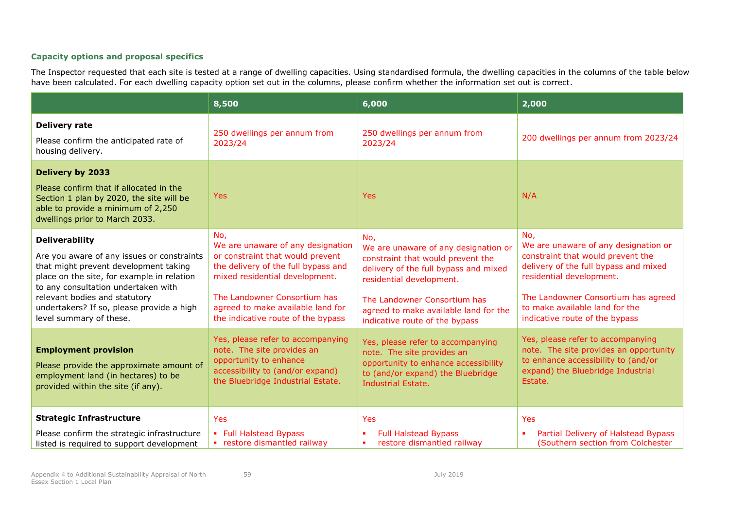|                                                                                                                                                                                                                                                                                                            | 8,500                                                                                                                                                                                                                                                            | 6,000                                                                                                                                                                                                                                                            | 2,000                                                                                                                                                                                                                                                            |
|------------------------------------------------------------------------------------------------------------------------------------------------------------------------------------------------------------------------------------------------------------------------------------------------------------|------------------------------------------------------------------------------------------------------------------------------------------------------------------------------------------------------------------------------------------------------------------|------------------------------------------------------------------------------------------------------------------------------------------------------------------------------------------------------------------------------------------------------------------|------------------------------------------------------------------------------------------------------------------------------------------------------------------------------------------------------------------------------------------------------------------|
| <b>Delivery rate</b><br>Please confirm the anticipated rate of<br>housing delivery.                                                                                                                                                                                                                        | 250 dwellings per annum from<br>2023/24                                                                                                                                                                                                                          | 250 dwellings per annum from<br>2023/24                                                                                                                                                                                                                          | 200 dwellings per annum from 2023/24                                                                                                                                                                                                                             |
| Delivery by 2033<br>Please confirm that if allocated in the<br>Section 1 plan by 2020, the site will be<br>able to provide a minimum of 2,250<br>dwellings prior to March 2033.                                                                                                                            | <b>Yes</b>                                                                                                                                                                                                                                                       | <b>Yes</b>                                                                                                                                                                                                                                                       | N/A                                                                                                                                                                                                                                                              |
| <b>Deliverability</b><br>Are you aware of any issues or constraints<br>that might prevent development taking<br>place on the site, for example in relation<br>to any consultation undertaken with<br>relevant bodies and statutory<br>undertakers? If so, please provide a high<br>level summary of these. | No,<br>We are unaware of any designation<br>or constraint that would prevent<br>the delivery of the full bypass and<br>mixed residential development.<br>The Landowner Consortium has<br>agreed to make available land for<br>the indicative route of the bypass | No,<br>We are unaware of any designation or<br>constraint that would prevent the<br>delivery of the full bypass and mixed<br>residential development.<br>The Landowner Consortium has<br>agreed to make available land for the<br>indicative route of the bypass | No,<br>We are unaware of any designation or<br>constraint that would prevent the<br>delivery of the full bypass and mixed<br>residential development.<br>The Landowner Consortium has agreed<br>to make available land for the<br>indicative route of the bypass |
| <b>Employment provision</b><br>Please provide the approximate amount of<br>employment land (in hectares) to be<br>provided within the site (if any).                                                                                                                                                       | Yes, please refer to accompanying<br>note. The site provides an<br>opportunity to enhance<br>accessibility to (and/or expand)<br>the Bluebridge Industrial Estate.                                                                                               | Yes, please refer to accompanying<br>note. The site provides an<br>opportunity to enhance accessibility<br>to (and/or expand) the Bluebridge<br><b>Industrial Estate.</b>                                                                                        | Yes, please refer to accompanying<br>note. The site provides an opportunity<br>to enhance accessibility to (and/or<br>expand) the Bluebridge Industrial<br>Estate.                                                                                               |
| <b>Strategic Infrastructure</b><br>Please confirm the strategic infrastructure<br>listed is required to support development                                                                                                                                                                                | <b>Yes</b><br>• Full Halstead Bypass<br>• restore dismantled railway                                                                                                                                                                                             | Yes<br><b>Full Halstead Bypass</b><br>п.<br>restore dismantled railway<br>٠                                                                                                                                                                                      | Yes<br>Partial Delivery of Halstead Bypass<br>×<br>(Southern section from Colchester                                                                                                                                                                             |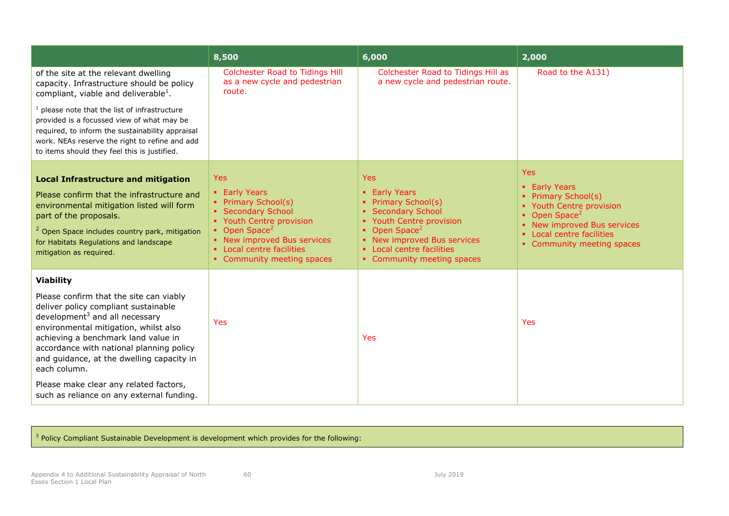|                                                                                                                                                                                                                                                                                                                                                                                                                                   | 8,500                                                                                                                                                                                                                       | 6,000                                                                                                                                                                                                                                 | 2,000                                                                                                                                                                                                    |
|-----------------------------------------------------------------------------------------------------------------------------------------------------------------------------------------------------------------------------------------------------------------------------------------------------------------------------------------------------------------------------------------------------------------------------------|-----------------------------------------------------------------------------------------------------------------------------------------------------------------------------------------------------------------------------|---------------------------------------------------------------------------------------------------------------------------------------------------------------------------------------------------------------------------------------|----------------------------------------------------------------------------------------------------------------------------------------------------------------------------------------------------------|
| of the site at the relevant dwelling<br>capacity. Infrastructure should be policy<br>compliant, viable and deliverable <sup>1</sup> .                                                                                                                                                                                                                                                                                             | <b>Colchester Road to Tidings Hill</b><br>as a new cycle and pedestrian<br>route.                                                                                                                                           | Colchester Road to Tidings Hill as<br>a new cycle and pedestrian route.                                                                                                                                                               | Road to the A131)                                                                                                                                                                                        |
| $1$ please note that the list of infrastructure<br>provided is a focussed view of what may be<br>required, to inform the sustainability appraisal<br>work. NEAs reserve the right to refine and add<br>to items should they feel this is justified.                                                                                                                                                                               |                                                                                                                                                                                                                             |                                                                                                                                                                                                                                       |                                                                                                                                                                                                          |
| <b>Local Infrastructure and mitigation</b><br>Please confirm that the infrastructure and<br>environmental mitigation listed will form<br>part of the proposals.<br><sup>2</sup> Open Space includes country park, mitigation<br>for Habitats Regulations and landscape<br>mitigation as required.                                                                                                                                 | <b>Yes</b><br>• Early Years<br>• Primary School(s)<br>• Secondary School<br>• Youth Centre provision<br>• Open Space <sup>2</sup><br>• New improved Bus services<br>• Local centre facilities<br>• Community meeting spaces | <b>Yes</b><br><b>Early Years</b><br><b>Primary School(s)</b><br>• Secondary School<br>• Youth Centre provision<br>• Open Space <sup>2</sup><br>• New improved Bus services<br>• Local centre facilities<br>• Community meeting spaces | <b>Yes</b><br>• Early Years<br><b>Primary School(s)</b><br>• Youth Centre provision<br>Open Space <sup>2</sup><br>• New improved Bus services<br>• Local centre facilities<br>• Community meeting spaces |
| <b>Viability</b><br>Please confirm that the site can viably<br>deliver policy compliant sustainable<br>development <sup>3</sup> and all necessary<br>environmental mitigation, whilst also<br>achieving a benchmark land value in<br>accordance with national planning policy<br>and guidance, at the dwelling capacity in<br>each column.<br>Please make clear any related factors,<br>such as reliance on any external funding. | Yes                                                                                                                                                                                                                         | Yes                                                                                                                                                                                                                                   | Yes                                                                                                                                                                                                      |

 $\frac{3}{2}$  Policy Compliant Sustainable Development is development which provides for the following: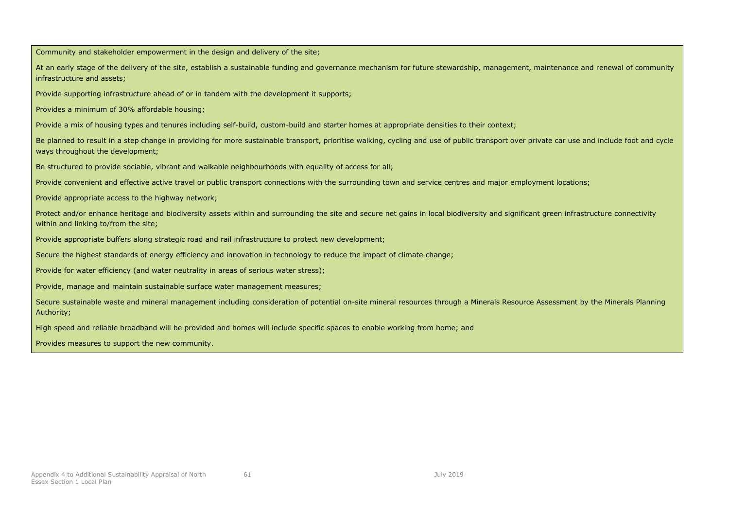Community and stakeholder empowerment in the design and delivery of the site; At an early stage of the delivery of the site, establish a sustainable funding and governance mechanism for future stewardship, management, maintenance and renewal of community infrastructure and assets; Provide supporting infrastructure ahead of or in tandem with the development it supports; Provides a minimum of 30% affordable housing; Provide a mix of housing types and tenures including self-build, custom-build and starter homes at appropriate densities to their context; Be planned to result in a step change in providing for more sustainable transport, prioritise walking, cycling and use of public transport over private car use and include foot and cycle ways throughout the development; Be structured to provide sociable, vibrant and walkable neighbourhoods with equality of access for all; Provide convenient and effective active travel or public transport connections with the surrounding town and service centres and major employment locations; Provide appropriate access to the highway network; Protect and/or enhance heritage and biodiversity assets within and surrounding the site and secure net gains in local biodiversity and significant green infrastructure connectivity within and linking to/from the site; Provide appropriate buffers along strategic road and rail infrastructure to protect new development; Secure the highest standards of energy efficiency and innovation in technology to reduce the impact of climate change; Provide for water efficiency (and water neutrality in areas of serious water stress); Provide, manage and maintain sustainable surface water management measures; Secure sustainable waste and mineral management including consideration of potential on-site mineral resources through a Minerals Resource Assessment by the Minerals Planning Authority; High speed and reliable broadband will be provided and homes will include specific spaces to enable working from home; and Provides measures to support the new community.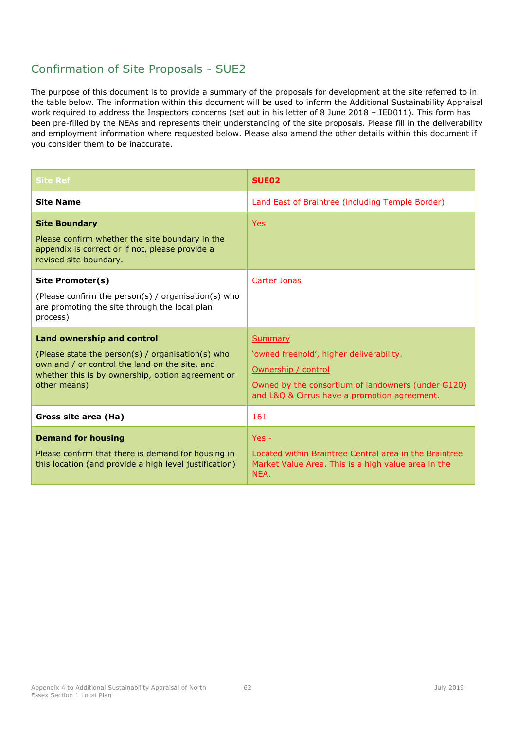### Confirmation of Site Proposals - SUE2

| <b>Site Ref</b>                                                                                                                                                                                               | SUE <sub>02</sub>                                                                                                                                                                |
|---------------------------------------------------------------------------------------------------------------------------------------------------------------------------------------------------------------|----------------------------------------------------------------------------------------------------------------------------------------------------------------------------------|
| <b>Site Name</b>                                                                                                                                                                                              | Land East of Braintree (including Temple Border)                                                                                                                                 |
| <b>Site Boundary</b><br>Please confirm whether the site boundary in the<br>appendix is correct or if not, please provide a<br>revised site boundary.                                                          | <b>Yes</b>                                                                                                                                                                       |
| Site Promoter(s)<br>(Please confirm the person(s) / organisation(s) who<br>are promoting the site through the local plan<br>process)                                                                          | Carter Jonas                                                                                                                                                                     |
| <b>Land ownership and control</b><br>(Please state the person(s) / organisation(s) who<br>own and / or control the land on the site, and<br>whether this is by ownership, option agreement or<br>other means) | Summary<br>'owned freehold', higher deliverability.<br>Ownership / control<br>Owned by the consortium of landowners (under G120)<br>and L&Q & Cirrus have a promotion agreement. |
| Gross site area (Ha)                                                                                                                                                                                          | 161                                                                                                                                                                              |
| <b>Demand for housing</b><br>Please confirm that there is demand for housing in<br>this location (and provide a high level justification)                                                                     | $Yes -$<br>Located within Braintree Central area in the Braintree<br>Market Value Area. This is a high value area in the<br>NEA.                                                 |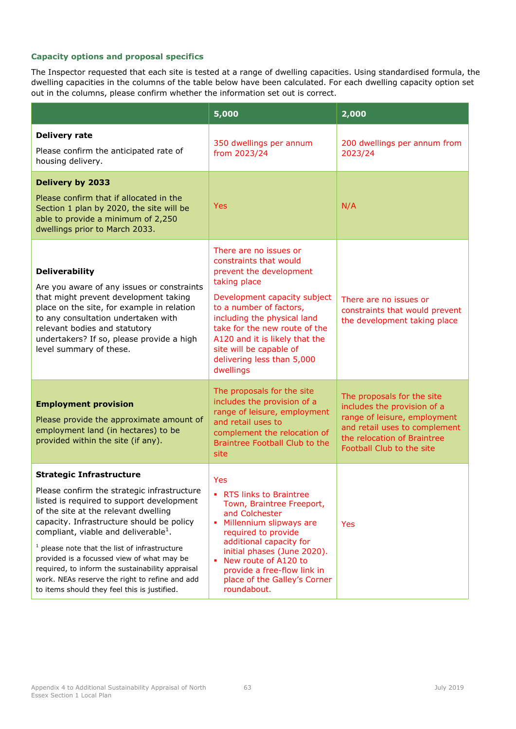|                                                                                                                                                                                                                                                                                                                                                                                                                                                                                                                             | 5,000                                                                                                                                                                                                                                                                                                                          | 2,000                                                                                                                                                                                  |
|-----------------------------------------------------------------------------------------------------------------------------------------------------------------------------------------------------------------------------------------------------------------------------------------------------------------------------------------------------------------------------------------------------------------------------------------------------------------------------------------------------------------------------|--------------------------------------------------------------------------------------------------------------------------------------------------------------------------------------------------------------------------------------------------------------------------------------------------------------------------------|----------------------------------------------------------------------------------------------------------------------------------------------------------------------------------------|
| <b>Delivery rate</b><br>Please confirm the anticipated rate of<br>housing delivery.                                                                                                                                                                                                                                                                                                                                                                                                                                         | 350 dwellings per annum<br>from 2023/24                                                                                                                                                                                                                                                                                        | 200 dwellings per annum from<br>2023/24                                                                                                                                                |
| <b>Delivery by 2033</b><br>Please confirm that if allocated in the<br>Section 1 plan by 2020, the site will be<br>able to provide a minimum of 2,250<br>dwellings prior to March 2033.                                                                                                                                                                                                                                                                                                                                      | <b>Yes</b>                                                                                                                                                                                                                                                                                                                     | N/A                                                                                                                                                                                    |
| <b>Deliverability</b><br>Are you aware of any issues or constraints<br>that might prevent development taking<br>place on the site, for example in relation<br>to any consultation undertaken with<br>relevant bodies and statutory<br>undertakers? If so, please provide a high<br>level summary of these.                                                                                                                                                                                                                  | There are no issues or<br>constraints that would<br>prevent the development<br>taking place<br>Development capacity subject<br>to a number of factors,<br>including the physical land<br>take for the new route of the<br>A120 and it is likely that the<br>site will be capable of<br>delivering less than 5,000<br>dwellings | There are no issues or<br>constraints that would prevent<br>the development taking place                                                                                               |
| <b>Employment provision</b><br>Please provide the approximate amount of<br>employment land (in hectares) to be<br>provided within the site (if any).                                                                                                                                                                                                                                                                                                                                                                        | The proposals for the site<br>includes the provision of a<br>range of leisure, employment<br>and retail uses to<br>complement the relocation of<br>Braintree Football Club to the<br>site                                                                                                                                      | The proposals for the site<br>includes the provision of a<br>range of leisure, employment<br>and retail uses to complement<br>the relocation of Braintree<br>Football Club to the site |
| <b>Strategic Infrastructure</b><br>Please confirm the strategic infrastructure<br>listed is required to support development<br>of the site at the relevant dwelling<br>capacity. Infrastructure should be policy<br>compliant, viable and deliverable <sup>1</sup> .<br>$1$ please note that the list of infrastructure<br>provided is a focussed view of what may be<br>required, to inform the sustainability appraisal<br>work. NEAs reserve the right to refine and add<br>to items should they feel this is justified. | Yes<br>• RTS links to Braintree<br>Town, Braintree Freeport,<br>and Colchester<br>٠<br>Millennium slipways are<br>required to provide<br>additional capacity for<br>initial phases (June 2020).<br>New route of A120 to<br>٠<br>provide a free-flow link in<br>place of the Galley's Corner<br>roundabout.                     | Yes                                                                                                                                                                                    |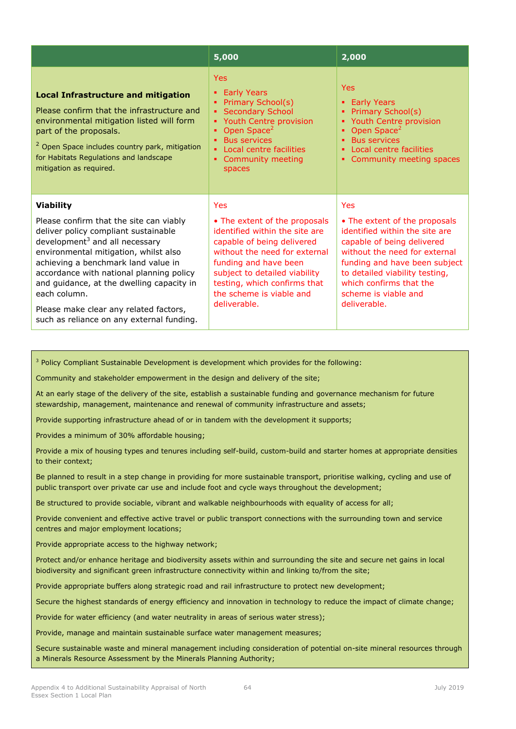|                                                                                                                                                                                                                                                                                                   | 5,000                                                                                                                                                                                                                       | 2,000                                                                                                                                                                                                    |
|---------------------------------------------------------------------------------------------------------------------------------------------------------------------------------------------------------------------------------------------------------------------------------------------------|-----------------------------------------------------------------------------------------------------------------------------------------------------------------------------------------------------------------------------|----------------------------------------------------------------------------------------------------------------------------------------------------------------------------------------------------------|
| <b>Local Infrastructure and mitigation</b><br>Please confirm that the infrastructure and<br>environmental mitigation listed will form<br>part of the proposals.<br><sup>2</sup> Open Space includes country park, mitigation<br>for Habitats Regulations and landscape<br>mitigation as required. | <b>Yes</b><br><b>Early Years</b><br>Primary School(s)<br><b>Secondary School</b><br>Youth Centre provision<br>Open Space <sup>2</sup><br><b>Bus services</b><br>٠<br>Local centre facilities<br>Community meeting<br>spaces | <b>Yes</b><br><b>Early Years</b><br>٠<br>Primary School(s)<br>Youth Centre provision<br>Open Space <sup>2</sup><br><b>Bus services</b><br>٠<br>Local centre facilities<br>Community meeting spaces       |
| <b>Viability</b><br>Please confirm that the site can viably<br>deliver policy compliant sustainable<br>development <sup>3</sup> and all necessary<br>environmental mitigation, whilst also<br>achieving a benchmark land value in<br>accordance with national planning policy                     | Yes<br>• The extent of the proposals<br>identified within the site are<br>capable of being delivered<br>without the need for external<br>funding and have been<br>subject to detailed viability                             | Yes<br>• The extent of the proposals<br>identified within the site are<br>capable of being delivered<br>without the need for external<br>funding and have been subject<br>to detailed viability testing, |
| and guidance, at the dwelling capacity in<br>each column.<br>Please make clear any related factors,<br>such as reliance on any external funding.                                                                                                                                                  | testing, which confirms that<br>the scheme is viable and<br>deliverable.                                                                                                                                                    | which confirms that the<br>scheme is viable and<br>deliverable.                                                                                                                                          |

<sup>3</sup> Policy Compliant Sustainable Development is development which provides for the following:

Community and stakeholder empowerment in the design and delivery of the site;

At an early stage of the delivery of the site, establish a sustainable funding and governance mechanism for future stewardship, management, maintenance and renewal of community infrastructure and assets;

Provide supporting infrastructure ahead of or in tandem with the development it supports;

Provides a minimum of 30% affordable housing;

Provide a mix of housing types and tenures including self-build, custom-build and starter homes at appropriate densities to their context;

Be planned to result in a step change in providing for more sustainable transport, prioritise walking, cycling and use of public transport over private car use and include foot and cycle ways throughout the development;

Be structured to provide sociable, vibrant and walkable neighbourhoods with equality of access for all;

Provide convenient and effective active travel or public transport connections with the surrounding town and service centres and major employment locations;

Provide appropriate access to the highway network;

Protect and/or enhance heritage and biodiversity assets within and surrounding the site and secure net gains in local biodiversity and significant green infrastructure connectivity within and linking to/from the site;

Provide appropriate buffers along strategic road and rail infrastructure to protect new development;

Secure the highest standards of energy efficiency and innovation in technology to reduce the impact of climate change;

Provide for water efficiency (and water neutrality in areas of serious water stress);

Provide, manage and maintain sustainable surface water management measures;

Secure sustainable waste and mineral management including consideration of potential on-site mineral resources through a Minerals Resource Assessment by the Minerals Planning Authority;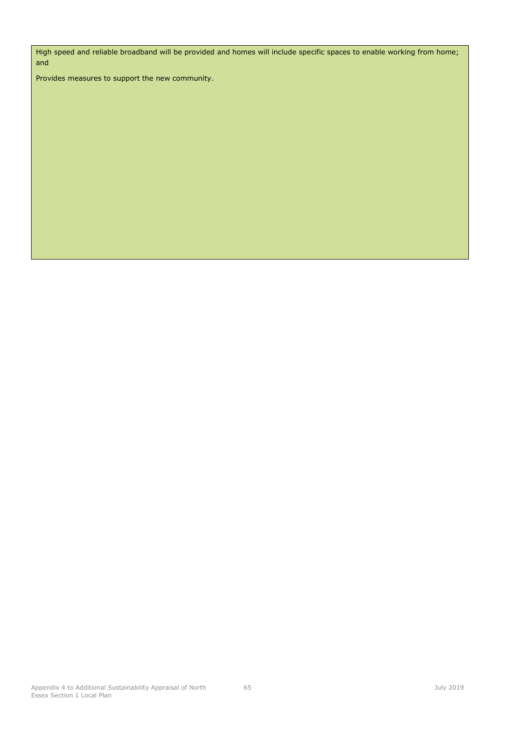High speed and reliable broadband will be provided and homes will include specific spaces to enable working from home; and

Provides measures to support the new community.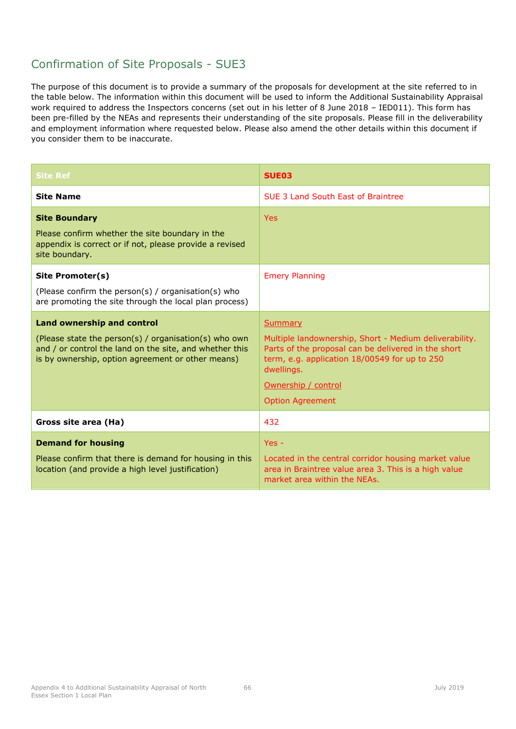# Confirmation of Site Proposals - SUE3

| <b>Site Ref</b>                                                                                                                                                                                            | SUE <sub>03</sub>                                                                                                                                                                                                                                |
|------------------------------------------------------------------------------------------------------------------------------------------------------------------------------------------------------------|--------------------------------------------------------------------------------------------------------------------------------------------------------------------------------------------------------------------------------------------------|
| <b>Site Name</b>                                                                                                                                                                                           | SUE 3 Land South East of Braintree                                                                                                                                                                                                               |
| <b>Site Boundary</b><br>Please confirm whether the site boundary in the<br>appendix is correct or if not, please provide a revised<br>site boundary.                                                       | <b>Yes</b>                                                                                                                                                                                                                                       |
| Site Promoter(s)<br>(Please confirm the person(s) / organisation(s) who<br>are promoting the site through the local plan process)                                                                          | <b>Emery Planning</b>                                                                                                                                                                                                                            |
| <b>Land ownership and control</b><br>(Please state the person(s) / organisation(s) who own<br>and / or control the land on the site, and whether this<br>is by ownership, option agreement or other means) | <b>Summary</b><br>Multiple landownership, Short - Medium deliverability.<br>Parts of the proposal can be delivered in the short<br>term, e.g. application 18/00549 for up to 250<br>dwellings.<br>Ownership / control<br><b>Option Agreement</b> |
| Gross site area (Ha)                                                                                                                                                                                       | 432                                                                                                                                                                                                                                              |
| <b>Demand for housing</b><br>Please confirm that there is demand for housing in this<br>location (and provide a high level justification)                                                                  | $Yes -$<br>Located in the central corridor housing market value<br>area in Braintree value area 3. This is a high value<br>market area within the NEAs.                                                                                          |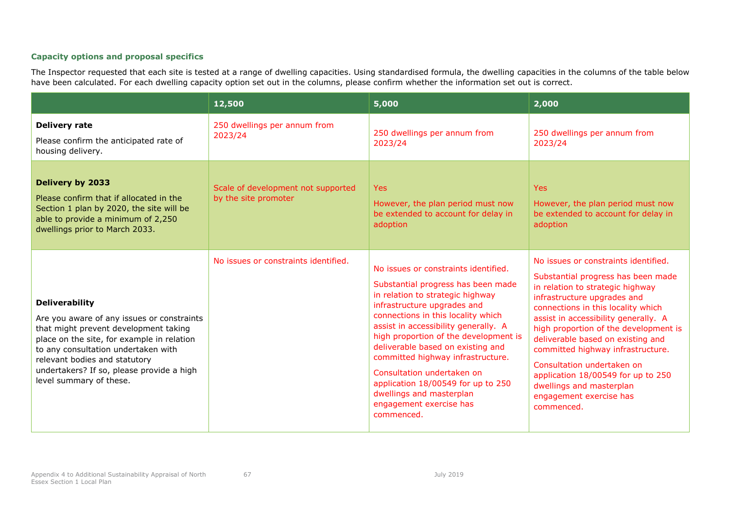|                                                                                                                                                                                                                                                                                                            | 12,500                                                     | 5,000                                                                                                                                                                                                                                                                                                                                                                                                                                                                                   | 2,000                                                                                                                                                                                                                                                                                                                                                                                                                                                                                   |
|------------------------------------------------------------------------------------------------------------------------------------------------------------------------------------------------------------------------------------------------------------------------------------------------------------|------------------------------------------------------------|-----------------------------------------------------------------------------------------------------------------------------------------------------------------------------------------------------------------------------------------------------------------------------------------------------------------------------------------------------------------------------------------------------------------------------------------------------------------------------------------|-----------------------------------------------------------------------------------------------------------------------------------------------------------------------------------------------------------------------------------------------------------------------------------------------------------------------------------------------------------------------------------------------------------------------------------------------------------------------------------------|
| <b>Delivery rate</b><br>Please confirm the anticipated rate of<br>housing delivery.                                                                                                                                                                                                                        | 250 dwellings per annum from<br>2023/24                    | 250 dwellings per annum from<br>2023/24                                                                                                                                                                                                                                                                                                                                                                                                                                                 | 250 dwellings per annum from<br>2023/24                                                                                                                                                                                                                                                                                                                                                                                                                                                 |
| <b>Delivery by 2033</b><br>Please confirm that if allocated in the<br>Section 1 plan by 2020, the site will be<br>able to provide a minimum of 2,250<br>dwellings prior to March 2033.                                                                                                                     | Scale of development not supported<br>by the site promoter | <b>Yes</b><br>However, the plan period must now<br>be extended to account for delay in<br>adoption                                                                                                                                                                                                                                                                                                                                                                                      | <b>Yes</b><br>However, the plan period must now<br>be extended to account for delay in<br>adoption                                                                                                                                                                                                                                                                                                                                                                                      |
| <b>Deliverability</b><br>Are you aware of any issues or constraints<br>that might prevent development taking<br>place on the site, for example in relation<br>to any consultation undertaken with<br>relevant bodies and statutory<br>undertakers? If so, please provide a high<br>level summary of these. | No issues or constraints identified.                       | No issues or constraints identified.<br>Substantial progress has been made<br>in relation to strategic highway<br>infrastructure upgrades and<br>connections in this locality which<br>assist in accessibility generally. A<br>high proportion of the development is<br>deliverable based on existing and<br>committed highway infrastructure.<br>Consultation undertaken on<br>application 18/00549 for up to 250<br>dwellings and masterplan<br>engagement exercise has<br>commenced. | No issues or constraints identified.<br>Substantial progress has been made<br>in relation to strategic highway<br>infrastructure upgrades and<br>connections in this locality which<br>assist in accessibility generally. A<br>high proportion of the development is<br>deliverable based on existing and<br>committed highway infrastructure.<br>Consultation undertaken on<br>application 18/00549 for up to 250<br>dwellings and masterplan<br>engagement exercise has<br>commenced. |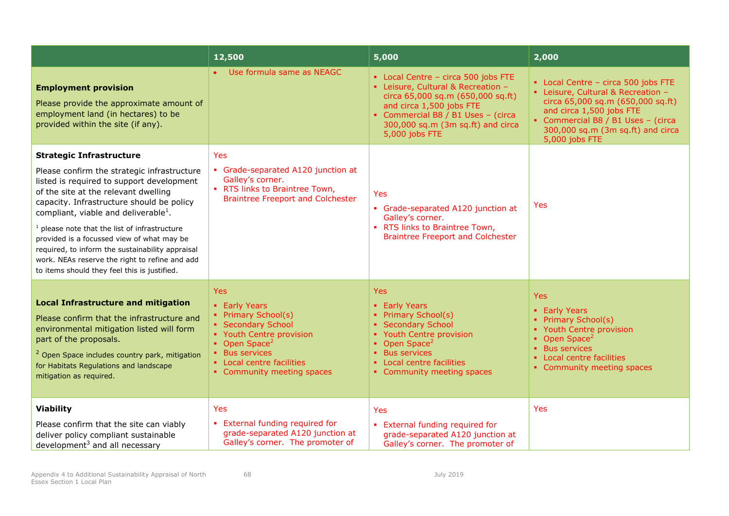|                                                                                                                                                                                                                                                                                                                                                                                                                                                                                                                             | 12,500                                                                                                                                                                                                  | 5,000                                                                                                                                                                                                                                   | 2,000                                                                                                                                                                                                                                 |
|-----------------------------------------------------------------------------------------------------------------------------------------------------------------------------------------------------------------------------------------------------------------------------------------------------------------------------------------------------------------------------------------------------------------------------------------------------------------------------------------------------------------------------|---------------------------------------------------------------------------------------------------------------------------------------------------------------------------------------------------------|-----------------------------------------------------------------------------------------------------------------------------------------------------------------------------------------------------------------------------------------|---------------------------------------------------------------------------------------------------------------------------------------------------------------------------------------------------------------------------------------|
| <b>Employment provision</b><br>Please provide the approximate amount of<br>employment land (in hectares) to be<br>provided within the site (if any).                                                                                                                                                                                                                                                                                                                                                                        | Use formula same as NEAGC                                                                                                                                                                               | • Local Centre - circa 500 jobs FTE<br>- Leisure, Cultural & Recreation -<br>circa 65,000 sq.m (650,000 sq.ft)<br>and circa 1,500 jobs FTE<br>• Commercial B8 / B1 Uses - (circa<br>300,000 sq.m (3m sq.ft) and circa<br>5,000 jobs FTE | • Local Centre - circa 500 jobs FTE<br>• Leisure, Cultural & Recreation -<br>circa 65,000 sq.m (650,000 sq.ft)<br>and circa 1,500 jobs FTE<br>Commercial B8 / B1 Uses - (circa<br>300,000 sq.m (3m sq.ft) and circa<br>5,000 jobs FTE |
| <b>Strategic Infrastructure</b><br>Please confirm the strategic infrastructure<br>listed is required to support development<br>of the site at the relevant dwelling<br>capacity. Infrastructure should be policy<br>compliant, viable and deliverable <sup>1</sup> .<br>$1$ please note that the list of infrastructure<br>provided is a focussed view of what may be<br>required, to inform the sustainability appraisal<br>work. NEAs reserve the right to refine and add<br>to items should they feel this is justified. | Yes<br>Grade-separated A120 junction at<br>Galley's corner.<br>• RTS links to Braintree Town,<br><b>Braintree Freeport and Colchester</b>                                                               | Yes<br>• Grade-separated A120 junction at<br>Galley's corner.<br>• RTS links to Braintree Town,<br><b>Braintree Freeport and Colchester</b>                                                                                             | Yes                                                                                                                                                                                                                                   |
| <b>Local Infrastructure and mitigation</b><br>Please confirm that the infrastructure and<br>environmental mitigation listed will form<br>part of the proposals.<br><sup>2</sup> Open Space includes country park, mitigation<br>for Habitats Regulations and landscape<br>mitigation as required.                                                                                                                                                                                                                           | Yes<br>• Early Years<br>• Primary School(s)<br>• Secondary School<br>• Youth Centre provision<br>• Open Space <sup>2</sup><br>• Bus services<br>• Local centre facilities<br>• Community meeting spaces | Yes<br>• Early Years<br>• Primary School(s)<br>• Secondary School<br>• Youth Centre provision<br>• Open Space <sup>2</sup><br><b>Bus services</b><br>• Local centre facilities<br>• Community meeting spaces                            | <b>Yes</b><br>• Early Years<br>• Primary School(s)<br>• Youth Centre provision<br>• Open Space <sup>2</sup><br><b>Bus services</b><br>Local centre facilities<br>×.<br>• Community meeting spaces                                     |
| <b>Viability</b><br>Please confirm that the site can viably<br>deliver policy compliant sustainable<br>development <sup>3</sup> and all necessary                                                                                                                                                                                                                                                                                                                                                                           | Yes<br>• External funding required for<br>grade-separated A120 junction at<br>Galley's corner. The promoter of                                                                                          | Yes<br>External funding required for<br>$\mathbf{E}^{(1)}$<br>grade-separated A120 junction at<br>Galley's corner. The promoter of                                                                                                      | Yes                                                                                                                                                                                                                                   |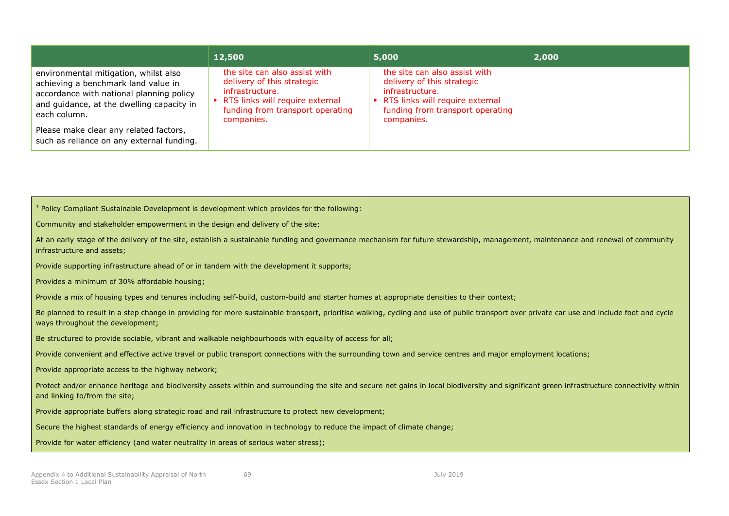|                                                                                                                                                                                       | 12,500                                                                                                                                                                | 5,000                                                                                                                                                               | 2,000 |
|---------------------------------------------------------------------------------------------------------------------------------------------------------------------------------------|-----------------------------------------------------------------------------------------------------------------------------------------------------------------------|---------------------------------------------------------------------------------------------------------------------------------------------------------------------|-------|
| environmental mitigation, whilst also<br>achieving a benchmark land value in<br>accordance with national planning policy<br>and quidance, at the dwelling capacity in<br>each column. | the site can also assist with<br>delivery of this strategic<br>infrastructure.<br>• RTS links will require external<br>funding from transport operating<br>companies. | the site can also assist with<br>delivery of this strategic<br>infrastructure.<br>RTS links will require external<br>funding from transport operating<br>companies. |       |
| Please make clear any related factors,<br>such as reliance on any external funding.                                                                                                   |                                                                                                                                                                       |                                                                                                                                                                     |       |

Community and stakeholder empowerment in the design and delivery of the site;

|                            | At an early stage of the delivery of the site, establish a sustainable funding and governance mechanism for future stewardship, management, maintenance and renewal of community |  |
|----------------------------|----------------------------------------------------------------------------------------------------------------------------------------------------------------------------------|--|
| infrastructure and assets; |                                                                                                                                                                                  |  |

Provide supporting infrastructure ahead of or in tandem with the development it supports;

Provides a minimum of 30% affordable housing;

Provide a mix of housing types and tenures including self-build, custom-build and starter homes at appropriate densities to their context:

Be planned to result in a step change in providing for more sustainable transport, prioritise walking, cycling and use of public transport over private car use and include foot and cycle ways throughout the development;

Be structured to provide sociable, vibrant and walkable neighbourhoods with equality of access for all;

Provide convenient and effective active travel or public transport connections with the surrounding town and service centres and major employment locations;

Provide appropriate access to the highway network;

Protect and/or enhance heritage and biodiversity assets within and surrounding the site and secure net gains in local biodiversity and significant green infrastructure connectivity within and linking to/from the site;

Provide appropriate buffers along strategic road and rail infrastructure to protect new development;

Secure the highest standards of energy efficiency and innovation in technology to reduce the impact of climate change;

Provide for water efficiency (and water neutrality in areas of serious water stress);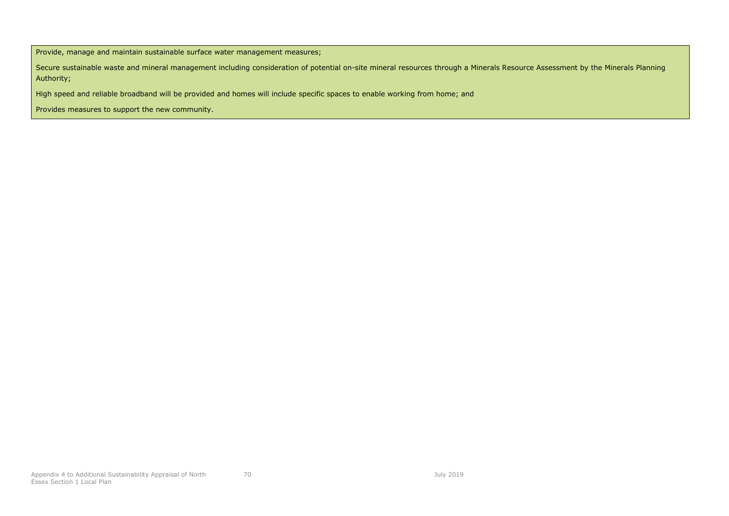Provide, manage and maintain sustainable surface water management measures;

Secure sustainable waste and mineral management including consideration of potential on-site mineral resources through a Minerals Resource Assessment by the Minerals Planning Authority;

High speed and reliable broadband will be provided and homes will include specific spaces to enable working from home; and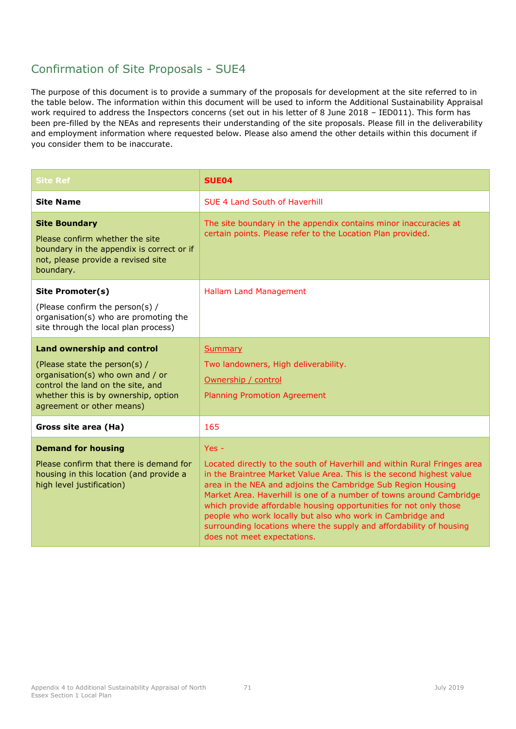| <b>Site Ref</b>                                                                                                                                                                                                  | <b>SUE04</b>                                                                                                                                                                                                                                                                                                                                                                                                                                                                                                                              |
|------------------------------------------------------------------------------------------------------------------------------------------------------------------------------------------------------------------|-------------------------------------------------------------------------------------------------------------------------------------------------------------------------------------------------------------------------------------------------------------------------------------------------------------------------------------------------------------------------------------------------------------------------------------------------------------------------------------------------------------------------------------------|
| <b>Site Name</b>                                                                                                                                                                                                 | <b>SUF 4 Land South of Haverhill</b>                                                                                                                                                                                                                                                                                                                                                                                                                                                                                                      |
| <b>Site Boundary</b><br>Please confirm whether the site<br>boundary in the appendix is correct or if<br>not, please provide a revised site<br>boundary.                                                          | The site boundary in the appendix contains minor inaccuracies at<br>certain points. Please refer to the Location Plan provided.                                                                                                                                                                                                                                                                                                                                                                                                           |
| Site Promoter(s)<br>(Please confirm the person(s) /<br>organisation(s) who are promoting the<br>site through the local plan process)                                                                             | <b>Hallam Land Management</b>                                                                                                                                                                                                                                                                                                                                                                                                                                                                                                             |
| <b>Land ownership and control</b><br>(Please state the person(s) /<br>organisation(s) who own and / or<br>control the land on the site, and<br>whether this is by ownership, option<br>agreement or other means) | <b>Summary</b><br>Two landowners, High deliverability.<br>Ownership / control<br><b>Planning Promotion Agreement</b>                                                                                                                                                                                                                                                                                                                                                                                                                      |
| Gross site area (Ha)                                                                                                                                                                                             | 165                                                                                                                                                                                                                                                                                                                                                                                                                                                                                                                                       |
| <b>Demand for housing</b><br>Please confirm that there is demand for<br>housing in this location (and provide a<br>high level justification)                                                                     | Yes -<br>Located directly to the south of Haverhill and within Rural Fringes area<br>in the Braintree Market Value Area. This is the second highest value<br>area in the NEA and adjoins the Cambridge Sub Region Housing<br>Market Area. Haverhill is one of a number of towns around Cambridge<br>which provide affordable housing opportunities for not only those<br>people who work locally but also who work in Cambridge and<br>surrounding locations where the supply and affordability of housing<br>does not meet expectations. |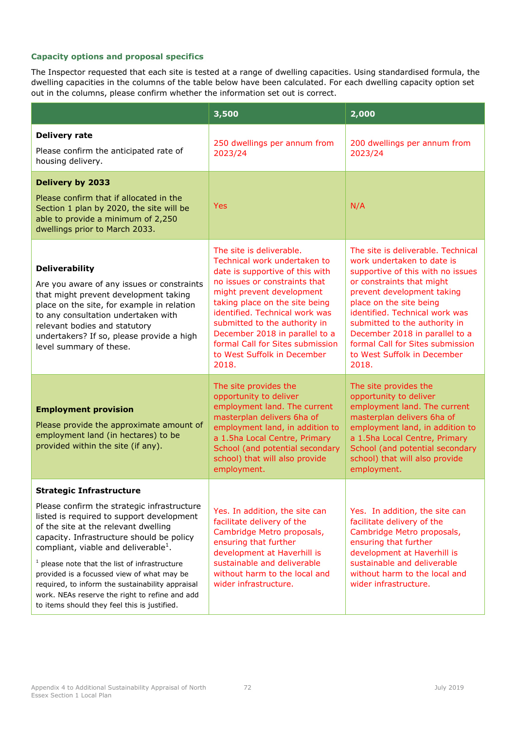|                                                                                                                                                                                                                                                                                                                                                                                                                                                                                                                             | 3,500                                                                                                                                                                                                                                                                                                                                                                        | 2,000                                                                                                                                                                                                                                                                                                                                                                        |
|-----------------------------------------------------------------------------------------------------------------------------------------------------------------------------------------------------------------------------------------------------------------------------------------------------------------------------------------------------------------------------------------------------------------------------------------------------------------------------------------------------------------------------|------------------------------------------------------------------------------------------------------------------------------------------------------------------------------------------------------------------------------------------------------------------------------------------------------------------------------------------------------------------------------|------------------------------------------------------------------------------------------------------------------------------------------------------------------------------------------------------------------------------------------------------------------------------------------------------------------------------------------------------------------------------|
| <b>Delivery rate</b><br>Please confirm the anticipated rate of<br>housing delivery.                                                                                                                                                                                                                                                                                                                                                                                                                                         | 250 dwellings per annum from<br>2023/24                                                                                                                                                                                                                                                                                                                                      | 200 dwellings per annum from<br>2023/24                                                                                                                                                                                                                                                                                                                                      |
| <b>Delivery by 2033</b><br>Please confirm that if allocated in the<br>Section 1 plan by 2020, the site will be<br>able to provide a minimum of 2,250<br>dwellings prior to March 2033.                                                                                                                                                                                                                                                                                                                                      | <b>Yes</b>                                                                                                                                                                                                                                                                                                                                                                   | N/A                                                                                                                                                                                                                                                                                                                                                                          |
| <b>Deliverability</b><br>Are you aware of any issues or constraints<br>that might prevent development taking<br>place on the site, for example in relation<br>to any consultation undertaken with<br>relevant bodies and statutory<br>undertakers? If so, please provide a high<br>level summary of these.                                                                                                                                                                                                                  | The site is deliverable.<br>Technical work undertaken to<br>date is supportive of this with<br>no issues or constraints that<br>might prevent development<br>taking place on the site being<br>identified. Technical work was<br>submitted to the authority in<br>December 2018 in parallel to a<br>formal Call for Sites submission<br>to West Suffolk in December<br>2018. | The site is deliverable. Technical<br>work undertaken to date is<br>supportive of this with no issues<br>or constraints that might<br>prevent development taking<br>place on the site being<br>identified. Technical work was<br>submitted to the authority in<br>December 2018 in parallel to a<br>formal Call for Sites submission<br>to West Suffolk in December<br>2018. |
| <b>Employment provision</b><br>Please provide the approximate amount of<br>employment land (in hectares) to be<br>provided within the site (if any).                                                                                                                                                                                                                                                                                                                                                                        | The site provides the<br>opportunity to deliver<br>employment land. The current<br>masterplan delivers 6ha of<br>employment land, in addition to<br>a 1.5ha Local Centre, Primary<br>School (and potential secondary<br>school) that will also provide<br>employment.                                                                                                        | The site provides the<br>opportunity to deliver<br>employment land. The current<br>masterplan delivers 6ha of<br>employment land, in addition to<br>a 1.5ha Local Centre, Primary<br>School (and potential secondary<br>school) that will also provide<br>employment.                                                                                                        |
| <b>Strategic Infrastructure</b><br>Please confirm the strategic infrastructure<br>listed is required to support development<br>of the site at the relevant dwelling<br>capacity. Infrastructure should be policy<br>compliant, viable and deliverable <sup>1</sup> .<br>$1$ please note that the list of infrastructure<br>provided is a focussed view of what may be<br>required, to inform the sustainability appraisal<br>work. NEAs reserve the right to refine and add<br>to items should they feel this is justified. | Yes. In addition, the site can<br>facilitate delivery of the<br>Cambridge Metro proposals,<br>ensuring that further<br>development at Haverhill is<br>sustainable and deliverable<br>without harm to the local and<br>wider infrastructure.                                                                                                                                  | Yes. In addition, the site can<br>facilitate delivery of the<br>Cambridge Metro proposals,<br>ensuring that further<br>development at Haverhill is<br>sustainable and deliverable<br>without harm to the local and<br>wider infrastructure.                                                                                                                                  |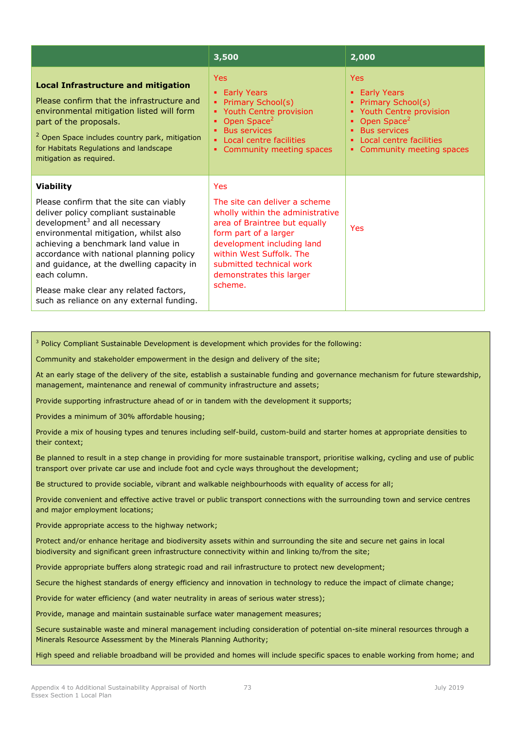|                                                                                                                                                                                                                                                                                                               | 3,500                                                                                                                                                                                                                                         | 2,000                                                                                                                                                                               |
|---------------------------------------------------------------------------------------------------------------------------------------------------------------------------------------------------------------------------------------------------------------------------------------------------------------|-----------------------------------------------------------------------------------------------------------------------------------------------------------------------------------------------------------------------------------------------|-------------------------------------------------------------------------------------------------------------------------------------------------------------------------------------|
| <b>Local Infrastructure and mitigation</b><br>Please confirm that the infrastructure and<br>environmental mitigation listed will form<br>part of the proposals.<br><sup>2</sup> Open Space includes country park, mitigation<br>for Habitats Regulations and landscape<br>mitigation as required.             | <b>Yes</b><br><b>Early Years</b><br>Primary School(s)<br>٠<br>Youth Centre provision<br>Open Space <sup>2</sup><br>٠<br><b>Bus services</b><br>٠<br>Local centre facilities<br>Community meeting spaces                                       | Yes<br><b>Early Years</b><br>Primary School(s)<br>Youth Centre provision<br>Open Space <sup>2</sup><br><b>Bus services</b><br>Local centre facilities<br>• Community meeting spaces |
| <b>Viability</b>                                                                                                                                                                                                                                                                                              | <b>Yes</b>                                                                                                                                                                                                                                    |                                                                                                                                                                                     |
| Please confirm that the site can viably<br>deliver policy compliant sustainable<br>development $3$ and all necessary<br>environmental mitigation, whilst also<br>achieving a benchmark land value in<br>accordance with national planning policy<br>and guidance, at the dwelling capacity in<br>each column. | The site can deliver a scheme<br>wholly within the administrative<br>area of Braintree but equally<br>form part of a larger<br>development including land<br>within West Suffolk, The<br>submitted technical work<br>demonstrates this larger | Yes                                                                                                                                                                                 |
| Please make clear any related factors,<br>such as reliance on any external funding.                                                                                                                                                                                                                           | scheme.                                                                                                                                                                                                                                       |                                                                                                                                                                                     |

Community and stakeholder empowerment in the design and delivery of the site;

At an early stage of the delivery of the site, establish a sustainable funding and governance mechanism for future stewardship, management, maintenance and renewal of community infrastructure and assets;

Provide supporting infrastructure ahead of or in tandem with the development it supports;

Provides a minimum of 30% affordable housing;

Provide a mix of housing types and tenures including self-build, custom-build and starter homes at appropriate densities to their context;

Be planned to result in a step change in providing for more sustainable transport, prioritise walking, cycling and use of public transport over private car use and include foot and cycle ways throughout the development;

Be structured to provide sociable, vibrant and walkable neighbourhoods with equality of access for all;

Provide convenient and effective active travel or public transport connections with the surrounding town and service centres and major employment locations;

Provide appropriate access to the highway network;

Protect and/or enhance heritage and biodiversity assets within and surrounding the site and secure net gains in local biodiversity and significant green infrastructure connectivity within and linking to/from the site;

Provide appropriate buffers along strategic road and rail infrastructure to protect new development;

Secure the highest standards of energy efficiency and innovation in technology to reduce the impact of climate change;

Provide for water efficiency (and water neutrality in areas of serious water stress);

Provide, manage and maintain sustainable surface water management measures;

Secure sustainable waste and mineral management including consideration of potential on-site mineral resources through a Minerals Resource Assessment by the Minerals Planning Authority;

High speed and reliable broadband will be provided and homes will include specific spaces to enable working from home; and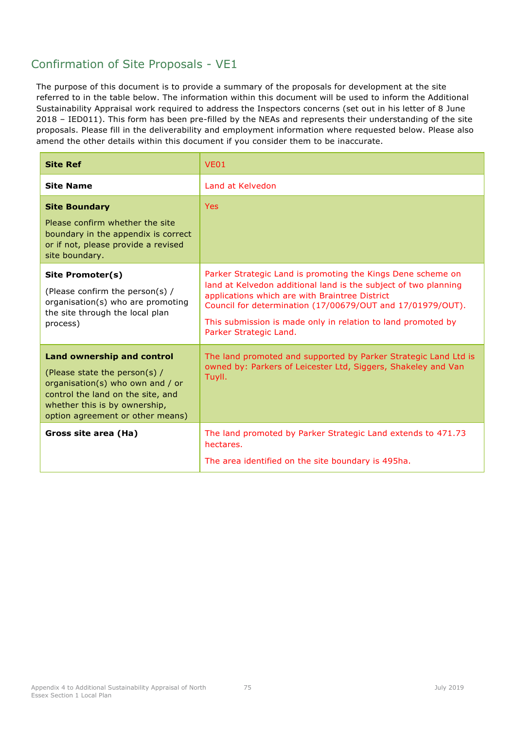| <b>Site Ref</b>                                                                                                                                                                                                  | <b>VE01</b>                                                                                                                                                                                                                                                                                                                              |
|------------------------------------------------------------------------------------------------------------------------------------------------------------------------------------------------------------------|------------------------------------------------------------------------------------------------------------------------------------------------------------------------------------------------------------------------------------------------------------------------------------------------------------------------------------------|
| <b>Site Name</b>                                                                                                                                                                                                 | Land at Kelvedon                                                                                                                                                                                                                                                                                                                         |
| <b>Site Boundary</b><br>Please confirm whether the site<br>boundary in the appendix is correct<br>or if not, please provide a revised<br>site boundary.                                                          | <b>Yes</b>                                                                                                                                                                                                                                                                                                                               |
| Site Promoter(s)<br>(Please confirm the person(s) /<br>organisation(s) who are promoting<br>the site through the local plan<br>process)                                                                          | Parker Strategic Land is promoting the Kings Dene scheme on<br>land at Kelvedon additional land is the subject of two planning<br>applications which are with Braintree District<br>Council for determination (17/00679/OUT and 17/01979/OUT).<br>This submission is made only in relation to land promoted by<br>Parker Strategic Land. |
| <b>Land ownership and control</b><br>(Please state the person(s) /<br>organisation(s) who own and / or<br>control the land on the site, and<br>whether this is by ownership,<br>option agreement or other means) | The land promoted and supported by Parker Strategic Land Ltd is<br>owned by: Parkers of Leicester Ltd, Siggers, Shakeley and Van<br>Tuyll.                                                                                                                                                                                               |
| Gross site area (Ha)                                                                                                                                                                                             | The land promoted by Parker Strategic Land extends to 471.73<br>hectares.<br>The area identified on the site boundary is 495ha.                                                                                                                                                                                                          |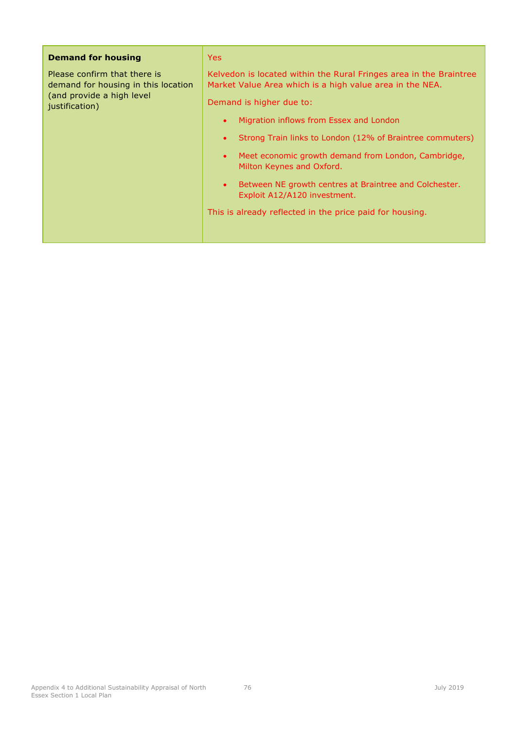| <b>Demand for housing</b>                                           | Yes:                                                                                                                           |
|---------------------------------------------------------------------|--------------------------------------------------------------------------------------------------------------------------------|
| Please confirm that there is<br>demand for housing in this location | Kelvedon is located within the Rural Fringes area in the Braintree<br>Market Value Area which is a high value area in the NEA. |
| (and provide a high level<br>justification)                         | Demand is higher due to:                                                                                                       |
|                                                                     | Migration inflows from Essex and London<br>$\bullet$                                                                           |
|                                                                     | Strong Train links to London (12% of Braintree commuters)<br>$\bullet$                                                         |
|                                                                     | Meet economic growth demand from London, Cambridge,<br>$\bullet$<br>Milton Keynes and Oxford.                                  |
|                                                                     | Between NE growth centres at Braintree and Colchester.<br>$\bullet$<br>Exploit A12/A120 investment.                            |
|                                                                     | This is already reflected in the price paid for housing.                                                                       |
|                                                                     |                                                                                                                                |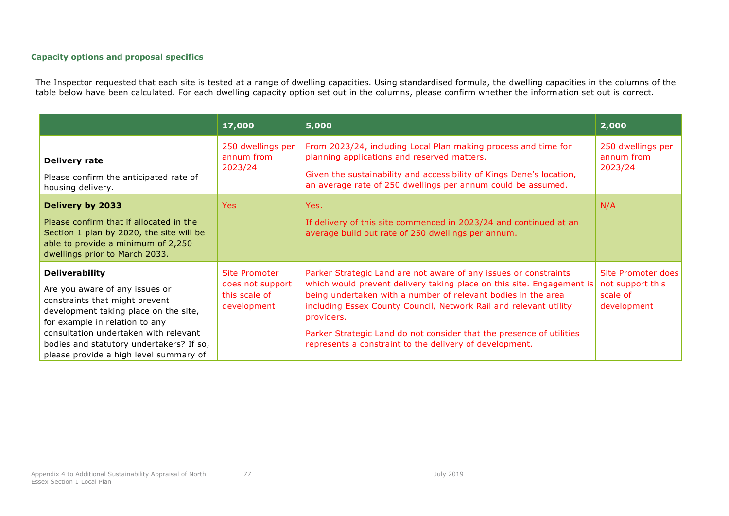|                                                                                                                                                                                                                                                                                                     | 17,000                                                            | 5,000                                                                                                                                                                                                                                                                                                                                                                                                                            | 2,000                                                                    |
|-----------------------------------------------------------------------------------------------------------------------------------------------------------------------------------------------------------------------------------------------------------------------------------------------------|-------------------------------------------------------------------|----------------------------------------------------------------------------------------------------------------------------------------------------------------------------------------------------------------------------------------------------------------------------------------------------------------------------------------------------------------------------------------------------------------------------------|--------------------------------------------------------------------------|
| <b>Delivery rate</b><br>Please confirm the anticipated rate of<br>housing delivery.                                                                                                                                                                                                                 | 250 dwellings per<br>annum from<br>2023/24                        | From 2023/24, including Local Plan making process and time for<br>planning applications and reserved matters.<br>Given the sustainability and accessibility of Kings Dene's location,<br>an average rate of 250 dwellings per annum could be assumed.                                                                                                                                                                            | 250 dwellings per<br>annum from<br>2023/24                               |
| Delivery by 2033<br>Please confirm that if allocated in the<br>Section 1 plan by 2020, the site will be<br>able to provide a minimum of 2,250<br>dwellings prior to March 2033.                                                                                                                     | Yes:                                                              | Yes.<br>If delivery of this site commenced in 2023/24 and continued at an<br>average build out rate of 250 dwellings per annum.                                                                                                                                                                                                                                                                                                  | N/A                                                                      |
| <b>Deliverability</b><br>Are you aware of any issues or<br>constraints that might prevent<br>development taking place on the site,<br>for example in relation to any<br>consultation undertaken with relevant<br>bodies and statutory undertakers? If so,<br>please provide a high level summary of | Site Promoter<br>does not support<br>this scale of<br>development | Parker Strategic Land are not aware of any issues or constraints<br>which would prevent delivery taking place on this site. Engagement is<br>being undertaken with a number of relevant bodies in the area<br>including Essex County Council, Network Rail and relevant utility<br>providers.<br>Parker Strategic Land do not consider that the presence of utilities<br>represents a constraint to the delivery of development. | <b>Site Promoter does</b><br>not support this<br>scale of<br>development |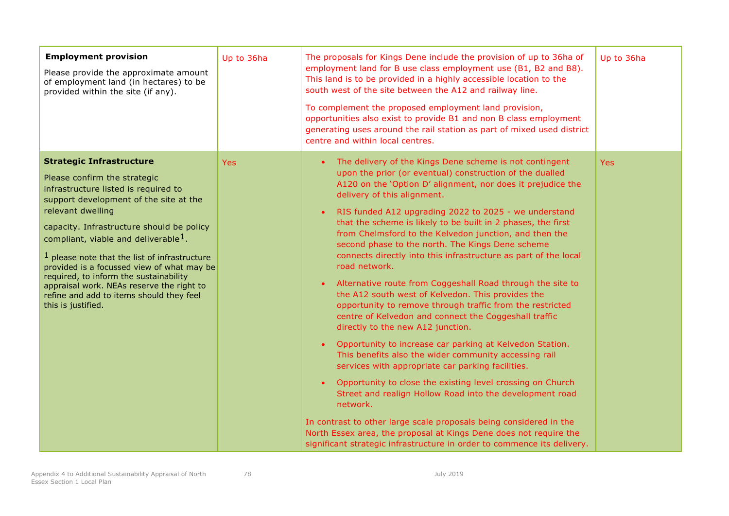| <b>Employment provision</b><br>Please provide the approximate amount<br>of employment land (in hectares) to be<br>provided within the site (if any).                                                                                                                                                                                                                                                                                                                                                                              | Up to 36ha | The proposals for Kings Dene include the provision of up to 36ha of<br>employment land for B use class employment use (B1, B2 and B8).<br>This land is to be provided in a highly accessible location to the<br>south west of the site between the A12 and railway line.<br>To complement the proposed employment land provision,<br>opportunities also exist to provide B1 and non B class employment<br>generating uses around the rail station as part of mixed used district<br>centre and within local centres.                                                                                                                                                                                                                                                                                                                                                                                                                                                                                                                                                                                                                                                                                                                                                                                                                                                                                                 | Up to 36ha |
|-----------------------------------------------------------------------------------------------------------------------------------------------------------------------------------------------------------------------------------------------------------------------------------------------------------------------------------------------------------------------------------------------------------------------------------------------------------------------------------------------------------------------------------|------------|----------------------------------------------------------------------------------------------------------------------------------------------------------------------------------------------------------------------------------------------------------------------------------------------------------------------------------------------------------------------------------------------------------------------------------------------------------------------------------------------------------------------------------------------------------------------------------------------------------------------------------------------------------------------------------------------------------------------------------------------------------------------------------------------------------------------------------------------------------------------------------------------------------------------------------------------------------------------------------------------------------------------------------------------------------------------------------------------------------------------------------------------------------------------------------------------------------------------------------------------------------------------------------------------------------------------------------------------------------------------------------------------------------------------|------------|
| <b>Strategic Infrastructure</b><br>Please confirm the strategic<br>infrastructure listed is required to<br>support development of the site at the<br>relevant dwelling<br>capacity. Infrastructure should be policy<br>compliant, viable and deliverable <sup>1</sup> .<br>$1$ please note that the list of infrastructure<br>provided is a focussed view of what may be<br>required, to inform the sustainability<br>appraisal work. NEAs reserve the right to<br>refine and add to items should they feel<br>this is justified. | Yes:       | The delivery of the Kings Dene scheme is not contingent<br>upon the prior (or eventual) construction of the dualled<br>A120 on the 'Option D' alignment, nor does it prejudice the<br>delivery of this alignment.<br>RIS funded A12 upgrading 2022 to 2025 - we understand<br>$\bullet$<br>that the scheme is likely to be built in 2 phases, the first<br>from Chelmsford to the Kelvedon junction, and then the<br>second phase to the north. The Kings Dene scheme<br>connects directly into this infrastructure as part of the local<br>road network.<br>Alternative route from Coggeshall Road through the site to<br>$\bullet$<br>the A12 south west of Kelvedon. This provides the<br>opportunity to remove through traffic from the restricted<br>centre of Kelvedon and connect the Coggeshall traffic<br>directly to the new A12 junction.<br>Opportunity to increase car parking at Kelvedon Station.<br>$\bullet$<br>This benefits also the wider community accessing rail<br>services with appropriate car parking facilities.<br>Opportunity to close the existing level crossing on Church<br>$\bullet$<br>Street and realign Hollow Road into the development road<br>network.<br>In contrast to other large scale proposals being considered in the<br>North Essex area, the proposal at Kings Dene does not require the<br>significant strategic infrastructure in order to commence its delivery. | <b>Yes</b> |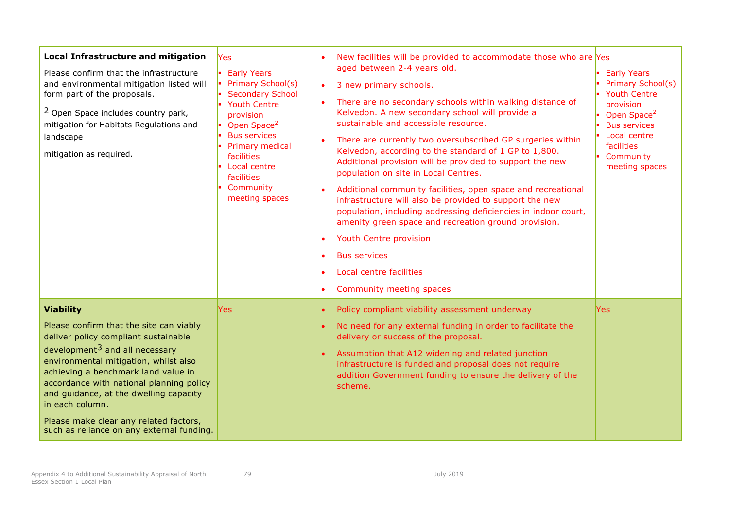| <b>Local Infrastructure and mitigation</b><br>Please confirm that the infrastructure<br>and environmental mitigation listed will<br>form part of the proposals.<br><sup>2</sup> Open Space includes country park,<br>mitigation for Habitats Regulations and<br>landscape<br>mitigation as required.                                                                                                                              | Yes<br><b>Early Years</b><br>Primary School(s)<br><b>Secondary School</b><br><b>Youth Centre</b><br>provision<br>Open Space <sup>2</sup><br><b>Bus services</b><br>Primary medical<br>facilities<br>Local centre<br>facilities<br>Community<br>meeting spaces | New facilities will be provided to accommodate those who are Yes<br>aged between 2-4 years old.<br>3 new primary schools.<br>$\bullet$<br>There are no secondary schools within walking distance of<br>Kelvedon. A new secondary school will provide a<br>sustainable and accessible resource.<br>There are currently two oversubscribed GP surgeries within<br>Kelvedon, according to the standard of 1 GP to 1,800.<br>Additional provision will be provided to support the new<br>population on site in Local Centres.<br>Additional community facilities, open space and recreational<br>infrastructure will also be provided to support the new<br>population, including addressing deficiencies in indoor court,<br>amenity green space and recreation ground provision.<br>Youth Centre provision<br><b>Bus services</b><br>Local centre facilities<br>Community meeting spaces | <b>Early Years</b><br>Primary School(s)<br><b>Youth Centre</b><br>provision<br>Open Space <sup>2</sup><br><b>Bus services</b><br>Local centre<br>facilities<br>Community<br>meeting spaces |
|-----------------------------------------------------------------------------------------------------------------------------------------------------------------------------------------------------------------------------------------------------------------------------------------------------------------------------------------------------------------------------------------------------------------------------------|---------------------------------------------------------------------------------------------------------------------------------------------------------------------------------------------------------------------------------------------------------------|----------------------------------------------------------------------------------------------------------------------------------------------------------------------------------------------------------------------------------------------------------------------------------------------------------------------------------------------------------------------------------------------------------------------------------------------------------------------------------------------------------------------------------------------------------------------------------------------------------------------------------------------------------------------------------------------------------------------------------------------------------------------------------------------------------------------------------------------------------------------------------------|--------------------------------------------------------------------------------------------------------------------------------------------------------------------------------------------|
| <b>Viability</b><br>Please confirm that the site can viably<br>deliver policy compliant sustainable<br>development <sup>3</sup> and all necessary<br>environmental mitigation, whilst also<br>achieving a benchmark land value in<br>accordance with national planning policy<br>and guidance, at the dwelling capacity<br>in each column.<br>Please make clear any related factors,<br>such as reliance on any external funding. | Yes:                                                                                                                                                                                                                                                          | Policy compliant viability assessment underway<br>No need for any external funding in order to facilitate the<br>delivery or success of the proposal.<br>Assumption that A12 widening and related junction<br>infrastructure is funded and proposal does not require<br>addition Government funding to ensure the delivery of the<br>scheme.                                                                                                                                                                                                                                                                                                                                                                                                                                                                                                                                           | <b>Yes</b>                                                                                                                                                                                 |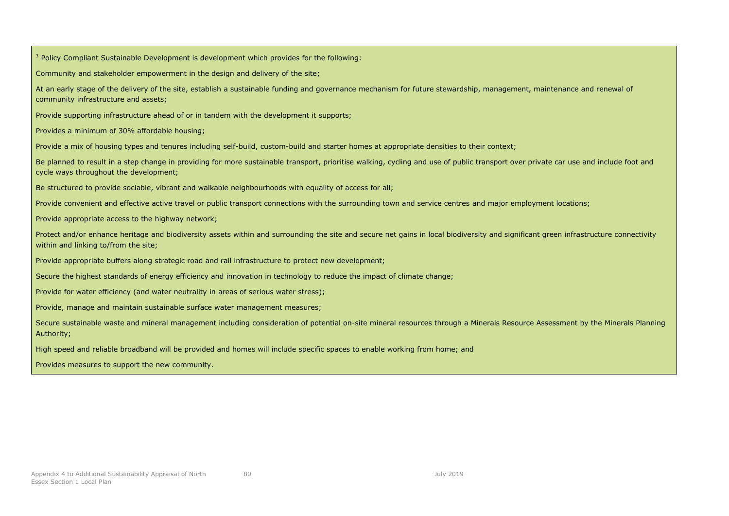<sup>3</sup> Policy Compliant Sustainable Development is development which provides for the following: Community and stakeholder empowerment in the design and delivery of the site; At an early stage of the delivery of the site, establish a sustainable funding and governance mechanism for future stewardship, management, maintenance and renewal of community infrastructure and assets; Provide supporting infrastructure ahead of or in tandem with the development it supports; Provides a minimum of 30% affordable housing; Provide a mix of housing types and tenures including self-build, custom-build and starter homes at appropriate densities to their context; Be planned to result in a step change in providing for more sustainable transport, prioritise walking, cycling and use of public transport over private car use and include foot and cycle ways throughout the development; Be structured to provide sociable, vibrant and walkable neighbourhoods with equality of access for all; Provide convenient and effective active travel or public transport connections with the surrounding town and service centres and major employment locations; Provide appropriate access to the highway network; Protect and/or enhance heritage and biodiversity assets within and surrounding the site and secure net gains in local biodiversity and significant green infrastructure connectivity within and linking to/from the site; Provide appropriate buffers along strategic road and rail infrastructure to protect new development; Secure the highest standards of energy efficiency and innovation in technology to reduce the impact of climate change; Provide for water efficiency (and water neutrality in areas of serious water stress); Provide, manage and maintain sustainable surface water management measures; Secure sustainable waste and mineral management including consideration of potential on-site mineral resources through a Minerals Resource Assessment by the Minerals Planning Authority; High speed and reliable broadband will be provided and homes will include specific spaces to enable working from home; and Provides measures to support the new community.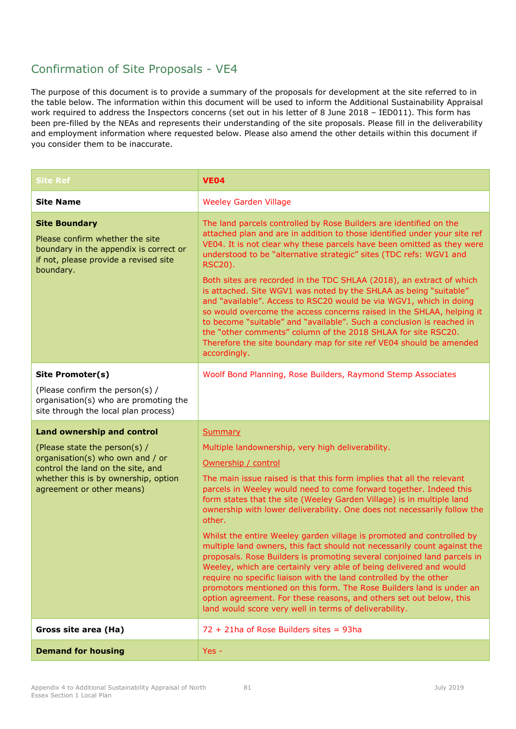| <b>Site Ref</b>                                                                                                                                                                                                  | <b>VE04</b>                                                                                                                                                                                                                                                                                                                                                                                                                                                                                                                                                                                                                                                                                                                                                                                                                                                                                                                                                                                  |
|------------------------------------------------------------------------------------------------------------------------------------------------------------------------------------------------------------------|----------------------------------------------------------------------------------------------------------------------------------------------------------------------------------------------------------------------------------------------------------------------------------------------------------------------------------------------------------------------------------------------------------------------------------------------------------------------------------------------------------------------------------------------------------------------------------------------------------------------------------------------------------------------------------------------------------------------------------------------------------------------------------------------------------------------------------------------------------------------------------------------------------------------------------------------------------------------------------------------|
| <b>Site Name</b>                                                                                                                                                                                                 | <b>Weeley Garden Village</b>                                                                                                                                                                                                                                                                                                                                                                                                                                                                                                                                                                                                                                                                                                                                                                                                                                                                                                                                                                 |
| <b>Site Boundary</b><br>Please confirm whether the site<br>boundary in the appendix is correct or<br>if not, please provide a revised site<br>boundary.                                                          | The land parcels controlled by Rose Builders are identified on the<br>attached plan and are in addition to those identified under your site ref<br>VE04. It is not clear why these parcels have been omitted as they were<br>understood to be "alternative strategic" sites (TDC refs: WGV1 and<br><b>RSC20).</b><br>Both sites are recorded in the TDC SHLAA (2018), an extract of which<br>is attached. Site WGV1 was noted by the SHLAA as being "suitable"<br>and "available". Access to RSC20 would be via WGV1, which in doing<br>so would overcome the access concerns raised in the SHLAA, helping it<br>to become "suitable" and "available". Such a conclusion is reached in<br>the "other comments" column of the 2018 SHLAA for site RSC20.<br>Therefore the site boundary map for site ref VE04 should be amended<br>accordingly.                                                                                                                                               |
| Site Promoter(s)<br>(Please confirm the person(s) /<br>organisation(s) who are promoting the<br>site through the local plan process)                                                                             | Woolf Bond Planning, Rose Builders, Raymond Stemp Associates                                                                                                                                                                                                                                                                                                                                                                                                                                                                                                                                                                                                                                                                                                                                                                                                                                                                                                                                 |
| <b>Land ownership and control</b><br>(Please state the person(s) /<br>organisation(s) who own and / or<br>control the land on the site, and<br>whether this is by ownership, option<br>agreement or other means) | <b>Summary</b><br>Multiple landownership, very high deliverability.<br>Ownership / control<br>The main issue raised is that this form implies that all the relevant<br>parcels in Weeley would need to come forward together. Indeed this<br>form states that the site (Weeley Garden Village) is in multiple land<br>ownership with lower deliverability. One does not necessarily follow the<br>other.<br>Whilst the entire Weeley garden village is promoted and controlled by<br>multiple land owners, this fact should not necessarily count against the<br>proposals. Rose Builders is promoting several conjoined land parcels in<br>Weeley, which are certainly very able of being delivered and would<br>require no specific liaison with the land controlled by the other<br>promotors mentioned on this form. The Rose Builders land is under an<br>option agreement. For these reasons, and others set out below, this<br>land would score very well in terms of deliverability. |
| Gross site area (Ha)                                                                                                                                                                                             | $72 + 21$ ha of Rose Builders sites = 93ha                                                                                                                                                                                                                                                                                                                                                                                                                                                                                                                                                                                                                                                                                                                                                                                                                                                                                                                                                   |
| <b>Demand for housing</b>                                                                                                                                                                                        | $Yes -$                                                                                                                                                                                                                                                                                                                                                                                                                                                                                                                                                                                                                                                                                                                                                                                                                                                                                                                                                                                      |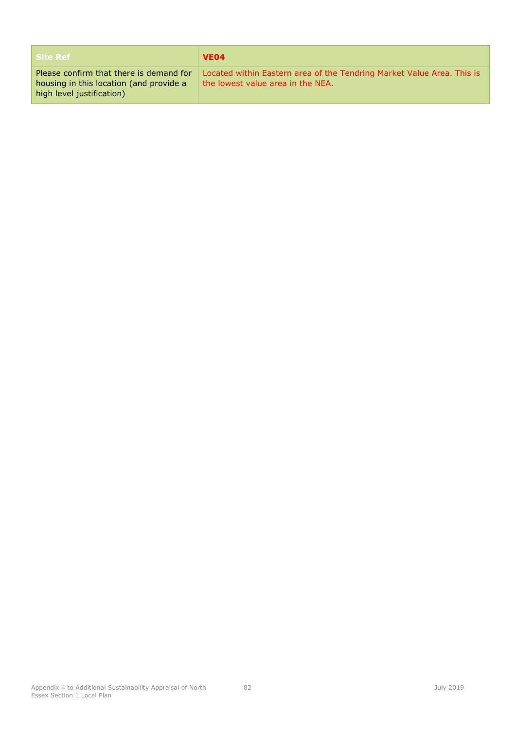| <b>Site Ref</b>                                                                                                 | VE <sub>04</sub>                                                                                            |
|-----------------------------------------------------------------------------------------------------------------|-------------------------------------------------------------------------------------------------------------|
| Please confirm that there is demand for<br>housing in this location (and provide a<br>high level justification) | Located within Eastern area of the Tendring Market Value Area. This is<br>the lowest value area in the NEA. |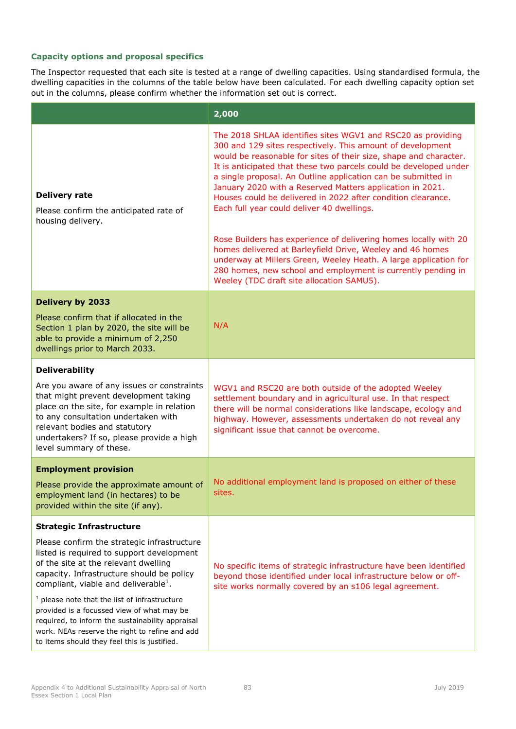|                                                                                                                                                                                                                                                                                   | 2,000                                                                                                                                                                                                                                                                                                                                                                                                                                                                                                           |  |
|-----------------------------------------------------------------------------------------------------------------------------------------------------------------------------------------------------------------------------------------------------------------------------------|-----------------------------------------------------------------------------------------------------------------------------------------------------------------------------------------------------------------------------------------------------------------------------------------------------------------------------------------------------------------------------------------------------------------------------------------------------------------------------------------------------------------|--|
| <b>Delivery rate</b><br>Please confirm the anticipated rate of<br>housing delivery.                                                                                                                                                                                               | The 2018 SHLAA identifies sites WGV1 and RSC20 as providing<br>300 and 129 sites respectively. This amount of development<br>would be reasonable for sites of their size, shape and character.<br>It is anticipated that these two parcels could be developed under<br>a single proposal. An Outline application can be submitted in<br>January 2020 with a Reserved Matters application in 2021.<br>Houses could be delivered in 2022 after condition clearance.<br>Each full year could deliver 40 dwellings. |  |
|                                                                                                                                                                                                                                                                                   | Rose Builders has experience of delivering homes locally with 20<br>homes delivered at Barleyfield Drive, Weeley and 46 homes<br>underway at Millers Green, Weeley Heath. A large application for<br>280 homes, new school and employment is currently pending in<br>Weeley (TDC draft site allocation SAMU5).                                                                                                                                                                                                  |  |
| <b>Delivery by 2033</b>                                                                                                                                                                                                                                                           |                                                                                                                                                                                                                                                                                                                                                                                                                                                                                                                 |  |
| Please confirm that if allocated in the<br>Section 1 plan by 2020, the site will be<br>able to provide a minimum of 2,250<br>dwellings prior to March 2033.                                                                                                                       | N/A                                                                                                                                                                                                                                                                                                                                                                                                                                                                                                             |  |
| <b>Deliverability</b>                                                                                                                                                                                                                                                             |                                                                                                                                                                                                                                                                                                                                                                                                                                                                                                                 |  |
| Are you aware of any issues or constraints<br>that might prevent development taking<br>place on the site, for example in relation<br>to any consultation undertaken with<br>relevant bodies and statutory<br>undertakers? If so, please provide a high<br>level summary of these. | WGV1 and RSC20 are both outside of the adopted Weeley<br>settlement boundary and in agricultural use. In that respect<br>there will be normal considerations like landscape, ecology and<br>highway. However, assessments undertaken do not reveal any<br>significant issue that cannot be overcome.                                                                                                                                                                                                            |  |
| <b>Employment provision</b>                                                                                                                                                                                                                                                       |                                                                                                                                                                                                                                                                                                                                                                                                                                                                                                                 |  |
| Please provide the approximate amount of<br>employment land (in hectares) to be<br>provided within the site (if any).                                                                                                                                                             | No additional employment land is proposed on either of these<br>sites.                                                                                                                                                                                                                                                                                                                                                                                                                                          |  |
| <b>Strategic Infrastructure</b>                                                                                                                                                                                                                                                   |                                                                                                                                                                                                                                                                                                                                                                                                                                                                                                                 |  |
| Please confirm the strategic infrastructure<br>listed is required to support development<br>of the site at the relevant dwelling<br>capacity. Infrastructure should be policy<br>compliant, viable and deliverable <sup>1</sup> .                                                 | No specific items of strategic infrastructure have been identified<br>beyond those identified under local infrastructure below or off-<br>site works normally covered by an s106 legal agreement.                                                                                                                                                                                                                                                                                                               |  |
| $1$ please note that the list of infrastructure<br>provided is a focussed view of what may be<br>required, to inform the sustainability appraisal<br>work. NEAs reserve the right to refine and add<br>to items should they feel this is justified.                               |                                                                                                                                                                                                                                                                                                                                                                                                                                                                                                                 |  |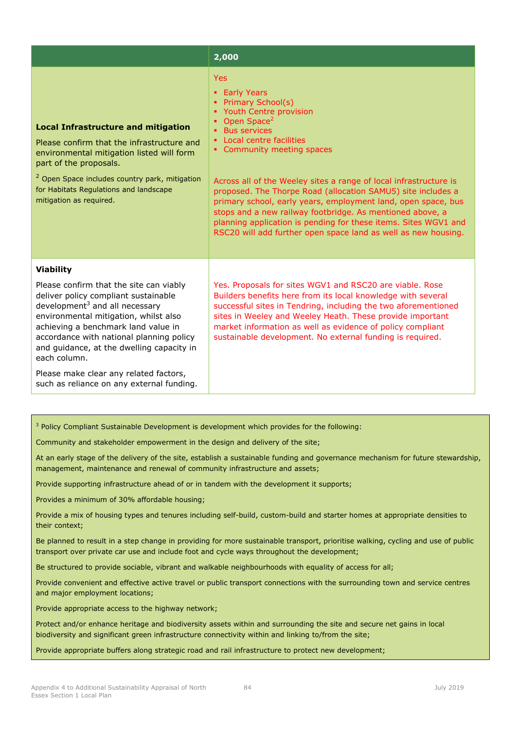|                                                                                                                                                                                                                                                                                                                                                                                                                                   | 2,000                                                                                                                                                                                                                                                                                                                                                                                                                                                                                                                                                                                               |
|-----------------------------------------------------------------------------------------------------------------------------------------------------------------------------------------------------------------------------------------------------------------------------------------------------------------------------------------------------------------------------------------------------------------------------------|-----------------------------------------------------------------------------------------------------------------------------------------------------------------------------------------------------------------------------------------------------------------------------------------------------------------------------------------------------------------------------------------------------------------------------------------------------------------------------------------------------------------------------------------------------------------------------------------------------|
| <b>Local Infrastructure and mitigation</b><br>Please confirm that the infrastructure and<br>environmental mitigation listed will form<br>part of the proposals.<br><sup>2</sup> Open Space includes country park, mitigation<br>for Habitats Regulations and landscape<br>mitigation as required.                                                                                                                                 | <b>Yes</b><br>• Early Years<br>• Primary School(s)<br>• Youth Centre provision<br>Open Space <sup>2</sup><br><b>Bus services</b><br>• Local centre facilities<br>• Community meeting spaces<br>Across all of the Weeley sites a range of local infrastructure is<br>proposed. The Thorpe Road (allocation SAMU5) site includes a<br>primary school, early years, employment land, open space, bus<br>stops and a new railway footbridge. As mentioned above, a<br>planning application is pending for these items. Sites WGV1 and<br>RSC20 will add further open space land as well as new housing. |
| <b>Viability</b><br>Please confirm that the site can viably<br>deliver policy compliant sustainable<br>development <sup>3</sup> and all necessary<br>environmental mitigation, whilst also<br>achieving a benchmark land value in<br>accordance with national planning policy<br>and guidance, at the dwelling capacity in<br>each column.<br>Please make clear any related factors,<br>such as reliance on any external funding. | Yes. Proposals for sites WGV1 and RSC20 are viable. Rose<br>Builders benefits here from its local knowledge with several<br>successful sites in Tendring, including the two aforementioned<br>sites in Weeley and Weeley Heath. These provide important<br>market information as well as evidence of policy compliant<br>sustainable development. No external funding is required.                                                                                                                                                                                                                  |

Community and stakeholder empowerment in the design and delivery of the site;

At an early stage of the delivery of the site, establish a sustainable funding and governance mechanism for future stewardship, management, maintenance and renewal of community infrastructure and assets;

Provide supporting infrastructure ahead of or in tandem with the development it supports;

Provides a minimum of 30% affordable housing;

Provide a mix of housing types and tenures including self-build, custom-build and starter homes at appropriate densities to their context;

Be planned to result in a step change in providing for more sustainable transport, prioritise walking, cycling and use of public transport over private car use and include foot and cycle ways throughout the development;

Be structured to provide sociable, vibrant and walkable neighbourhoods with equality of access for all;

Provide convenient and effective active travel or public transport connections with the surrounding town and service centres and major employment locations;

Provide appropriate access to the highway network;

Protect and/or enhance heritage and biodiversity assets within and surrounding the site and secure net gains in local biodiversity and significant green infrastructure connectivity within and linking to/from the site;

Provide appropriate buffers along strategic road and rail infrastructure to protect new development;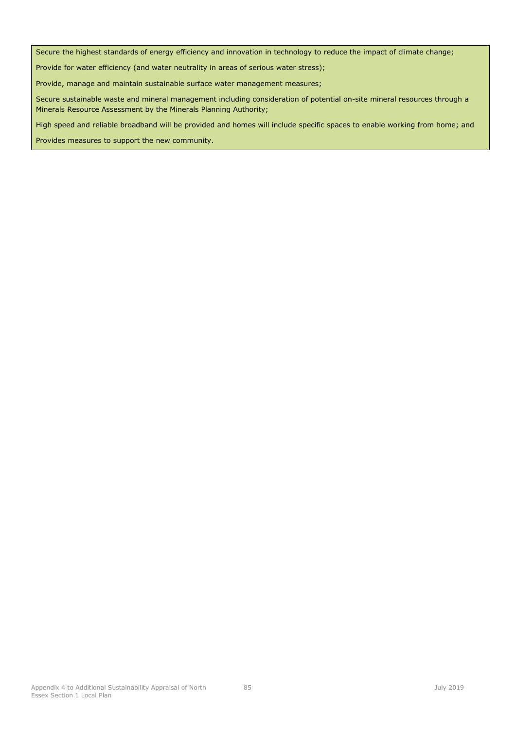Secure the highest standards of energy efficiency and innovation in technology to reduce the impact of climate change;

Provide for water efficiency (and water neutrality in areas of serious water stress);

Provide, manage and maintain sustainable surface water management measures;

Secure sustainable waste and mineral management including consideration of potential on-site mineral resources through a Minerals Resource Assessment by the Minerals Planning Authority;

High speed and reliable broadband will be provided and homes will include specific spaces to enable working from home; and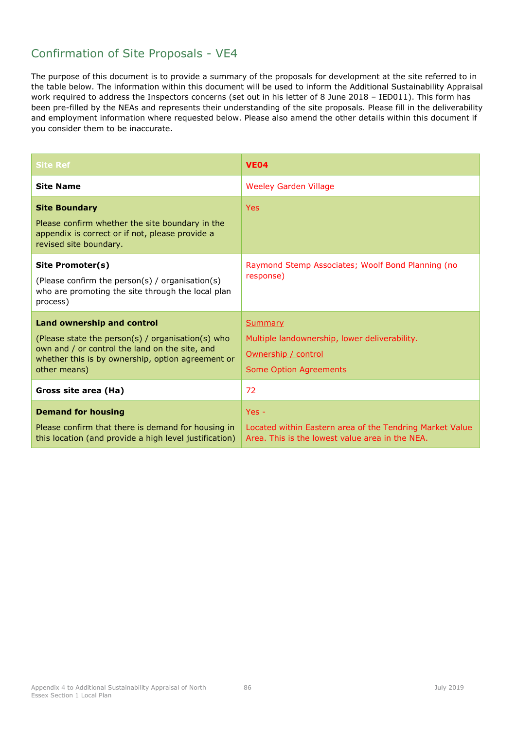| <b>Site Ref</b>                                                                                                                                                                                               | <b>VE04</b>                                                                                                            |
|---------------------------------------------------------------------------------------------------------------------------------------------------------------------------------------------------------------|------------------------------------------------------------------------------------------------------------------------|
| <b>Site Name</b>                                                                                                                                                                                              | <b>Weeley Garden Village</b>                                                                                           |
| <b>Site Boundary</b><br>Please confirm whether the site boundary in the<br>appendix is correct or if not, please provide a<br>revised site boundary.                                                          | <b>Yes</b>                                                                                                             |
| Site Promoter(s)<br>(Please confirm the person(s) / organisation(s)<br>who are promoting the site through the local plan<br>process)                                                                          | Raymond Stemp Associates; Woolf Bond Planning (no<br>response)                                                         |
| <b>Land ownership and control</b><br>(Please state the person(s) / organisation(s) who<br>own and / or control the land on the site, and<br>whether this is by ownership, option agreement or<br>other means) | <b>Summary</b><br>Multiple landownership, lower deliverability.<br>Ownership / control<br>Some Option Agreements       |
| Gross site area (Ha)                                                                                                                                                                                          | 72                                                                                                                     |
| <b>Demand for housing</b><br>Please confirm that there is demand for housing in<br>this location (and provide a high level justification)                                                                     | $Yes -$<br>Located within Eastern area of the Tendring Market Value<br>Area. This is the lowest value area in the NEA. |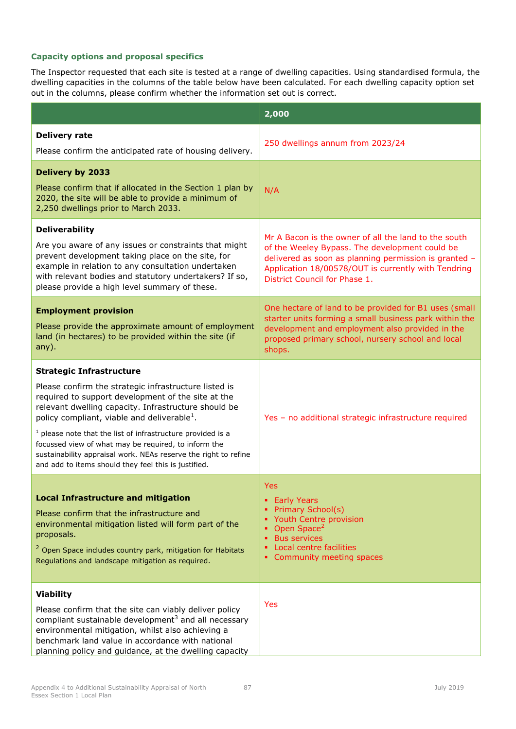|                                                                                                                                                                                                                                                                                                                                                                                                                                                                                                                       | 2,000                                                                                                                                                                                                                                                   |  |
|-----------------------------------------------------------------------------------------------------------------------------------------------------------------------------------------------------------------------------------------------------------------------------------------------------------------------------------------------------------------------------------------------------------------------------------------------------------------------------------------------------------------------|---------------------------------------------------------------------------------------------------------------------------------------------------------------------------------------------------------------------------------------------------------|--|
| <b>Delivery rate</b><br>Please confirm the anticipated rate of housing delivery.                                                                                                                                                                                                                                                                                                                                                                                                                                      | 250 dwellings annum from 2023/24                                                                                                                                                                                                                        |  |
| <b>Delivery by 2033</b><br>Please confirm that if allocated in the Section 1 plan by<br>2020, the site will be able to provide a minimum of<br>2,250 dwellings prior to March 2033.                                                                                                                                                                                                                                                                                                                                   | N/A                                                                                                                                                                                                                                                     |  |
| <b>Deliverability</b><br>Are you aware of any issues or constraints that might<br>prevent development taking place on the site, for<br>example in relation to any consultation undertaken<br>with relevant bodies and statutory undertakers? If so,<br>please provide a high level summary of these.                                                                                                                                                                                                                  | Mr A Bacon is the owner of all the land to the south<br>of the Weeley Bypass. The development could be<br>delivered as soon as planning permission is granted -<br>Application 18/00578/OUT is currently with Tendring<br>District Council for Phase 1. |  |
| <b>Employment provision</b><br>Please provide the approximate amount of employment<br>land (in hectares) to be provided within the site (if<br>any).                                                                                                                                                                                                                                                                                                                                                                  | One hectare of land to be provided for B1 uses (small<br>starter units forming a small business park within the<br>development and employment also provided in the<br>proposed primary school, nursery school and local<br>shops.                       |  |
| <b>Strategic Infrastructure</b><br>Please confirm the strategic infrastructure listed is<br>required to support development of the site at the<br>relevant dwelling capacity. Infrastructure should be<br>policy compliant, viable and deliverable <sup>1</sup> .<br>$1$ please note that the list of infrastructure provided is a<br>focussed view of what may be required, to inform the<br>sustainability appraisal work. NEAs reserve the right to refine<br>and add to items should they feel this is justified. | Yes - no additional strategic infrastructure required                                                                                                                                                                                                   |  |
| <b>Local Infrastructure and mitigation</b><br>Please confirm that the infrastructure and<br>environmental mitigation listed will form part of the<br>proposals.<br><sup>2</sup> Open Space includes country park, mitigation for Habitats<br>Regulations and landscape mitigation as required.                                                                                                                                                                                                                        | Yes<br>• Early Years<br>Primary School(s)<br>Youth Centre provision<br>Open Space <sup>2</sup><br><b>Bus services</b><br>Local centre facilities<br>• Community meeting spaces                                                                          |  |
| <b>Viability</b><br>Please confirm that the site can viably deliver policy<br>compliant sustainable development <sup>3</sup> and all necessary<br>environmental mitigation, whilst also achieving a<br>benchmark land value in accordance with national<br>planning policy and guidance, at the dwelling capacity                                                                                                                                                                                                     | Yes                                                                                                                                                                                                                                                     |  |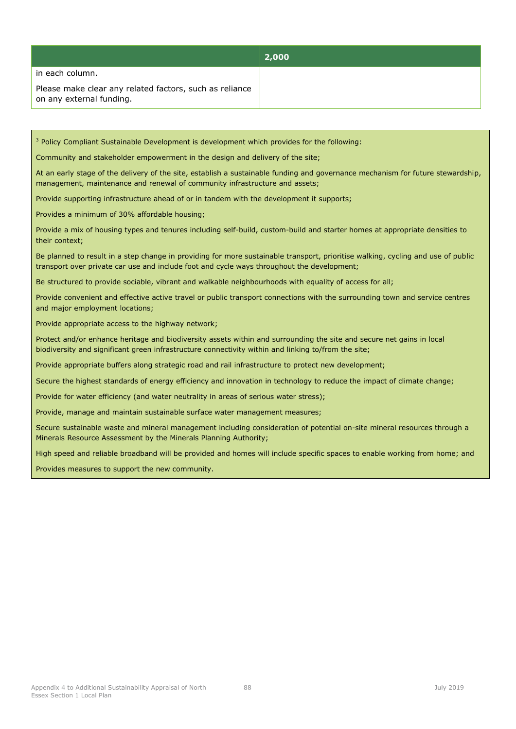|                                                                                     | 2,000 |
|-------------------------------------------------------------------------------------|-------|
| in each column.                                                                     |       |
| Please make clear any related factors, such as reliance<br>on any external funding. |       |

Community and stakeholder empowerment in the design and delivery of the site;

At an early stage of the delivery of the site, establish a sustainable funding and governance mechanism for future stewardship, management, maintenance and renewal of community infrastructure and assets;

Provide supporting infrastructure ahead of or in tandem with the development it supports;

Provides a minimum of 30% affordable housing;

Provide a mix of housing types and tenures including self-build, custom-build and starter homes at appropriate densities to their context;

Be planned to result in a step change in providing for more sustainable transport, prioritise walking, cycling and use of public transport over private car use and include foot and cycle ways throughout the development;

Be structured to provide sociable, vibrant and walkable neighbourhoods with equality of access for all;

Provide convenient and effective active travel or public transport connections with the surrounding town and service centres and major employment locations;

Provide appropriate access to the highway network;

Protect and/or enhance heritage and biodiversity assets within and surrounding the site and secure net gains in local biodiversity and significant green infrastructure connectivity within and linking to/from the site;

Provide appropriate buffers along strategic road and rail infrastructure to protect new development;

Secure the highest standards of energy efficiency and innovation in technology to reduce the impact of climate change;

Provide for water efficiency (and water neutrality in areas of serious water stress);

Provide, manage and maintain sustainable surface water management measures;

Secure sustainable waste and mineral management including consideration of potential on-site mineral resources through a Minerals Resource Assessment by the Minerals Planning Authority;

High speed and reliable broadband will be provided and homes will include specific spaces to enable working from home; and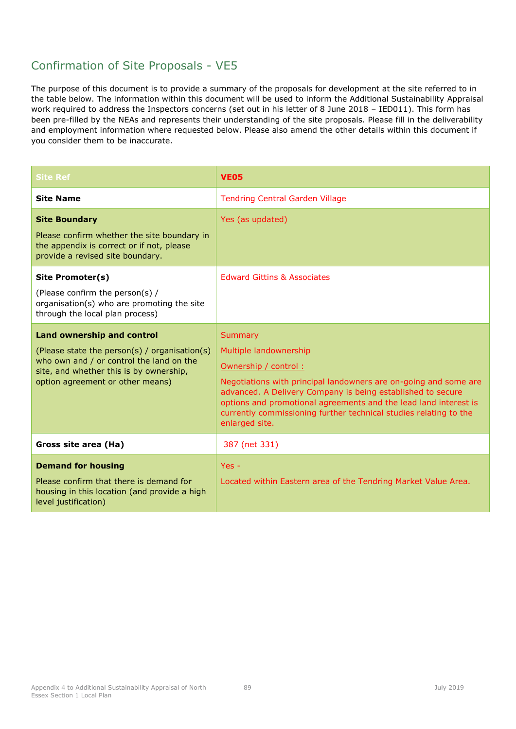| <b>Site Ref</b>                                                                                                                                                                                               | <b>VE05</b>                                                                                                                                                                                                                                                                                                                                                    |
|---------------------------------------------------------------------------------------------------------------------------------------------------------------------------------------------------------------|----------------------------------------------------------------------------------------------------------------------------------------------------------------------------------------------------------------------------------------------------------------------------------------------------------------------------------------------------------------|
| <b>Site Name</b>                                                                                                                                                                                              | <b>Tendring Central Garden Village</b>                                                                                                                                                                                                                                                                                                                         |
| <b>Site Boundary</b><br>Please confirm whether the site boundary in<br>the appendix is correct or if not, please<br>provide a revised site boundary.                                                          | Yes (as updated)                                                                                                                                                                                                                                                                                                                                               |
| Site Promoter(s)<br>(Please confirm the person(s) /<br>organisation(s) who are promoting the site<br>through the local plan process)                                                                          | <b>Edward Gittins &amp; Associates</b>                                                                                                                                                                                                                                                                                                                         |
| <b>Land ownership and control</b><br>(Please state the person(s) / organisation(s)<br>who own and / or control the land on the<br>site, and whether this is by ownership,<br>option agreement or other means) | <b>Summary</b><br>Multiple landownership<br>Ownership / control:<br>Negotiations with principal landowners are on-going and some are<br>advanced. A Delivery Company is being established to secure<br>options and promotional agreements and the lead land interest is<br>currently commissioning further technical studies relating to the<br>enlarged site. |
| Gross site area (Ha)                                                                                                                                                                                          | 387 (net 331)                                                                                                                                                                                                                                                                                                                                                  |
| <b>Demand for housing</b><br>Please confirm that there is demand for<br>housing in this location (and provide a high<br>level justification)                                                                  | $Yes -$<br>Located within Eastern area of the Tendring Market Value Area.                                                                                                                                                                                                                                                                                      |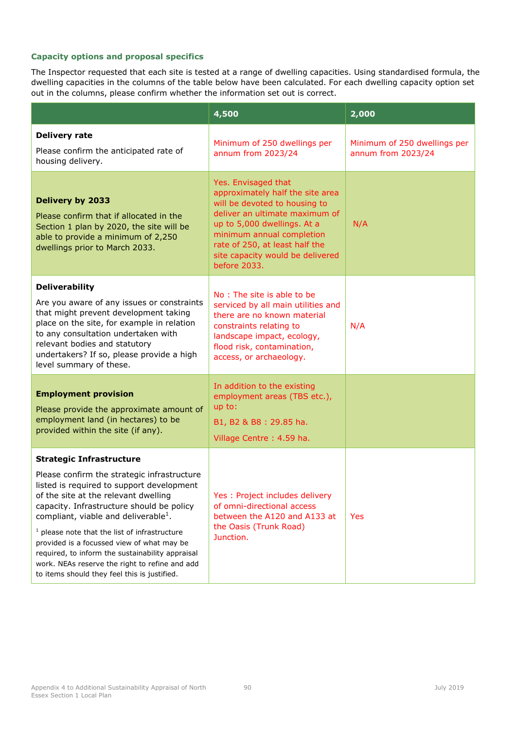|                                                                                                                                                                                                                                                                                                                                                                                                                                                                                                                              | 4,500                                                                                                                                                                                                                                                                        | 2,000                                              |
|------------------------------------------------------------------------------------------------------------------------------------------------------------------------------------------------------------------------------------------------------------------------------------------------------------------------------------------------------------------------------------------------------------------------------------------------------------------------------------------------------------------------------|------------------------------------------------------------------------------------------------------------------------------------------------------------------------------------------------------------------------------------------------------------------------------|----------------------------------------------------|
| <b>Delivery rate</b><br>Please confirm the anticipated rate of<br>housing delivery.                                                                                                                                                                                                                                                                                                                                                                                                                                          | Minimum of 250 dwellings per<br>annum from 2023/24                                                                                                                                                                                                                           | Minimum of 250 dwellings per<br>annum from 2023/24 |
| <b>Delivery by 2033</b><br>Please confirm that if allocated in the<br>Section 1 plan by 2020, the site will be<br>able to provide a minimum of 2,250<br>dwellings prior to March 2033.                                                                                                                                                                                                                                                                                                                                       | Yes. Envisaged that<br>approximately half the site area<br>will be devoted to housing to<br>deliver an ultimate maximum of<br>up to 5,000 dwellings. At a<br>minimum annual completion<br>rate of 250, at least half the<br>site capacity would be delivered<br>before 2033. | N/A                                                |
| <b>Deliverability</b><br>Are you aware of any issues or constraints<br>that might prevent development taking<br>place on the site, for example in relation<br>to any consultation undertaken with<br>relevant bodies and statutory<br>undertakers? If so, please provide a high<br>level summary of these.                                                                                                                                                                                                                   | No: The site is able to be<br>serviced by all main utilities and<br>there are no known material<br>constraints relating to<br>landscape impact, ecology,<br>flood risk, contamination,<br>access, or archaeology.                                                            | N/A                                                |
| <b>Employment provision</b><br>Please provide the approximate amount of<br>employment land (in hectares) to be<br>provided within the site (if any).                                                                                                                                                                                                                                                                                                                                                                         | In addition to the existing<br>employment areas (TBS etc.),<br>up to:<br>B1, B2 & B8: 29.85 ha.<br>Village Centre: 4.59 ha.                                                                                                                                                  |                                                    |
| <b>Strategic Infrastructure</b><br>Please confirm the strategic infrastructure<br>listed is required to support development<br>of the site at the relevant dwelling<br>capacity. Infrastructure should be policy<br>compliant, viable and deliverable <sup>1</sup> .<br>$^1$ please note that the list of infrastructure<br>provided is a focussed view of what may be<br>required, to inform the sustainability appraisal<br>work. NEAs reserve the right to refine and add<br>to items should they feel this is justified. | Yes : Project includes delivery<br>of omni-directional access<br>between the A120 and A133 at<br>the Oasis (Trunk Road)<br>Junction.                                                                                                                                         | <b>Yes</b>                                         |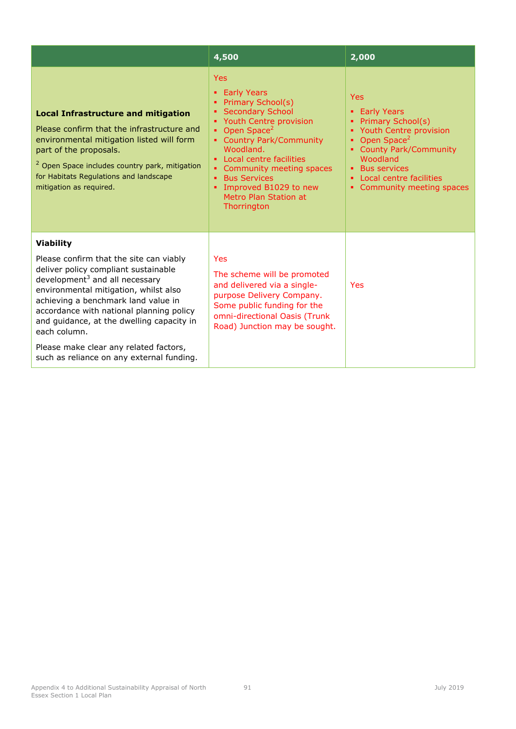|                                                                                                                                                                                                                                                                                                                                   | 4,500                                                                                                                                                                                                                                                                                                                     | 2,000                                                                                                                                                                                                                            |
|-----------------------------------------------------------------------------------------------------------------------------------------------------------------------------------------------------------------------------------------------------------------------------------------------------------------------------------|---------------------------------------------------------------------------------------------------------------------------------------------------------------------------------------------------------------------------------------------------------------------------------------------------------------------------|----------------------------------------------------------------------------------------------------------------------------------------------------------------------------------------------------------------------------------|
| <b>Local Infrastructure and mitigation</b><br>Please confirm that the infrastructure and<br>environmental mitigation listed will form<br>part of the proposals.<br><sup>2</sup> Open Space includes country park, mitigation<br>for Habitats Regulations and landscape<br>mitigation as required.                                 | <b>Yes</b><br>• Early Years<br>• Primary School(s)<br>• Secondary School<br>• Youth Centre provision<br>Open Space <sup>2</sup><br>• Country Park/Community<br>Woodland.<br>• Local centre facilities<br>Community meeting spaces<br><b>Bus Services</b><br>Improved B1029 to new<br>Metro Plan Station at<br>Thorrington | <b>Yes</b><br>• Early Years<br>Primary School(s)<br>• Youth Centre provision<br>Open Space <sup>2</sup><br>• County Park/Community<br>Woodland<br><b>Bus services</b><br>• Local centre facilities<br>• Community meeting spaces |
| <b>Viability</b><br>Please confirm that the site can viably<br>deliver policy compliant sustainable<br>development $3$ and all necessary<br>environmental mitigation, whilst also<br>achieving a benchmark land value in<br>accordance with national planning policy<br>and guidance, at the dwelling capacity in<br>each column. | Yes<br>The scheme will be promoted<br>and delivered via a single-<br>purpose Delivery Company.<br>Some public funding for the<br>omni-directional Oasis (Trunk<br>Road) Junction may be sought.                                                                                                                           | Yes                                                                                                                                                                                                                              |
| Please make clear any related factors,<br>such as reliance on any external funding.                                                                                                                                                                                                                                               |                                                                                                                                                                                                                                                                                                                           |                                                                                                                                                                                                                                  |